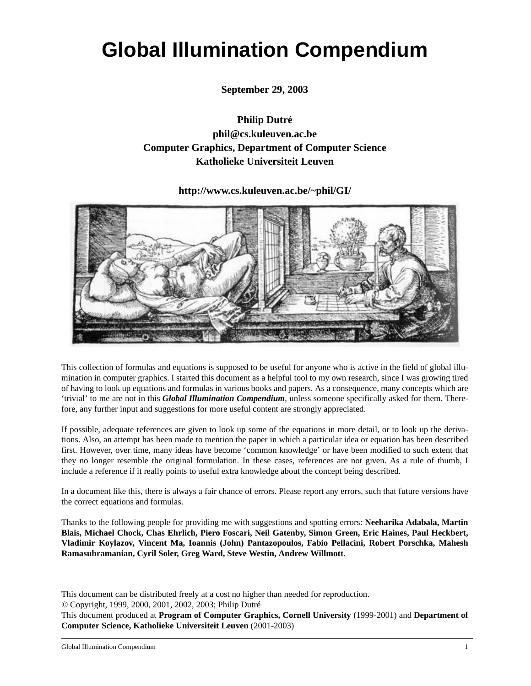# **Global Illumination Compendium**

**September 29, 2003**

**Philip Dutré phil@cs.kuleuven.ac.be Computer Graphics, Department of Computer Science Katholieke Universiteit Leuven**

**http://www.cs.kuleuven.ac.be/~phil/GI/**



This collection of formulas and equations is supposed to be useful for anyone who is active in the field of global illumination in computer graphics. I started this document as a helpful tool to my own research, since I was growing tired of having to look up equations and formulas in various books and papers. As a consequence, many concepts which are 'trivial' to me are not in this *Global Illumination Compendium*, unless someone specifically asked for them. Therefore, any further input and suggestions for more useful content are strongly appreciated.

If possible, adequate references are given to look up some of the equations in more detail, or to look up the derivations. Also, an attempt has been made to mention the paper in which a particular idea or equation has been described first. However, over time, many ideas have become 'common knowledge' or have been modified to such extent that they no longer resemble the original formulation. In these cases, references are not given. As a rule of thumb, I include a reference if it really points to useful extra knowledge about the concept being described.

In a document like this, there is always a fair chance of errors. Please report any errors, such that future versions have the correct equations and formulas.

Thanks to the following people for providing me with suggestions and spotting errors: **Neeharika Adabala, Martin Blais, Michael Chock, Chas Ehrlich, Piero Foscari, Neil Gatenby, Simon Green, Eric Haines, Paul Heckbert, Vladimir Koylazov, Vincent Ma, Ioannis (John) Pantazopoulos, Fabio Pellacini, Robert Porschka, Mahesh Ramasubramanian, Cyril Soler, Greg Ward, Steve Westin, Andrew Willmott**.

This document can be distributed freely at a cost no higher than needed for reproduction.

© Copyright, 1999, 2000, 2001, 2002, 2003; Philip Dutré

This document produced at **Program of Computer Graphics, Cornell University** (1999-2001) and **Department of Computer Science, Katholieke Universiteit Leuven** (2001-2003)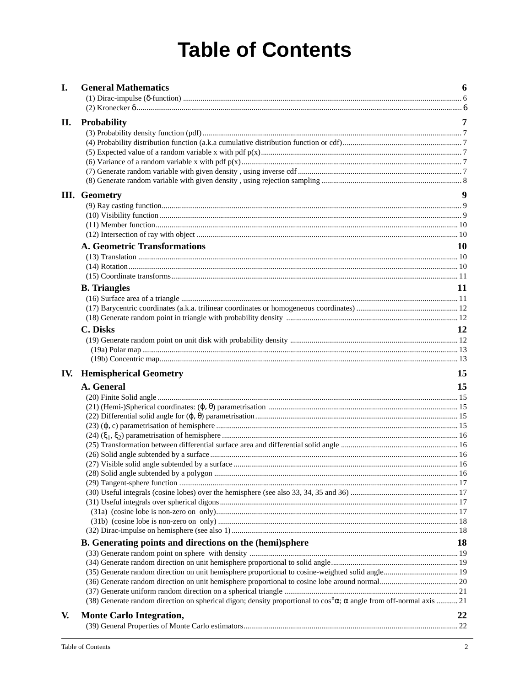# **Table of Contents**

| I.  | <b>General Mathematics</b>                                                                                                          | 6         |
|-----|-------------------------------------------------------------------------------------------------------------------------------------|-----------|
|     |                                                                                                                                     |           |
|     |                                                                                                                                     |           |
| П.  | <b>Probability</b>                                                                                                                  | 7         |
|     |                                                                                                                                     |           |
|     |                                                                                                                                     |           |
|     |                                                                                                                                     |           |
|     |                                                                                                                                     |           |
|     |                                                                                                                                     |           |
|     |                                                                                                                                     |           |
|     | III. Geometry                                                                                                                       | 9         |
|     |                                                                                                                                     |           |
|     |                                                                                                                                     |           |
|     |                                                                                                                                     |           |
|     |                                                                                                                                     |           |
|     | <b>A. Geometric Transformations</b>                                                                                                 | <b>10</b> |
|     |                                                                                                                                     |           |
|     |                                                                                                                                     |           |
|     |                                                                                                                                     |           |
|     | <b>B.</b> Triangles                                                                                                                 | 11        |
|     |                                                                                                                                     |           |
|     |                                                                                                                                     |           |
|     |                                                                                                                                     |           |
|     | <b>C.</b> Disks                                                                                                                     | 12        |
|     |                                                                                                                                     |           |
|     |                                                                                                                                     |           |
|     |                                                                                                                                     |           |
| IV. | <b>Hemispherical Geometry</b>                                                                                                       | 15        |
|     | A. General                                                                                                                          | 15        |
|     |                                                                                                                                     |           |
|     |                                                                                                                                     |           |
|     |                                                                                                                                     |           |
|     |                                                                                                                                     |           |
|     |                                                                                                                                     |           |
|     |                                                                                                                                     |           |
|     |                                                                                                                                     |           |
|     |                                                                                                                                     |           |
|     |                                                                                                                                     |           |
|     |                                                                                                                                     |           |
|     |                                                                                                                                     |           |
|     |                                                                                                                                     |           |
|     |                                                                                                                                     |           |
|     |                                                                                                                                     |           |
|     |                                                                                                                                     |           |
|     | B. Generating points and directions on the (hemi)sphere                                                                             | 18        |
|     |                                                                                                                                     |           |
|     |                                                                                                                                     |           |
|     |                                                                                                                                     |           |
|     |                                                                                                                                     |           |
|     | (38) Generate random direction on spherical digon; density proportional to $\cos^n\alpha$ ; $\alpha$ angle from off-normal axis  21 |           |
| V.  | <b>Monte Carlo Integration,</b>                                                                                                     | 22        |
|     |                                                                                                                                     |           |
|     |                                                                                                                                     |           |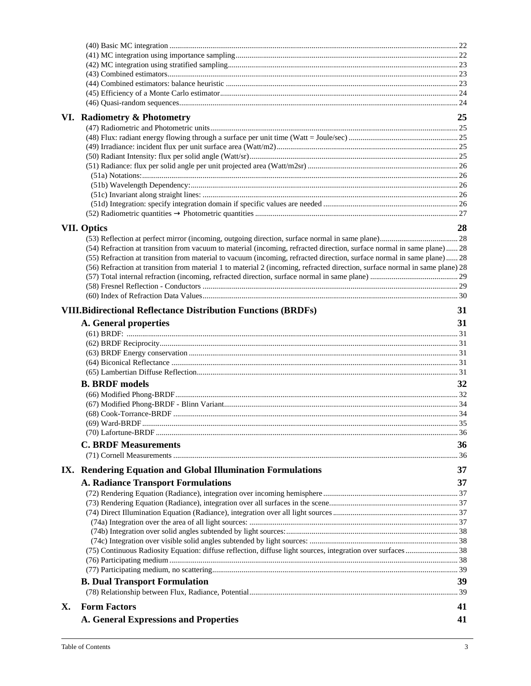|    | VI. Radiometry & Photometry                                                                                                  | 25 |
|----|------------------------------------------------------------------------------------------------------------------------------|----|
|    |                                                                                                                              |    |
|    |                                                                                                                              |    |
|    |                                                                                                                              |    |
|    |                                                                                                                              |    |
|    |                                                                                                                              |    |
|    |                                                                                                                              |    |
|    |                                                                                                                              |    |
|    |                                                                                                                              |    |
|    |                                                                                                                              |    |
|    |                                                                                                                              |    |
|    | <b>VII. Optics</b>                                                                                                           | 28 |
|    |                                                                                                                              |    |
|    | (54) Refraction at transition from vacuum to material (incoming, refracted direction, surface normal in same plane) 28       |    |
|    | (55) Refraction at transition from material to vacuum (incoming, refracted direction, surface normal in same plane) 28       |    |
|    | (56) Refraction at transition from material 1 to material 2 (incoming, refracted direction, surface normal in same plane) 28 |    |
|    |                                                                                                                              |    |
|    |                                                                                                                              |    |
|    |                                                                                                                              |    |
|    | <b>VIII.Bidirectional Reflectance Distribution Functions (BRDFs)</b>                                                         | 31 |
|    | A. General properties                                                                                                        | 31 |
|    |                                                                                                                              |    |
|    |                                                                                                                              |    |
|    |                                                                                                                              |    |
|    |                                                                                                                              |    |
|    |                                                                                                                              |    |
|    | <b>B. BRDF</b> models                                                                                                        | 32 |
|    |                                                                                                                              |    |
|    |                                                                                                                              |    |
|    |                                                                                                                              |    |
|    |                                                                                                                              |    |
|    |                                                                                                                              |    |
|    | <b>C. BRDF Measurements</b>                                                                                                  | 36 |
|    |                                                                                                                              |    |
|    |                                                                                                                              |    |
|    | IX. Rendering Equation and Global Illumination Formulations                                                                  | 37 |
|    | <b>A. Radiance Transport Formulations</b>                                                                                    | 37 |
|    |                                                                                                                              |    |
|    |                                                                                                                              |    |
|    |                                                                                                                              |    |
|    |                                                                                                                              |    |
|    |                                                                                                                              |    |
|    |                                                                                                                              |    |
|    |                                                                                                                              |    |
|    |                                                                                                                              |    |
|    |                                                                                                                              |    |
|    | <b>B. Dual Transport Formulation</b>                                                                                         | 39 |
|    |                                                                                                                              |    |
| X. | <b>Form Factors</b>                                                                                                          | 41 |
|    | <b>A. General Expressions and Properties</b>                                                                                 | 41 |
|    |                                                                                                                              |    |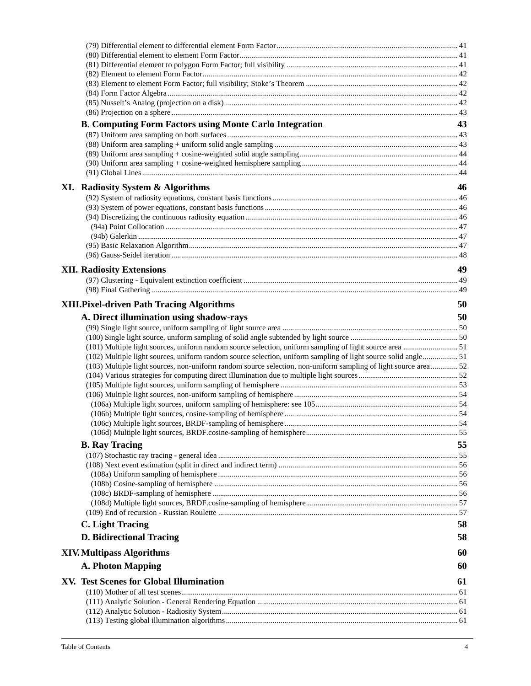| <b>B. Computing Form Factors using Monte Carlo Integration</b>                                                 | 43 |
|----------------------------------------------------------------------------------------------------------------|----|
|                                                                                                                |    |
|                                                                                                                |    |
|                                                                                                                |    |
|                                                                                                                |    |
|                                                                                                                |    |
| XI. Radiosity System & Algorithms                                                                              | 46 |
|                                                                                                                |    |
|                                                                                                                |    |
|                                                                                                                |    |
|                                                                                                                |    |
|                                                                                                                |    |
|                                                                                                                |    |
|                                                                                                                |    |
| <b>XII. Radiosity Extensions</b>                                                                               | 49 |
|                                                                                                                |    |
|                                                                                                                |    |
| <b>XIII.Pixel-driven Path Tracing Algorithms</b>                                                               | 50 |
|                                                                                                                | 50 |
| A. Direct illumination using shadow-rays                                                                       |    |
|                                                                                                                |    |
| (101) Multiple light sources, uniform random source selection, uniform sampling of light source area  51       |    |
| (102) Multiple light sources, uniform random source selection, uniform sampling of light source solid angle 51 |    |
| (103) Multiple light sources, non-uniform random source selection, non-uniform sampling of light source area52 |    |
|                                                                                                                |    |
|                                                                                                                |    |
|                                                                                                                |    |
|                                                                                                                |    |
|                                                                                                                |    |
|                                                                                                                |    |
|                                                                                                                |    |
| <b>B.</b> Ray Tracing                                                                                          | 55 |
|                                                                                                                |    |
|                                                                                                                |    |
|                                                                                                                |    |
|                                                                                                                |    |
|                                                                                                                |    |
|                                                                                                                |    |
|                                                                                                                |    |
| C. Light Tracing                                                                                               | 58 |
| <b>D. Bidirectional Tracing</b>                                                                                | 58 |
| <b>XIV. Multipass Algorithms</b>                                                                               | 60 |
| <b>A. Photon Mapping</b>                                                                                       | 60 |
| XV. Test Scenes for Global Illumination                                                                        | 61 |
|                                                                                                                |    |
|                                                                                                                |    |
|                                                                                                                |    |
|                                                                                                                |    |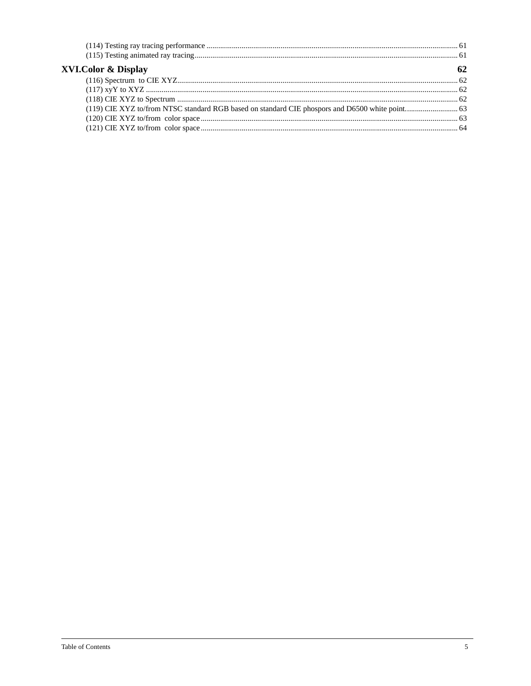| <b>XVI.Color &amp; Display</b> |  |
|--------------------------------|--|
|                                |  |
|                                |  |
|                                |  |
|                                |  |
|                                |  |
|                                |  |
|                                |  |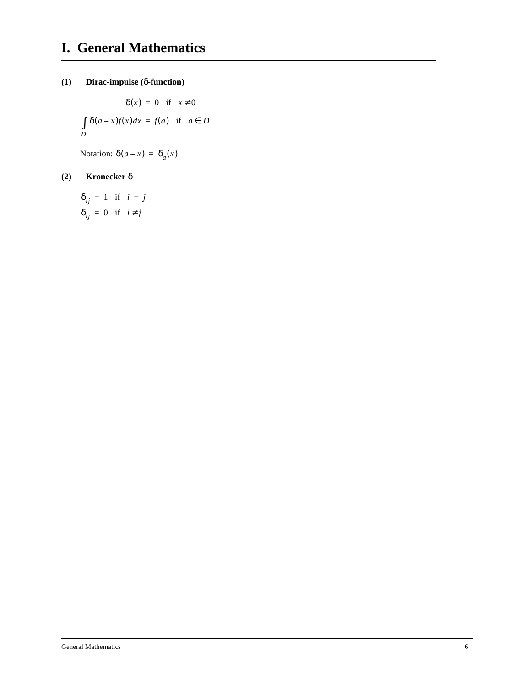### **(1) Dirac-impulse (**δ**-function)**

$$
\delta(x) = 0 \quad \text{if} \quad x \neq 0
$$
  

$$
\int \delta(a-x)f(x)dx = f(a) \quad \text{if} \quad a \in D
$$
  

$$
D
$$

Notation:  $δ(a-x) = δ<sub>a</sub>(x)$ 

### **(2) Kronecker** δ

 $\delta_{ij} = 1$  if  $i = j$  $\delta_{ij} = 0$  if  $i \neq j$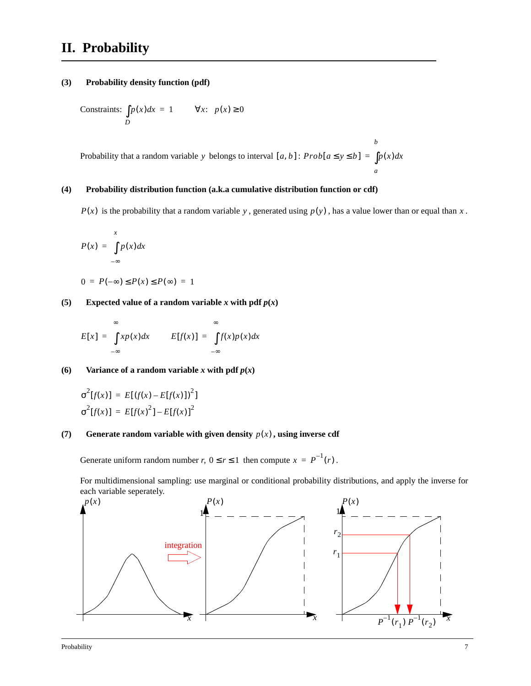# **II. Probability**

#### **(3) Probability density function (pdf)**

Constraints: 
$$
\int_D p(x)dx = 1
$$
  $\forall x$ :  $p(x) \ge 0$ 

Probability that a random variable y belongs to interval  $[a, b]$ :  $Prob[a \le y \le b] = \int p(x)dx$ 

#### **(4) Probability distribution function (a.k.a cumulative distribution function or cdf)**

 $P(x)$  is the probability that a random variable y, generated using  $p(y)$ , has a value lower than or equal than x.

*a*

*b*

$$
P(x) = \int_{-\infty}^{x} p(x) dx
$$

$$
0 = P(-\infty) \le P(x) \le P(\infty) = 1
$$

**(5)** Expected value of a random variable *x* with pdf  $p(x)$ 

$$
E[x] = \int_{-\infty}^{\infty} x p(x) dx \qquad E[f(x)] = \int_{-\infty}^{\infty} f(x) p(x) dx
$$

**(6)** Variance of a random variable *x* with pdf  $p(x)$ 

$$
\sigma^{2}[f(x)] = E[(f(x) - E[f(x)])^{2}]
$$
  

$$
\sigma^{2}[f(x)] = E[f(x)]^{2} - E[f(x)]^{2}
$$

#### **(7)** Generate random variable with given density  $p(x)$ , using inverse cdf

Generate uniform random number *r*,  $0 \le r \le 1$  then compute  $x = P^{-1}(r)$ .

For multidimensional sampling: use marginal or conditional probability distributions, and apply the inverse for each variable seperately.

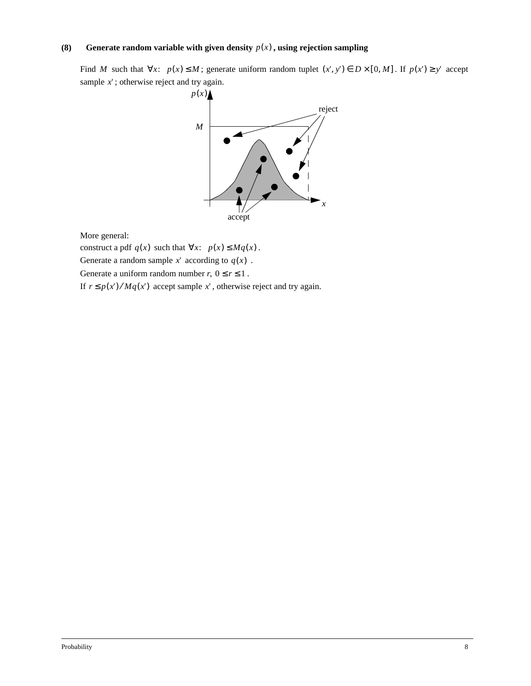#### **(8)** Generate random variable with given density  $p(x)$ , using rejection sampling

Find M such that  $\forall x$ :  $p(x) \le M$ ; generate uniform random tuplet  $(x', y') \in D \times [0, M]$ . If  $p(x') \ge y'$  accept sample x'; otherwise reject and try again.



More general:

construct a pdf  $q(x)$  such that  $\forall x: p(x) \leq Mq(x)$ .

Generate a random sample  $x'$  according to  $q(x)$ .

Generate a uniform random number  $r, 0 \le r \le 1$ .

If  $r \leq p(x') / Mq(x')$  accept sample x', otherwise reject and try again.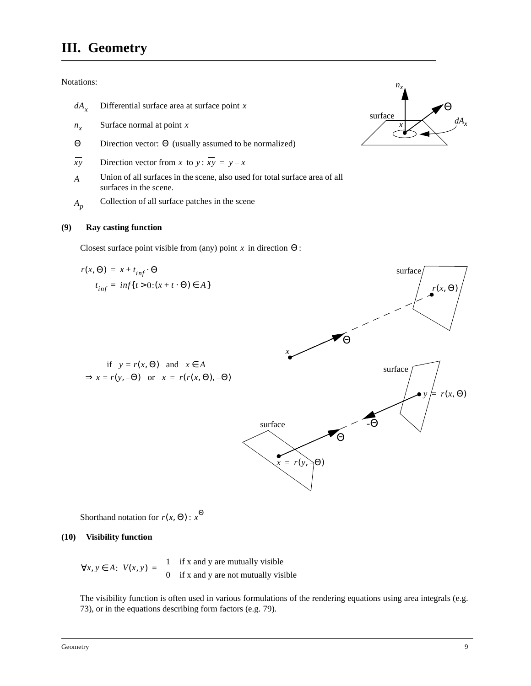# **III. Geometry**

Notations:

- $dA_x$  Differential surface area at surface point x
- Surface normal at point *nx x*
- Θ Direction vector: Θ (usually assumed to be normalized)
- *xy* Direction vector from *x* to *y* :  $xy = y x$
- Union of all surfaces in the scene, also used for total surface area of all surfaces in the scene. *A*
- Collection of all surface patches in the scene *Ap*

#### **(9) Ray casting function**

Closest surface point visible from (any) point  $x$  in direction  $\Theta$ :



Shorthand notation for  $r(x, \Theta)$ :  $x^{\Theta}$ 

#### **(10) Visibility function**

 $\forall x, y \in A$ :  $V(x, y) = \begin{cases} 1 & \text{if } x \text{ and } y \text{ are mutually visible} \\ 0 & \text{if } y \neq 0 \end{cases}$  $= \begin{cases} 1 & \text{if } x \text{ and } y \text{ are mutually visible} \\ 0 & \text{if } x \text{ and } y \text{ are not mutually visible} \end{cases}$ 

The visibility function is often used in various formulations of the rendering equations using area integrals (e.g. 73), or in the equations describing form factors (e.g. 79).

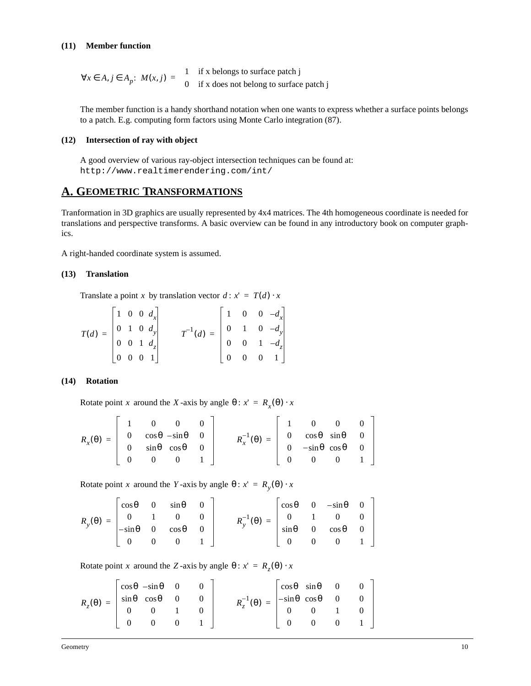#### **(11) Member function**

 $\forall x \in A, j \in A_p$ :  $M(x, j) = \begin{cases} 1 & \text{if } x \text{ belongs to surface patch } j \\ 0 & \text{if } x \text{ does not belong to surface patch } j \end{cases}$ 

The member function is a handy shorthand notation when one wants to express whether a surface points belongs to a patch. E.g. computing form factors using Monte Carlo integration (87).

#### **(12) Intersection of ray with object**

A good overview of various ray-object intersection techniques can be found at: http://www.realtimerendering.com/int/

### **A. GEOMETRIC TRANSFORMATIONS**

Tranformation in 3D graphics are usually represented by 4x4 matrices. The 4th homogeneous coordinate is needed for translations and perspective transforms. A basic overview can be found in any introductory book on computer graphics.

A right-handed coordinate system is assumed.

#### **(13) Translation**

Translate a point x by translation vector  $d : x' = T(d) \cdot x$ 

$$
T(d) = \begin{bmatrix} 1 & 0 & 0 & d_x \\ 0 & 1 & 0 & d_y \\ 0 & 0 & 1 & d_z \\ 0 & 0 & 0 & 1 \end{bmatrix} \qquad T^{-1}(d) = \begin{bmatrix} 1 & 0 & 0 & -d_x \\ 0 & 1 & 0 & -d_y \\ 0 & 0 & 1 & -d_z \\ 0 & 0 & 0 & 1 \end{bmatrix}
$$

#### **(14) Rotation**

Rotate point *x* around the *X*-axis by angle  $\theta$ :  $x' = R_x(\theta) \cdot x$ 

|                                                                                                                   |  |  |                                                                                                                            | $\overline{0}$ | $\overline{0}$    |  |
|-------------------------------------------------------------------------------------------------------------------|--|--|----------------------------------------------------------------------------------------------------------------------------|----------------|-------------------|--|
| $R_x(\theta) = \begin{vmatrix} 0 & \cos\theta & -\sin\theta & 0 \\ 0 & \sin\theta & \cos\theta & 0 \end{vmatrix}$ |  |  | $R_x^{-1}(\theta) = \begin{bmatrix} 0 & \cos \theta & \sin \theta & 0 \\ 0 & -\sin \theta & \cos \theta & 0 \end{bmatrix}$ |                |                   |  |
|                                                                                                                   |  |  |                                                                                                                            |                |                   |  |
|                                                                                                                   |  |  |                                                                                                                            | $\Omega$       | $0 \quad 1 \quad$ |  |

Rotate point *x* around the *Y*-axis by angle  $\theta$ :  $x' = R_y(\theta) \cdot x$ 

|  |  | $R_y(\theta) = \begin{bmatrix} \cos\theta & 0 & \sin\theta & 0 \\ 0 & 1 & 0 & 0 \\ -\sin\theta & 0 & \cos\theta & 0 \\ 0 & 0 & 0 & 1 \end{bmatrix}$ |  | $\cos \theta$ 0 $-\sin \theta$ 0<br>$R_y^{-1}(\theta) = \begin{vmatrix} 0 & 1 & 0 & 0 \\ \sin \theta & 0 & \cos \theta & 0 \end{vmatrix}$<br>$\begin{matrix} 0 & 0 & 0 & 1 \end{matrix}$ |
|--|--|-----------------------------------------------------------------------------------------------------------------------------------------------------|--|------------------------------------------------------------------------------------------------------------------------------------------------------------------------------------------|

Rotate point *x* around the Z-axis by angle  $\theta$ :  $x' = R_z(\theta) \cdot x$ 

| $R_z(\theta) = \begin{bmatrix} \cos\theta & -\sin\theta & 0 & 0 \\ \sin\theta & \cos\theta & 0 & 0 \\ 0 & 0 & 1 & 0 \end{bmatrix}$ |                |  |                              |                                                                                                      | $\cos\theta \quad \sin\theta \quad 0 \quad 0$ |               |  |
|------------------------------------------------------------------------------------------------------------------------------------|----------------|--|------------------------------|------------------------------------------------------------------------------------------------------|-----------------------------------------------|---------------|--|
|                                                                                                                                    |                |  |                              | $R_z^{-1}(\theta) = \begin{vmatrix} -\sin\theta & \cos\theta & 0 & 0 \\ 0 & 0 & 1 & 0 \end{vmatrix}$ |                                               |               |  |
|                                                                                                                                    |                |  |                              |                                                                                                      |                                               |               |  |
|                                                                                                                                    | $\overline{0}$ |  | $0 \qquad 0 \qquad 1 \qquad$ |                                                                                                      | $\overline{0}$                                | $0 \t 0 \t 1$ |  |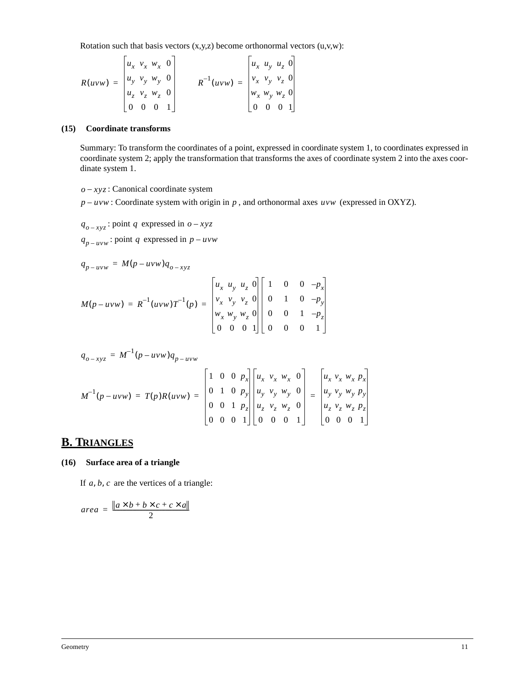Rotation such that basis vectors  $(x,y,z)$  become orthonormal vectors  $(u,v,w)$ :

$$
R(uvw) = \begin{bmatrix} u_x & v_x & w_x & 0 \\ u_y & v_y & w_y & 0 \\ u_z & v_z & w_z & 0 \\ 0 & 0 & 0 & 1 \end{bmatrix} \qquad R^{-1}(uvw) = \begin{bmatrix} u_x & u_y & u_z & 0 \\ v_x & v_y & v_z & 0 \\ w_x & w_y & w_z & 0 \\ 0 & 0 & 0 & 1 \end{bmatrix}
$$

 $\blacksquare$ 

#### **(15) Coordinate transforms**

 $\blacksquare$ 

Summary: To transform the coordinates of a point, expressed in coordinate system 1, to coordinates expressed in coordinate system 2; apply the transformation that transforms the axes of coordinate system 2 into the axes coordinate system 1.

 $\blacksquare$ 

 $o - xyz$ : Canonical coordinate system

 $p - uvw$ : Coordinate system with origin in p, and orthonormal axes  $uvw$  (expressed in OXYZ).

 $q_{o-xyz}$ : point q expressed in  $o-xyz$ 

 $q_{p - uvw}$ : point q expressed in  $p - uvw$ 

$$
q_{p-uvw} = M(p-uvw)q_{o-xyz}
$$
  

$$
M(p-uvw) = R^{-1}(uvw)T^{-1}(p) = \begin{bmatrix} u_x & u_y & u_z & 0 \\ v_x & v_y & v_z & 0 \\ w_x & w_y & w_z & 0 \\ 0 & 0 & 0 & 1 \end{bmatrix} \begin{bmatrix} 1 & 0 & 0 & -p_x \\ 0 & 1 & 0 & -p_y \\ 0 & 0 & 1 & -p_z \\ 0 & 0 & 0 & 1 \end{bmatrix}
$$

$$
q_{o-xyz} = M^{-1}(p - uvw)q_{p - uvw}
$$
  

$$
M^{-1}(p - uvw) = T(p)R(uvw) = \begin{bmatrix} 1 & 0 & 0 & p_x \\ 0 & 1 & 0 & p_y \\ 0 & 0 & 1 & p_z \\ 0 & 0 & 0 & 1 \end{bmatrix} \begin{bmatrix} u_x & v_x & w_x & 0 \\ u_y & v_y & w_y & 0 \\ u_z & v_z & w_z & 0 \\ 0 & 0 & 0 & 1 \end{bmatrix} = \begin{bmatrix} u_x & v_x & w_x & p_x \\ u_y & v_y & w_y & p_y \\ u_z & v_z & w_z & p_z \\ 0 & 0 & 0 & 1 \end{bmatrix}
$$

### **B. TRIANGLES**

#### **(16) Surface area of a triangle**

If  $a, b, c$  are the vertices of a triangle:

$$
area = \frac{\|a \times b + b \times c + c \times a\|}{2}
$$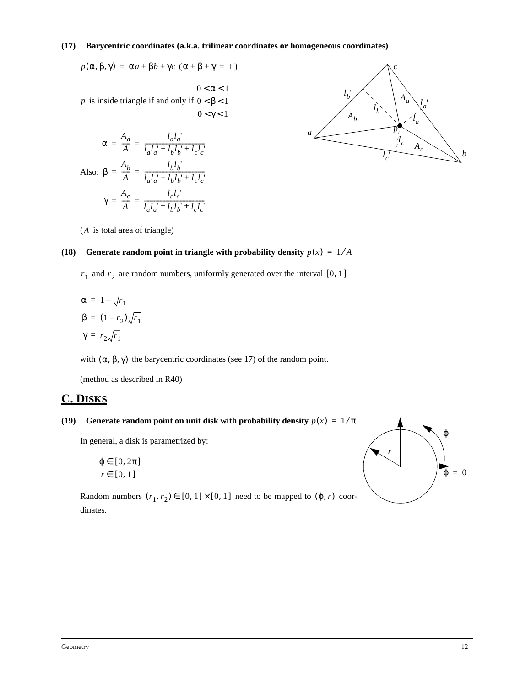#### **(17) Barycentric coordinates (a.k.a. trilinear coordinates or homogeneous coordinates)**

 $p(\alpha, \beta, \gamma) = \alpha a + \beta b + \gamma c \ (\alpha + \beta + \gamma = 1)$ 

*p* is inside triangle if and only if  $0 < \beta < 1$  $0 < \alpha < 1$  $0 < \gamma < 1$ 

$$
\alpha = \frac{A_a}{A} = \frac{l_a l_a'}{l_a l_a' + l_b l_b' + l_c l_c'}
$$
  
Also: 
$$
\beta = \frac{A_b}{A} = \frac{l_b l_b'}{l_a l_a' + l_b l_b' + l_c l_c'}
$$

$$
\gamma = \frac{A_c}{A} = \frac{l_c l_c'}{l_a l_a' + l_b l_b' + l_c l_c'}
$$



(A is total area of triangle)

#### **(18)** Generate random point in triangle with probability density  $p(x) = 1/A$

 $r_1$  and  $r_2$  are random numbers, uniformly generated over the interval [0, 1]

$$
\alpha = 1 - \sqrt{r_1}
$$
  

$$
\beta = (1 - r_2) \sqrt{r_1}
$$
  

$$
\gamma = r_2 \sqrt{r_1}
$$

with  $(\alpha, \beta, \gamma)$  the barycentric coordinates (see 17) of the random point.

(method as described in R40)

### **C. DISKS**

#### **(19)** Generate random point on unit disk with probability density  $p(x) = 1/\pi$

In general, a disk is parametrized by:

 $\varphi \in [0, 2\pi]$  $r \in [0, 1]$ 

Random numbers  $(r_1, r_2) \in [0, 1] \times [0, 1]$  need to be mapped to  $(\varphi, r)$  coordinates.

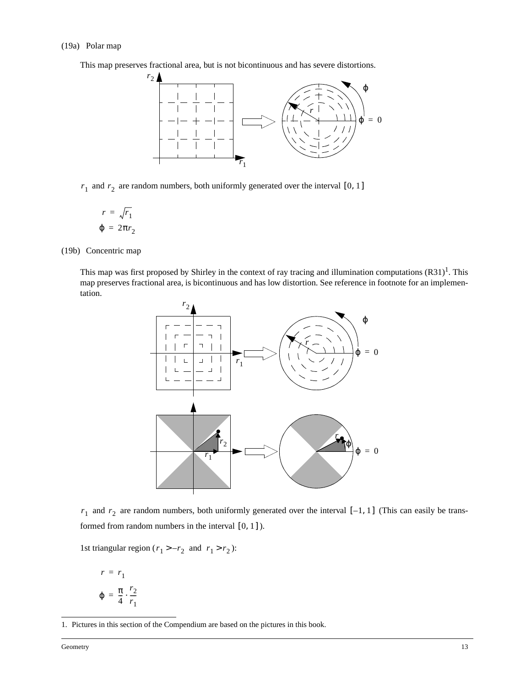#### (19a) Polar map

This map preserves fractional area, but is not bicontinuous and has severe distortions.



 $r_1$  and  $r_2$  are random numbers, both uniformly generated over the interval [0, 1]

$$
r = \sqrt{r_1}
$$

$$
\varphi = 2\pi r_2
$$

(19b) Concentric map

This map was first proposed by Shirley in the context of ray tracing and illumination computations  $(R31)^1$ . This map preserves fractional area, is bicontinuous and has low distortion. See reference in footnote for an implementation.



 $r_1$  and  $r_2$  are random numbers, both uniformly generated over the interval  $[-1, 1]$  (This can easily be transformed from random numbers in the interval  $[0, 1]$ ).

1st triangular region ( $r_1 > -r_2$  and  $r_1 > r_2$ ):

$$
r = r_1
$$
  

$$
\varphi = \frac{\pi}{4} \cdot \frac{r_2}{r_1}
$$

<sup>1.</sup> Pictures in this section of the Compendium are based on the pictures in this book.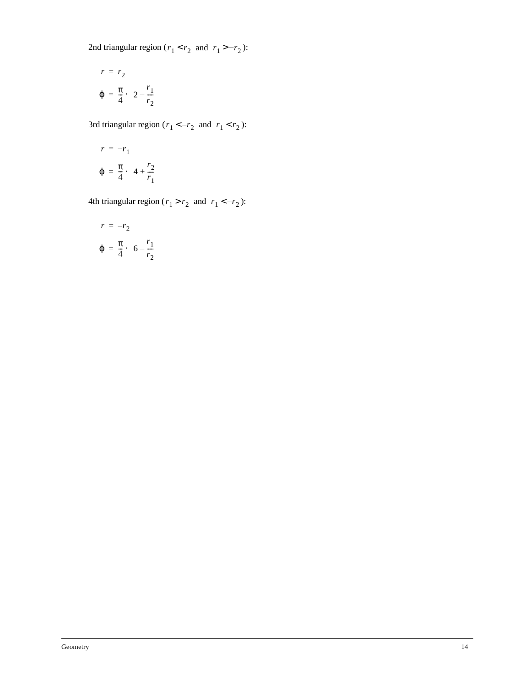2nd triangular region ( $r_1 < r_2$  and  $r_1 > -r_2$ ):

$$
r = r_2
$$

$$
\varphi = \frac{\pi}{4} \cdot \left(2 - \frac{r_1}{r_2}\right)
$$

3rd triangular region ( $r_1 < -r_2$  and  $r_1 < r_2$ ):

$$
r = -r_1
$$
  

$$
\varphi = \frac{\pi}{4} \cdot \left(4 + \frac{r_2}{r_1}\right)
$$

4th triangular region ( $r_1 > r_2$  and  $r_1 < -r_2$ ):

$$
r = -r_2
$$

$$
\varphi = \frac{\pi}{4} \cdot \left(6 - \frac{r_1}{r_2}\right)
$$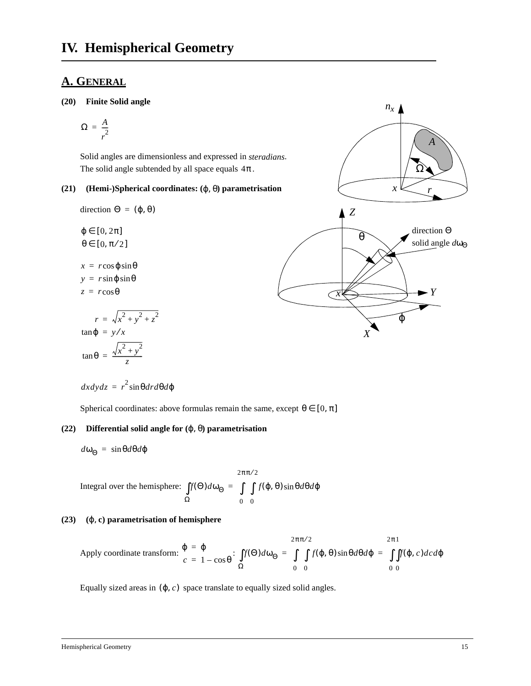### **A. GENERAL**

#### **(20) Finite Solid angle**

$$
\Omega = \frac{A}{r^2}
$$

Solid angles are dimensionless and expressed in *steradians*. The solid angle subtended by all space equals  $4\pi$ .

#### **(21) (Hemi-)Spherical coordinates: (**ϕ, θ**) parametrisation**

direction  $Θ = (φ, θ)$ 

 $\varphi \in [0, 2\pi]$  $\theta \in [0, \pi/2]$  $x = r \cos \varphi \sin \theta$  $y = r \sin \phi \sin \theta$  $z = r \cos \theta$  $r = \sqrt{x^2 + y^2 + z^2}$  $\tan \varphi = y/x$  $\tan \theta = \frac{\sqrt{x^2 + y^2}}{z}$ 

$$
dx dy dz = r^2 \sin\theta dr d\theta d\phi
$$

Spherical coordinates: above formulas remain the same, except  $\theta \in [0, \pi]$ 

### **(22) Differential solid angle for (**ϕ, θ**) parametrisation**

 $d\omega_{\Theta} = \sin\theta d\theta d\phi$ 

Integral over the hemisphere: 
$$
\int_{\Omega} f(\Theta) d\omega_{\Theta} = \int_{0}^{2\pi \pi/2} \int_{0}^{2\pi \pi/2} f(\phi, \theta) \sin \theta d\theta d\phi
$$

#### **(23) (**ϕ, **c) parametrisation of hemisphere**

Apply coordinate transform: 
$$
\frac{\varphi}{c} = \frac{\varphi}{1 - \cos \theta}
$$
: 
$$
\int_{\Omega} f(\Theta) d\omega_{\Theta} = \int_{0}^{2\pi \pi/2} \int_{0}^{2\pi 1} f(\varphi, \theta) \sin \theta d\theta d\varphi = \int_{0}^{2\pi 1} \int_{0}^{2\pi 1} f(\varphi, c) d\theta d\varphi
$$

Equally sized areas in  $(\varphi, c)$  space translate to equally sized solid angles.

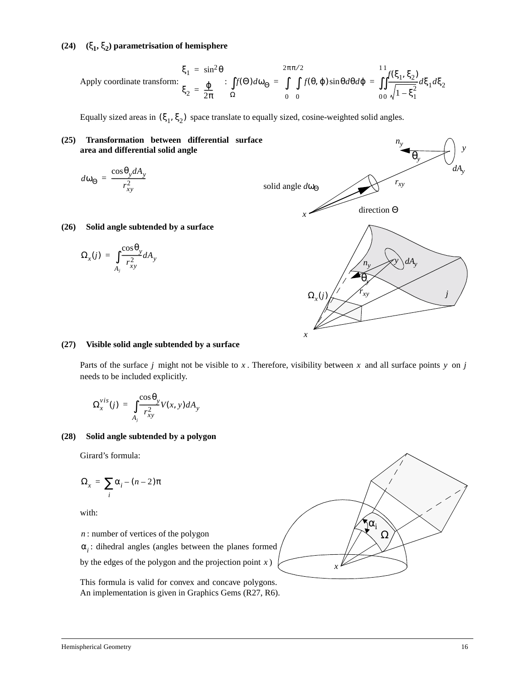### **(24) (**ξ**1,** ξ**2) parametrisation of hemisphere**

$$
\xi_1 = \sin^2 \theta
$$
\nApply coordinate transform: 
$$
\xi_2 = \frac{\varphi}{2\pi} \qquad \qquad \int f(\Theta) d\omega_{\Theta} = \int_{0}^{2\pi \pi/2} f(\theta, \varphi) \sin \theta d\theta d\varphi = \int_{0}^{11} \int_{0}^{2\pi} f(\xi_1, \xi_2) d\xi_1 d\xi_2
$$

Equally sized areas in  $(\xi_1, \xi_2)$  space translate to equally sized, cosine-weighted solid angles.



#### **(27) Visible solid angle subtended by a surface**

Parts of the surface *j* might not be visible to x. Therefore, visibility between x and all surface points y on *j* needs to be included explicitly.

$$
\Omega_x^{\text{vis}}(j) = \int_{A_j} \frac{\cos \theta_y}{r_{xy}^2} V(x, y) dA_y
$$

#### **(28) Solid angle subtended by a polygon**

Girard's formula:

$$
\Omega_x = \sum_i \alpha_i - (n-2)\pi
$$

with:

: number of vertices of the polygon *n*

: dihedral angles (angles between the planes formed α*i*

by the edges of the polygon and the projection point  $x$ )

This formula is valid for convex and concave polygons. An implementation is given in Graphics Gems (R27, R6).

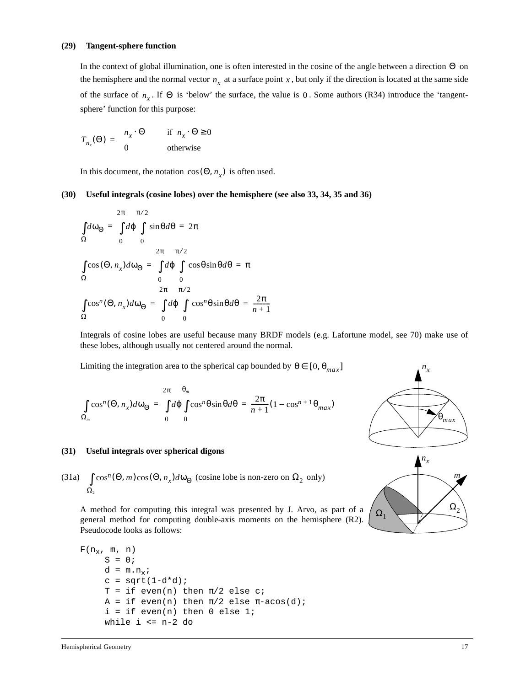#### **(29) Tangent-sphere function**

In the context of global illumination, one is often interested in the cosine of the angle between a direction  $\Theta$  on the hemisphere and the normal vector  $n_x$  at a surface point x, but only if the direction is located at the same side of the surface of  $n_x$ . If  $\Theta$  is 'below' the surface, the value is 0. Some authors (R34) introduce the 'tangentsphere' function for this purpose:

$$
T_{n_x}(\Theta) = \begin{cases} n_x \cdot \Theta & \text{if } n_x \cdot \Theta \ge 0 \\ 0 & \text{otherwise} \end{cases}
$$

In this document, the notation  $cos(\Theta, n_x)$  is often used.

#### **(30) Useful integrals (cosine lobes) over the hemisphere (see also 33, 34, 35 and 36)**

$$
\int d\omega_{\Theta} = \int d\phi \int \sin\theta d\theta = 2\pi
$$
  
\n
$$
\Omega = 0
$$
  
\n
$$
\int \cos(\Theta, n_x) d\omega_{\Theta} = \int d\phi \int \cos\theta \sin\theta d\theta = \pi
$$
  
\n
$$
\Omega = 0
$$
  
\n
$$
\int \cos^{n}(\Theta, n_x) d\omega_{\Theta} = \int d\phi \int \cos^{n} \theta \sin\theta d\theta = \frac{2\pi}{n+1}
$$
  
\n
$$
\Omega = 0
$$
  
\n
$$
0 = 0
$$
  
\n
$$
0 = 0
$$

Integrals of cosine lobes are useful because many BRDF models (e.g. Lafortune model, see 70) make use of these lobes, although usually not centered around the normal.

Limiting the integration area to the spherical cap bounded by  $\theta \in [0, \theta_{max}]$ 

$$
\int_{\Omega_m} \cos^n(\Theta, n_x) d\omega_{\Theta} = \int_{0}^{2\pi} d\phi \int_{0}^{\Theta_m} \cos^n\theta \sin\theta d\theta = \frac{2\pi}{n+1} (1 - \cos^{n+1}\theta_{max})
$$



(31a) 
$$
\int_{\Omega_2} \cos^n(\Theta, m) \cos(\Theta, n_x) d\omega_{\Theta}
$$
 (cosine lobe is non-zero on  $\Omega_2$  only)

A method for computing this integral was presented by J. Arvo, as part of a general method for computing double-axis moments on the hemisphere (R2). Pseudocode looks as follows:

```
F(n_x, m, n)S = 0;d = m.n_x;c = sqrt(1-d*d);T = if even(n) then \pi/2 else c;
     A = if even(n) then \pi/2 else \pi - a cos(d);i = if even(n) then 0 else 1;while i \leq n-2 do
```


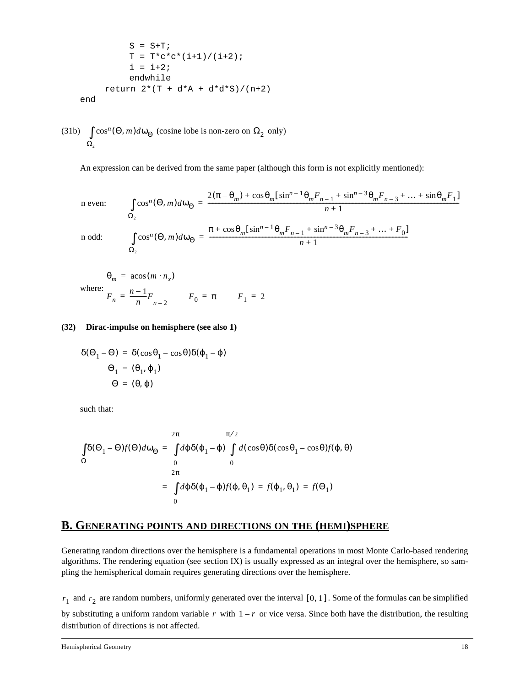$$
S = S+T;
$$
  
\n
$$
T = T * c * c * (i+1) / (i+2) ;
$$
  
\n
$$
i = i+2 ;
$$
  
\n
$$
endwhile
$$
  
\nreturn 2\*(T + d\*A + d\*d\*S)/(n+2)  
\nend

(31b)  $\int \cos^n(\Theta, m) d\omega_{\Theta}$  (cosine lobe is non-zero on  $\Omega_2$  only)  $\Omega_{2}$ 

An expression can be derived from the same paper (although this form is not explicitly mentioned):

n even: 
$$
\int_{\Omega_2} \cos^n(\Theta, m) d\omega_{\Theta} = \frac{2(\pi - \theta_m) + \cos \theta_m [\sin^{n-1} \theta_m F_{n-1} + \sin^{n-3} \theta_m F_{n-3} + \dots + \sin \theta_m F_1]}{n+1}
$$
  
n odd: 
$$
\int_{\Omega_2} \cos^n(\Theta, m) d\omega_{\Theta} = \frac{\pi + \cos \theta_m [\sin^{n-1} \theta_m F_{n-1} + \sin^{n-3} \theta_m F_{n-3} + \dots + F_0]}{n+1}
$$

$$
\theta_m = \arccos(m \cdot n_x)
$$
  
where:  

$$
F_n = \frac{n-1}{n} F_{n-2} \qquad F_0 = \pi \qquad F_1 = 2
$$

#### **(32) Dirac-impulse on hemisphere (see also 1)**

$$
\delta(\Theta_1 - \Theta) = \delta(\cos \theta_1 - \cos \theta)\delta(\varphi_1 - \varphi)
$$

$$
\Theta_1 = (\theta_1, \varphi_1)
$$

$$
\Theta = (\theta, \varphi)
$$

such that:

$$
\int_{\Omega} \delta(\Theta_1 - \Theta) f(\Theta) d\omega_{\Theta} = \int_{0}^{2\pi} d\varphi \delta(\varphi_1 - \varphi) \int_{0}^{\pi/2} d(\cos\theta) \delta(\cos\theta_1 - \cos\theta) f(\varphi, \theta)
$$
  

$$
\Omega = \int_{0}^{2\pi} d\varphi \delta(\varphi_1 - \varphi) f(\varphi, \theta_1) = f(\varphi_1, \theta_1) = f(\Theta_1)
$$
  

$$
0
$$

### **B. GENERATING POINTS AND DIRECTIONS ON THE (HEMI)SPHERE**

Generating random directions over the hemisphere is a fundamental operations in most Monte Carlo-based rendering algorithms. The rendering equation (see section IX) is usually expressed as an integral over the hemisphere, so sampling the hemispherical domain requires generating directions over the hemisphere.

 $r_1$  and  $r_2$  are random numbers, uniformly generated over the interval [0, 1]. Some of the formulas can be simplified by substituting a uniform random variable r with  $1 - r$  or vice versa. Since both have the distribution, the resulting distribution of directions is not affected.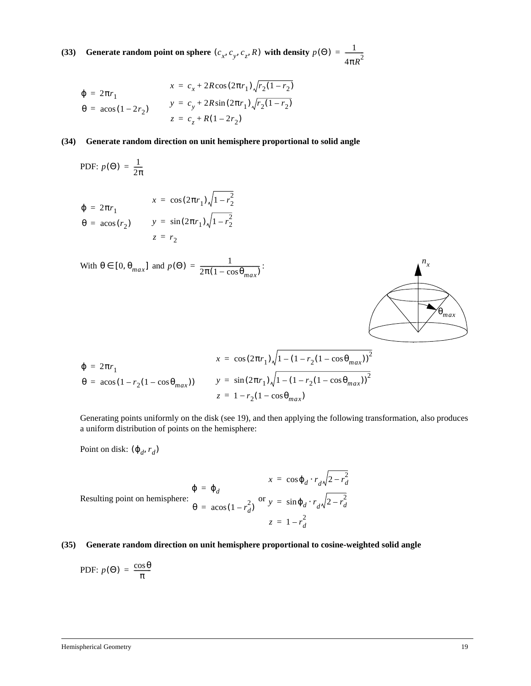**(33)** Generate random point on sphere  $(c_x, c_y, c_z, R)$  with density  $p(\Theta) = \frac{1}{4\pi R^2}$ 

$$
\varphi = 2\pi r_1
$$
\n
$$
\varphi = 2\pi r_1
$$
\n
$$
\varphi = \arccos(1 - 2r_2)
$$
\n
$$
y = c_y + 2R\sin(2\pi r_1)\sqrt{r_2(1 - r_2)}
$$
\n
$$
z = c_z + R(1 - 2r_2)
$$

#### **(34) Generate random direction on unit hemisphere proportional to solid angle**

PDF: 
$$
p(\Theta) = \frac{1}{2\pi}
$$
  
\n
$$
\varphi = 2\pi r_1
$$
\n
$$
\theta = a\cos(r_2)
$$
\n
$$
x = \cos(2\pi r_1)\sqrt{1 - r_2^2}
$$
\n
$$
y = \sin(2\pi r_1)\sqrt{1 - r_2^2}
$$
\n
$$
z = r_2
$$

With 
$$
\theta \in [0, \theta_{max}]
$$
 and  $p(\Theta) = \frac{1}{2\pi (1 - \cos \theta_{max})}$ :  
\n
$$
\varphi = 2\pi r_1
$$
\n
$$
\theta = a\cos(1 - r_2(1 - \cos \theta_{max}))
$$
\n
$$
y = \sin(2\pi r_1)\sqrt{1 - (1 - r_2(1 - \cos \theta_{max}))^2}
$$
\n
$$
z = 1 - r_2(1 - \cos \theta_{max})
$$

Generating points uniformly on the disk (see 19), and then applying the following transformation, also produces a uniform distribution of points on the hemisphere:

Point on disk:  $(\varphi_d, r_d)$ 

$$
\varphi = \varphi_d
$$
  
Resulting point on hemisphere:  

$$
\theta = \arccos(1 - r_d^2)
$$
 or  $y = \sin \varphi_d \cdot r_d \sqrt{2 - r_d^2}$   

$$
z = 1 - r_d^2
$$

#### **(35) Generate random direction on unit hemisphere proportional to cosine-weighted solid angle**

PDF: 
$$
p(\Theta) = \frac{\cos \theta}{\pi}
$$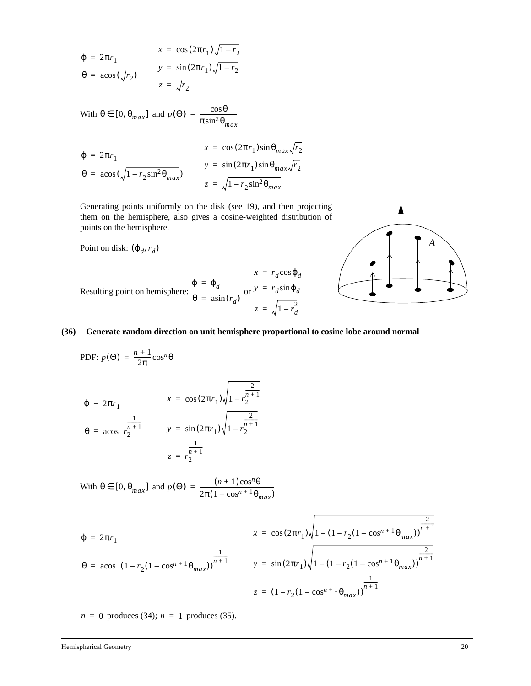$$
\varphi = 2\pi r_1
$$
\n
$$
\varphi = 2\pi r_1
$$
\n
$$
y = \sin(2\pi r_1)\sqrt{1 - r_2}
$$
\n
$$
\varphi = \arccos(\sqrt{r_2})
$$
\n
$$
z = \sqrt{r_2}
$$

With  $\theta \in [0, \theta_{max}]$  and  $p(\Theta) = \frac{\cos \theta}{\pi \sin^2 \theta_{max}}$ 

$$
\varphi = 2\pi r_1
$$
\n
$$
\varphi = 2\pi r_1
$$
\n
$$
\varphi = \arccos(\sqrt{1 - r_2 \sin^2 \theta_{max}})
$$
\n
$$
y = \sin(2\pi r_1) \sin \theta_{max} \sqrt{r_2}
$$
\n
$$
z = \sqrt{1 - r_2 \sin^2 \theta_{max}}
$$

Generating points uniformly on the disk (see 19), and then projecting them on the hemisphere, also gives a cosine-weighted distribution of points on the hemisphere.

Point on disk:  $(\varphi_d, r_d)$ 

$$
x = r_d \cos \varphi_d
$$
  
Resulting point on hemisphere:  $\frac{\varphi}{\theta} = \varphi_d$  or  $y = r_d \sin \varphi_d$   

$$
z = \sqrt{1 - r_d^2}
$$



#### **(36) Generate random direction on unit hemisphere proportional to cosine lobe around normal**

**PDF:**  $p(\Theta) = \frac{n+1}{2\pi} \cos^n \theta$ 

$$
\varphi = 2\pi r_1
$$
\n
$$
x = \cos(2\pi r_1)\sqrt{1 - r_2^{\frac{2}{n+1}}}
$$
\n
$$
\theta = \cos\left(r_2^{\frac{1}{n+1}}\right)
$$
\n
$$
y = \sin(2\pi r_1)\sqrt{1 - r_2^{\frac{2}{n+1}}}
$$
\n
$$
z = r_2^{\frac{1}{n+1}}
$$

With  $\theta \in [0, \theta_{max}]$  and  $p(\Theta) = \frac{(n+1)\cos^n \theta}{2\pi (1 - \cos^{n+1} \theta_{max})}$ 

$$
\varphi = 2\pi r_1
$$
\n
$$
\varphi = 2\pi r_1
$$
\n
$$
\varphi = \arccos\left( (1 - r_2(1 - \cos^{n+1}\theta_{max})) \right)^{\frac{1}{n+1}}
$$
\n
$$
y = \sin(2\pi r_1) \sqrt{1 - (1 - r_2(1 - \cos^{n+1}\theta_{max})) \frac{2}{n+1}}
$$
\n
$$
z = (1 - r_2(1 - \cos^{n+1}\theta_{max})) \frac{1}{n+1}
$$

 $n = 0$  produces (34);  $n = 1$  produces (35).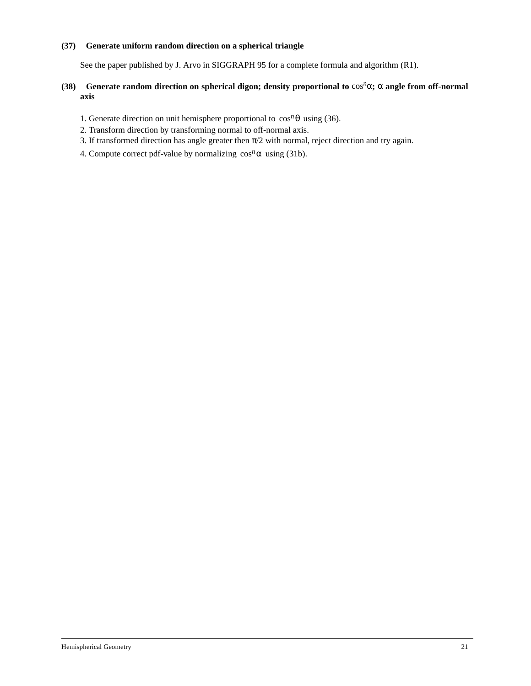#### **(37) Generate uniform random direction on a spherical triangle**

See the paper published by J. Arvo in SIGGRAPH 95 for a complete formula and algorithm (R1).

#### **(38)** Generate random direction on spherical digon; density proportional to  $\cos^n\alpha$ ;  $\alpha$  angle from off-normal **axis**

- 1. Generate direction on unit hemisphere proportional to  $\cos^n \theta$  using (36).
- 2. Transform direction by transforming normal to off-normal axis.
- 3. If transformed direction has angle greater then  $\pi/2$  with normal, reject direction and try again.
- 4. Compute correct pdf-value by normalizing  $\cos^n \alpha$  using (31b).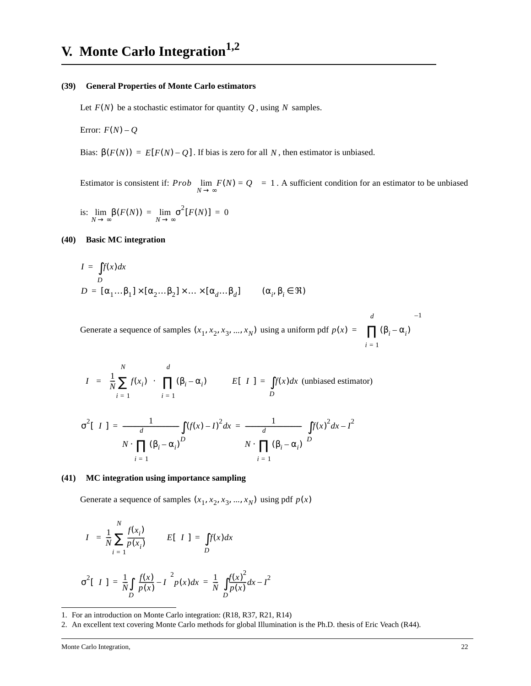#### **(39) General Properties of Monte Carlo estimators**

Let  $F(N)$  be a stochastic estimator for quantity  $Q$ , using N samples.

Error:  $F(N) - Q$ 

Bias:  $\beta(F(N)) = E[F(N) - Q]$ . If bias is zero for all N, then estimator is unbiased.

Estimator is consistent if:  $Prob\left\{\lim_{N \to \infty} F(N) = Q\right\} = 1$ . A sufficient condition for an estimator to be unbiased

is:  $\lim_{N \to \infty} \beta(F(N)) = \lim_{N \to \infty} \sigma^2 [F(N)] = 0$ 

#### **(40) Basic MC integration**

$$
I = \int_{D} f(x) dx
$$
  

$$
D = [\alpha_1 ... \beta_1] \times [\alpha_2 ... \beta_2] \times ... \times [\alpha_d ... \beta_d]
$$
  $(\alpha_i, \beta_i \in \mathfrak{R})$ 

Generate a sequence of samples  $(x_1, x_2, x_3, ..., x_N)$  using a uniform pdf  $p(x) = \prod_{i=1}^N (\beta_i - \alpha_i)$ *i* = 1 *d* ∏  $\left(\prod_{i=1}^d (\beta_i - \alpha_i)\right)^{-1}$ =

$$
\langle I \rangle = \left( \frac{1}{N} \sum_{i=1}^{N} f(x_i) \right) \cdot \left( \prod_{i=1}^{d} (\beta_i - \alpha_i) \right) \qquad E[\langle I \rangle] = \int_{D} f(x) dx \text{ (unbiased estimator)}
$$

$$
\sigma^2[\langle I \rangle] = \frac{1}{N \cdot \prod_{i=1}^{d} (\beta_i - \alpha_i)^D} \int_{N \cdot} f(x) dx = \frac{1}{N \cdot \prod_{i=1}^{d} (\beta_i - \alpha_i)} \left( \int_{D} f(x)^2 dx - I^2 \right)
$$

#### **(41) MC integration using importance sampling**

Generate a sequence of samples  $(x_1, x_2, x_3, ..., x_N)$  using pdf  $p(x)$ 

$$
\langle I \rangle = \frac{1}{N} \sum_{i=1}^{N} \frac{f(x_i)}{p(x_i)} \qquad E[\langle I \rangle] = \int_{D} f(x) dx
$$

$$
\sigma^2[\langle I \rangle] = \frac{1}{N} \int_{D} \left(\frac{f(x)}{p(x)} - I\right)^2 p(x) dx = \frac{1}{N} \left(\int_{D} \frac{f(x)^2}{p(x)} dx - I^2\right)
$$

<sup>1.</sup> For an introduction on Monte Carlo integration: (R18, R37, R21, R14)

<sup>2.</sup> An excellent text covering Monte Carlo methods for global Illumination is the Ph.D. thesis of Eric Veach (R44).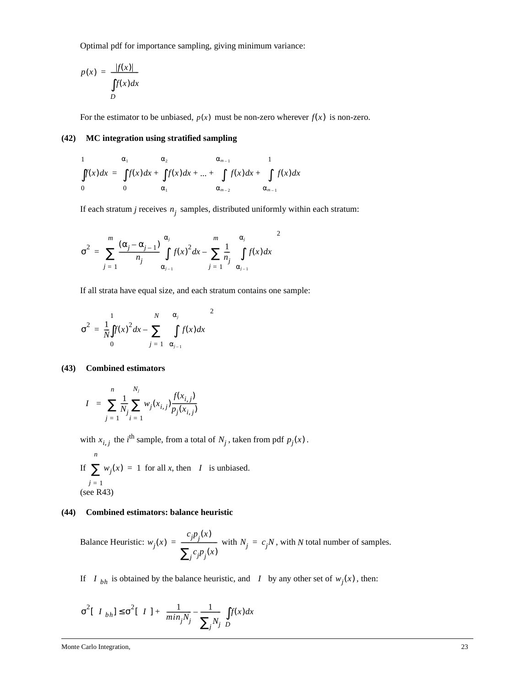Optimal pdf for importance sampling, giving minimum variance:

$$
p(x) = \frac{|f(x)|}{\int_{D} f(x) dx}
$$

For the estimator to be unbiased,  $p(x)$  must be non-zero wherever  $f(x)$  is non-zero.

#### **(42) MC integration using stratified sampling**

$$
\int_{0}^{1} f(x)dx = \int_{0}^{\alpha_{1}} f(x)dx + \int_{\alpha_{1}}^{1} f(x)dx + ... + \int_{\alpha_{m-2}}^{1} f(x)dx + \int_{\alpha_{m-1}}^{1} f(x)dx
$$

If each stratum  $j$  receives  $n_j$  samples, distributed uniformly within each stratum:

$$
\sigma^2 = \sum_{j=1}^m \frac{(\alpha_j - \alpha_{j-1})}{n_j} \int_{\alpha_{j-1}}^{\alpha_j} f(x)^2 dx - \sum_{j=1}^m \frac{1}{n_j} \left\{ \int_{\alpha_{j-1}}^{\alpha_j} f(x) dx \right\}^2
$$

If all strata have equal size, and each stratum contains one sample:

$$
\sigma^2 = \frac{1}{N} \int_0^1 f(x)^2 dx - \sum_{j=1}^N \left\{ \int_{\alpha_{j-1}}^{\alpha_j} f(x) dx \right\}^2
$$

#### **(43) Combined estimators**

$$
\langle I \rangle = \sum_{j=1}^{n} \frac{1}{N_j} \sum_{i=1}^{N_j} w_j(x_{i,j}) \frac{f(x_{i,j})}{p_j(x_{i,j})}
$$

with  $x_{i,j}$  the *i*<sup>th</sup> sample, from a total of  $N_j$ , taken from pdf  $p_j(x)$ .

If  $\sum w_j(x) = 1$  for all *x*, then  $\langle I \rangle$  is unbiased. (see R43)  $j = 1$ *n*

#### **(44) Combined estimators: balance heuristic**

Balance Heuristic:  $w_j(x) = \frac{c_j p_j(x)}{\sum_{j=1}^n w_j(x)}$  with  $N_j = c_j N$ , with *N* total number of samples.  $\sum_j c_j p_j(x)$  $=$   $\frac{f^2 f^2}{\sum_{i=1}^n}$  with  $N_j = c_j N$ 

If  $\langle I \rangle_{bh}$  is obtained by the balance heuristic, and  $\langle I \rangle$  by any other set of  $w_j(x)$ , then:

$$
\sigma^2[\langle I \rangle_{bh}] \leq \sigma^2[\langle I \rangle] + \left(\frac{1}{\min_j N_j} - \frac{1}{\sum_j N_j}\right) \int_D f(x) dx
$$

Monte Carlo Integration, 23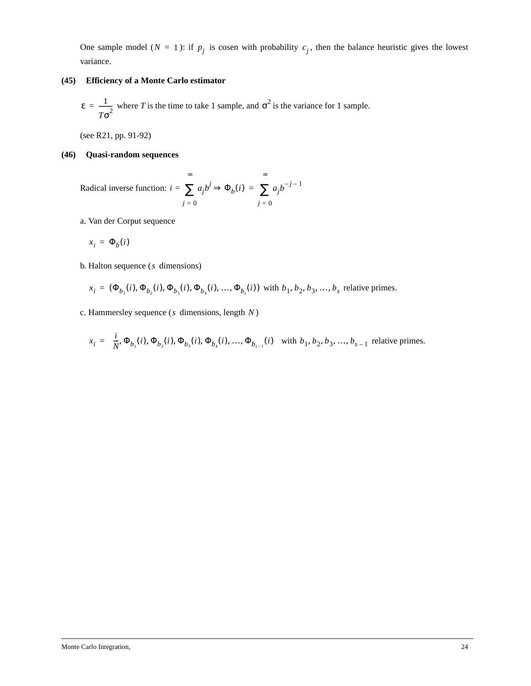One sample model ( $N = 1$ ): if  $p_j$  is cosen with probability  $c_j$ , then the balance heuristic gives the lowest variance.

#### **(45) Efficiency of a Monte Carlo estimator**

 $\varepsilon = \frac{1}{\sqrt{2}}$  where *T* is the time to take 1 sample, and  $\sigma^2$  is the variance for 1 sample.  $=\frac{1}{T\sigma^2}$  where *T* is the time to take 1 sample, and  $\sigma^2$ 

(see R21, pp. 91-92)

#### **(46) Quasi-random sequences**

Radical inverse function:  $i = \sum a_j b^j$ *j* = 0 ∞  $= \sum a_j b^j \Rightarrow \Phi_b(i) = \sum a_j b^{-j-1}$ *j* = 0 ∞ <sup>=</sup> ∑

a. Van der Corput sequence

$$
x_i = \Phi_b(i)
$$

**b.** Halton sequence (s dimensions)

$$
x_i = (\Phi_{b_1}(i), \Phi_{b_2}(i), \Phi_{b_3}(i), \Phi_{b_4}(i), ..., \Phi_{b_s}(i))
$$
 with  $b_1, b_2, b_3, ..., b_s$  relative primes.

c. Hammersley sequence ( $s$  dimensions, length  $N$ )

$$
x_i = \left(\frac{i}{N}, \Phi_{b_1}(i), \Phi_{b_2}(i), \Phi_{b_3}(i), \Phi_{b_4}(i), \dots, \Phi_{b_{s-1}}(i)\right)
$$
 with  $b_1, b_2, b_3, \dots, b_{s-1}$  relative primes.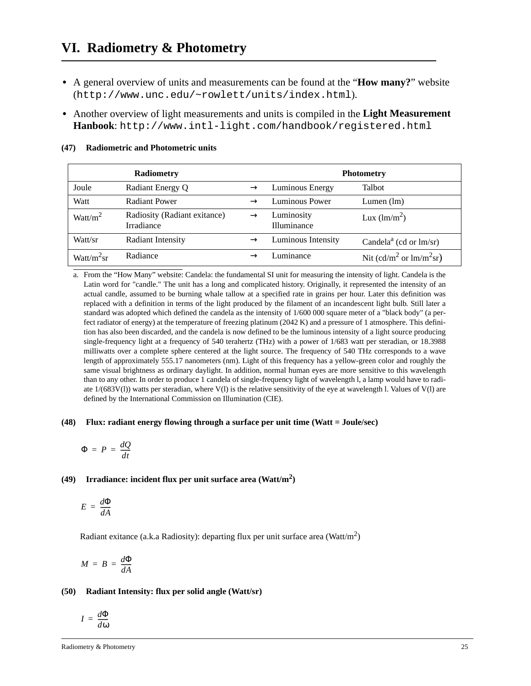# **VI. Radiometry & Photometry**

- **•** A general overview of units and measurements can be found at the "**How many?**" website (http://www.unc.edu/~rowlett/units/index.html).
- **•** Another overview of light measurements and units is compiled in the **Light Measurement Hanbook**: http://www.intl-light.com/handbook/registered.html

|                | <b>Radiometry</b>                          | <b>Photometry</b> |                           |                                       |
|----------------|--------------------------------------------|-------------------|---------------------------|---------------------------------------|
| Joule          | Radiant Energy Q                           |                   | Luminous Energy           | Talbot                                |
| Watt           | Radiant Power                              |                   | Luminous Power            | Lumen $(lm)$                          |
| Watt/ $m^2$    | Radiosity (Radiant exitance)<br>Irradiance | $\rightarrow$     | Luminosity<br>Illuminance | Lux $(lm/m^2)$                        |
| Watt/sr        | <b>Radiant Intensity</b>                   |                   | Luminous Intensity        | Candela <sup>a</sup> (cd or $lm/sr$ ) |
| Watt/ $m^2$ sr | Radiance                                   |                   | i uminance                | Nit (cd/m <sup>2</sup> or $lm/m2sr$ ) |

#### **(47) Radiometric and Photometric units**

a. From the "How Many" website: Candela: the fundamental SI unit for measuring the intensity of light. Candela is the Latin word for "candle." The unit has a long and complicated history. Originally, it represented the intensity of an actual candle, assumed to be burning whale tallow at a specified rate in grains per hour. Later this definition was replaced with a definition in terms of the light produced by the filament of an incandescent light bulb. Still later a standard was adopted which defined the candela as the intensity of 1/600 000 square meter of a "black body" (a perfect radiator of energy) at the temperature of freezing platinum (2042 K) and a pressure of 1 atmosphere. This definition has also been discarded, and the candela is now defined to be the luminous intensity of a light source producing single-frequency light at a frequency of 540 terahertz (THz) with a power of 1/683 watt per steradian, or 18.3988 milliwatts over a complete sphere centered at the light source. The frequency of 540 THz corresponds to a wave length of approximately 555.17 nanometers (nm). Light of this frequency has a yellow-green color and roughly the same visual brightness as ordinary daylight. In addition, normal human eyes are more sensitive to this wavelength than to any other. In order to produce 1 candela of single-frequency light of wavelength l, a lamp would have to radiate  $1/(683V(l))$  watts per steradian, where  $V(l)$  is the relative sensitivity of the eye at wavelength l. Values of  $V(l)$  are defined by the International Commission on Illumination (CIE).

#### **(48) Flux: radiant energy flowing through a surface per unit time (Watt = Joule/sec)**

$$
\Phi = P = \frac{dQ}{dt}
$$

### **(49) Irradiance: incident flux per unit surface area (Watt/m2 )**

$$
E = \frac{d\Phi}{dA}
$$

Radiant exitance (a.k.a Radiosity): departing flux per unit surface area (Watt/m<sup>2</sup>)

$$
M = B = \frac{d\Phi}{dA}
$$

#### **(50) Radiant Intensity: flux per solid angle (Watt/sr)**

$$
I=\frac{d\Phi}{d\omega}
$$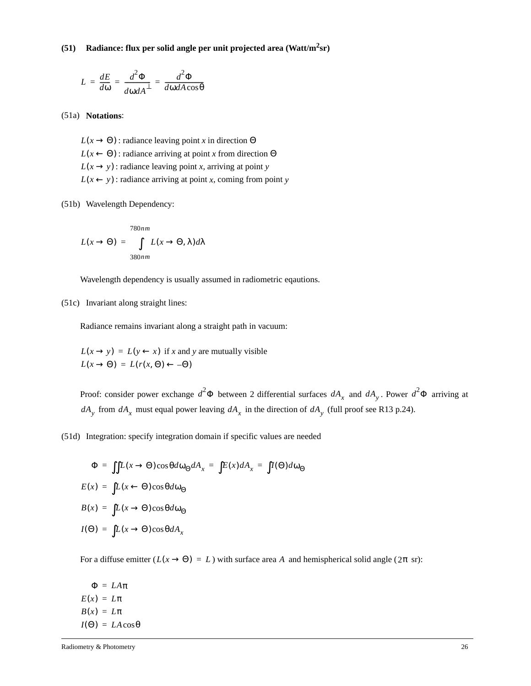**(51) Radiance: flux per solid angle per unit projected area (Watt/m2sr)**

$$
L = \frac{dE}{d\omega} = \frac{d^2\Phi}{d\omega dA^{\perp}} = \frac{d^2\Phi}{d\omega dA\cos\theta}
$$

(51a) **Notations**:

 $L(x \rightarrow \Theta)$ : radiance leaving point *x* in direction  $\Theta$  $L(x \leftarrow \Theta)$ : radiance arriving at point *x* from direction  $\Theta$  $L(x \rightarrow y)$ : radiance leaving point *x*, arriving at point *y*  $L(x \leftarrow y)$ : radiance arriving at point *x*, coming from point *y* 

#### (51b) Wavelength Dependency:

$$
L(x \to \Theta) = \int_{380nm}^{780nm} L(x \to \Theta, \lambda) d\lambda
$$

Wavelength dependency is usually assumed in radiometric eqautions.

(51c) Invariant along straight lines:

Radiance remains invariant along a straight path in vacuum:

 $L(x \rightarrow y) = L(y \leftarrow x)$  if x and y are mutually visible  $L(x \rightarrow \Theta) = L(r(x, \Theta) \leftarrow -\Theta)$ 

Proof: consider power exchange  $d^2\Phi$  between 2 differential surfaces  $dA_x$  and  $dA_y$ . Power  $d^2\Phi$  arriving at  $dA_y$  from  $dA_x$  must equal power leaving  $dA_x$  in the direction of  $dA_y$  (full proof see R13 p.24).

(51d) Integration: specify integration domain if specific values are needed

$$
\Phi = \iint L(x \to \Theta) \cos\theta d\omega_{\Theta} dA_x = \int E(x) dA_x = \int I(\Theta) d\omega_{\Theta}
$$
  

$$
E(x) = \int L(x \leftarrow \Theta) \cos\theta d\omega_{\Theta}
$$
  

$$
B(x) = \int L(x \to \Theta) \cos\theta d\omega_{\Theta}
$$
  

$$
I(\Theta) = \int L(x \to \Theta) \cos\theta dA_x
$$

For a diffuse emitter  $(L(x \rightarrow \Theta) = L)$  with surface area A and hemispherical solid angle  $(2\pi \text{ sr})$ :

Φ = *LA*π  $E(x) = L\pi$  $B(x) = L\pi$  $I(\Theta) = LA\cos\theta$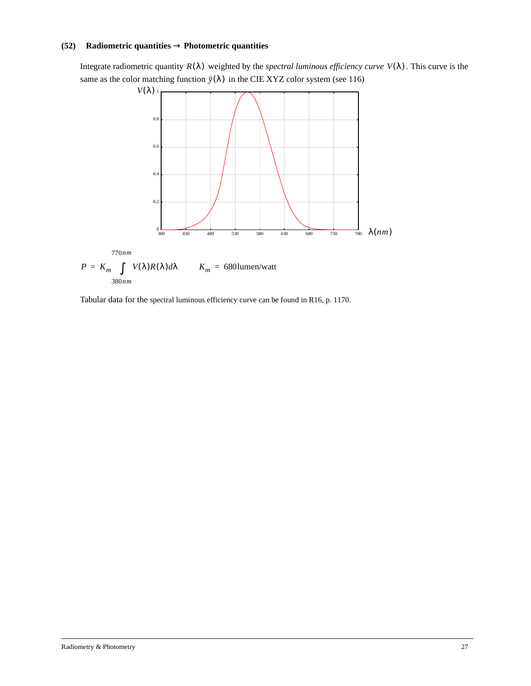#### **(52) Radiometric quantities** → **Photometric quantities**

Integrate radiometric quantity  $R(\lambda)$  weighted by the *spectral luminous efficiency curve*  $V(\lambda)$ . This curve is the same as the color matching function  $\bar{y}(\lambda)$  in the CIE XYZ color system (see 116)



Tabular data for the spectral luminous efficiency curve can be found in R16, p. 1170.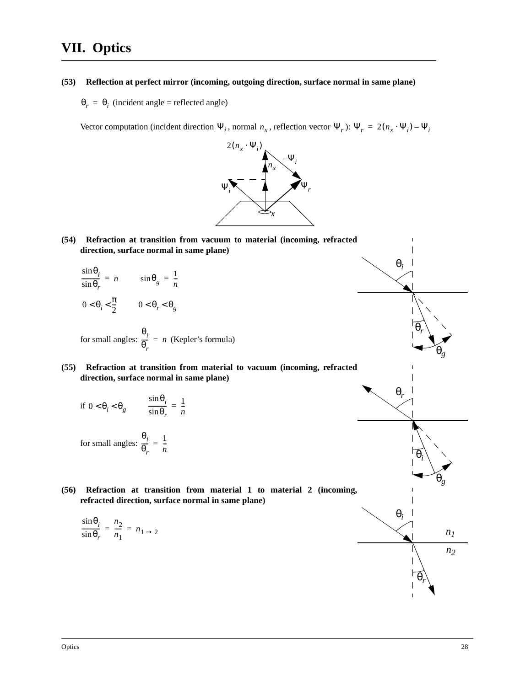# **VII. Optics**

**(53) Reflection at perfect mirror (incoming, outgoing direction, surface normal in same plane)**

 $\theta_r = \theta_i$  (incident angle = reflected angle)

Vector computation (incident direction  $\Psi_i$ , normal  $n_x$ , reflection vector  $\Psi_r$ ):  $\Psi_r = 2(n_x \cdot \Psi_i) - \Psi_i$ 



- **(54) Refraction at transition from vacuum to material (incoming, refracted direction, surface normal in same plane)**
	- $\sin \theta_i$   $\sin \theta_i = 1$  $\frac{\sin \theta_i}{\sin \theta_r} = n$   $\sin \theta_g = \frac{1}{n}$  $0 < \theta_i < \frac{\pi}{2}$   $0 < \theta_r < \theta_g$

for small angles: 
$$
\frac{\theta_i}{\theta_r} = n
$$
 (Kepler's formula)

#### **(55) Refraction at transition from material to vacuum (incoming, refracted direction, surface normal in same plane)**

if 
$$
0 < \theta_i < \theta_g
$$
 
$$
\frac{\sin \theta_i}{\sin \theta_r} = \frac{1}{n}
$$

for small angles: 
$$
\frac{\theta_i}{\theta_r} = \frac{1}{n}
$$

(56) Refraction at transition from material 1 to material 2 (inc **refracted direction, surface normal in same plane)**

$$
\frac{\sin \theta_i}{\sin \theta_r} = \frac{n_2}{n_1} = n_1 \rightarrow 2
$$

$$
\begin{array}{c|c}\n\theta_r & \theta_r \\
\hline\n\theta_r & \theta_r \\
\hline\n\theta_i & \theta_i \\
\hline\n\theta_i & \theta_r \\
\hline\n\theta_r & \theta_r\n\end{array}
$$

θ*g*

θ*g*

*n1*

*n2*

l

θ*r*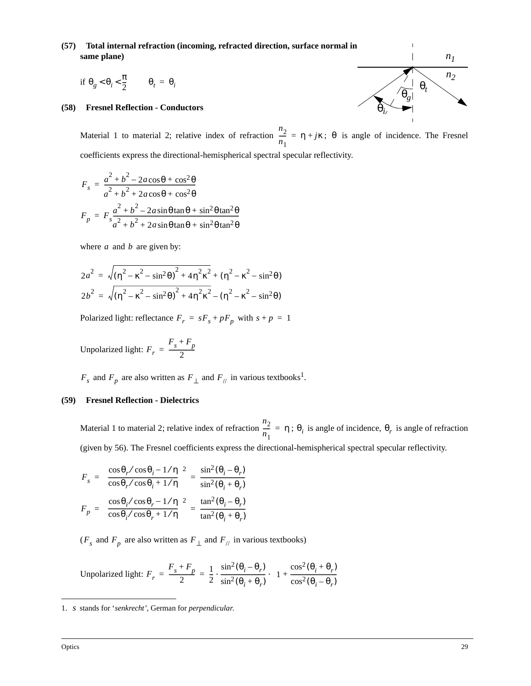#### **(57) Total internal refraction (incoming, refracted direction, surface normal in same plane)**

$$
\text{if }\theta_g < \theta_i < \frac{\pi}{2} \qquad \theta_t = \theta_i
$$

#### **(58) Fresnel Reflection - Conductors**

Material 1 to material 2; relative index of refraction  $\frac{n_2}{n_1} = \eta + j\kappa$ ;  $\theta$  is angle of incidence. The Fresnel coefficients express the directional-hemispherical spectral specular reflectivity.  $\frac{2}{n_1}$  = η + *j*κ; θ

$$
F_s = \frac{a^2 + b^2 - 2a\cos\theta + \cos^2\theta}{a^2 + b^2 + 2a\cos\theta + \cos^2\theta}
$$
  

$$
F_p = F_s \frac{a^2 + b^2 - 2a\sin\theta\tan\theta + \sin^2\theta\tan^2\theta}{a^2 + b^2 + 2a\sin\theta\tan\theta + \sin^2\theta\tan^2\theta}
$$

where  $a$  and  $b$  are given by:

$$
2a^{2} = \sqrt{(\eta^{2} - \kappa^{2} - \sin^{2}\theta)^{2} + 4\eta^{2}\kappa^{2}} + (\eta^{2} - \kappa^{2} - \sin^{2}\theta)
$$
  

$$
2b^{2} = \sqrt{(\eta^{2} - \kappa^{2} - \sin^{2}\theta)^{2} + 4\eta^{2}\kappa^{2}} - (\eta^{2} - \kappa^{2} - \sin^{2}\theta)
$$

Polarized light: reflectance  $F_r = sF_s + pF_p$  with  $s + p = 1$ 

Unpolarized light: 
$$
F_r = \frac{F_s + F_p}{2}
$$

 $F_s$  and  $F_p$  are also written as  $F_{\perp}$  and  $F_{\parallel}$  in various textbooks<sup>1</sup>.

#### **(59) Fresnel Reflection - Dielectrics**

Material 1 to material 2; relative index of refraction  $\frac{n_2}{n_1} = \eta$ ;  $\theta_i$  is angle of incidence,  $\theta_r$  is angle of refraction (given by 56). The Fresnel coefficients express the directional-hemispherical spectral specular reflectivity.  $\frac{2}{n_1} = \eta$ ;  $\theta_i$  is angle of incidence,  $\theta_r$ 

$$
F_s = \left(\frac{\cos\theta_r/\cos\theta_i - 1/\eta}{\cos\theta_r/\cos\theta_i + 1/\eta}\right)^2 = \frac{\sin^2(\theta_i - \theta_r)}{\sin^2(\theta_i + \theta_r)}
$$

$$
F_p = \left(\frac{\cos\theta_i/\cos\theta_r - 1/\eta}{\cos\theta_i/\cos\theta_r + 1/\eta}\right)^2 = \frac{\tan^2(\theta_i - \theta_r)}{\tan^2(\theta_i + \theta_r)}
$$

 $(F_s$  and  $F_p$  are also written as  $F_\perp$  and  $F_{\parallel}/$  in various textbooks)

Unpolarized light: 
$$
F_r = \frac{F_s + F_p}{2} = \frac{1}{2} \cdot \frac{\sin^2(\theta_i - \theta_r)}{\sin^2(\theta_i + \theta_r)} \cdot \left(1 + \frac{\cos^2(\theta_i + \theta_r)}{\cos^2(\theta_i - \theta_r)}\right)
$$

<sup>1.</sup> stands for '*senkrecht'*, German for *perpendicular*. *s*

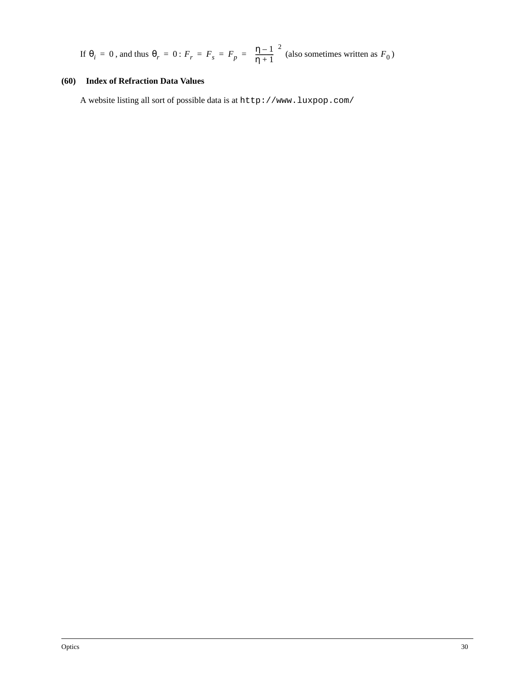If 
$$
\theta_i = 0
$$
, and thus  $\theta_r = 0$ :  $F_r = F_s = F_p = \left(\frac{\eta - 1}{\eta + 1}\right)^2$  (also sometimes written as  $F_0$ )

#### **(60) Index of Refraction Data Values**

A website listing all sort of possible data is at http://www.luxpop.com/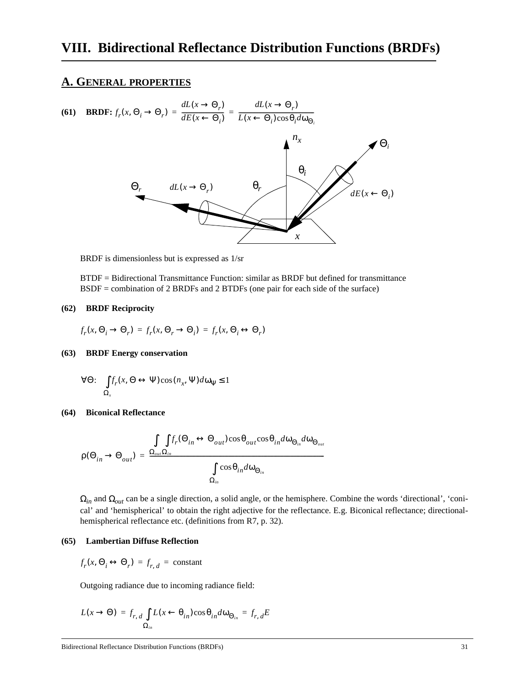### **A. GENERAL PROPERTIES**

(61) BRDF: 
$$
f_r(x, \Theta_i \to \Theta_r) = \frac{dL(x \to \Theta_r)}{dE(x \leftarrow \Theta_i)} = \frac{dL(x \to \Theta_r)}{L(x \leftarrow \Theta_i)\cos\theta_i d\omega_{\Theta_i}}
$$
  

$$
\Theta_r \qquad dL(x \to \Theta_r) \qquad \Theta_r
$$

BRDF is dimensionless but is expressed as 1/sr

BTDF = Bidirectional Transmittance Function: similar as BRDF but defined for transmittance BSDF = combination of 2 BRDFs and 2 BTDFs (one pair for each side of the surface)

#### **(62) BRDF Reciprocity**

$$
f_r(x,\Theta_i\to\Theta_r)\,=f_r(x,\Theta_r\to\Theta_i)\,=f_r(x,\Theta_i\leftrightarrow\Theta_r)
$$

#### **(63) BRDF Energy conservation**

$$
\forall \Theta \colon \int_{\Omega_x} f_r(x, \Theta \leftrightarrow \Psi) \cos(n_x, \Psi) d\omega_{\Psi} \le 1
$$

#### **(64) Biconical Reflectance**

$$
\rho(\Theta_{in} \to \Theta_{out}) = \frac{\int_{\Omega_{out}} f_r(\Theta_{in} \leftrightarrow \Theta_{out}) \cos \theta_{out} \cos \theta_{in} d\omega_{\Theta_{in}} d\omega_{\Theta_{out}}}{\int_{\Omega_{in}} \cos \theta_{in} d\omega_{\Theta_{in}}}
$$

Ω*in* and Ω*out* can be a single direction, a solid angle, or the hemisphere. Combine the words 'directional', 'conical' and 'hemispherical' to obtain the right adjective for the reflectance. E.g. Biconical reflectance; directionalhemispherical reflectance etc. (definitions from R7, p. 32).

#### **(65) Lambertian Diffuse Reflection**

 $f_r(x, \Theta_i \leftrightarrow \Theta_r) = f_{r, d}$  = constant

Outgoing radiance due to incoming radiance field:

$$
L(x \to \Theta) = f_{r,d} \int_{\Omega_{in}} L(x \leftarrow \theta_{in}) \cos \theta_{in} d\omega_{\Theta_{in}} = f_{r,d} E
$$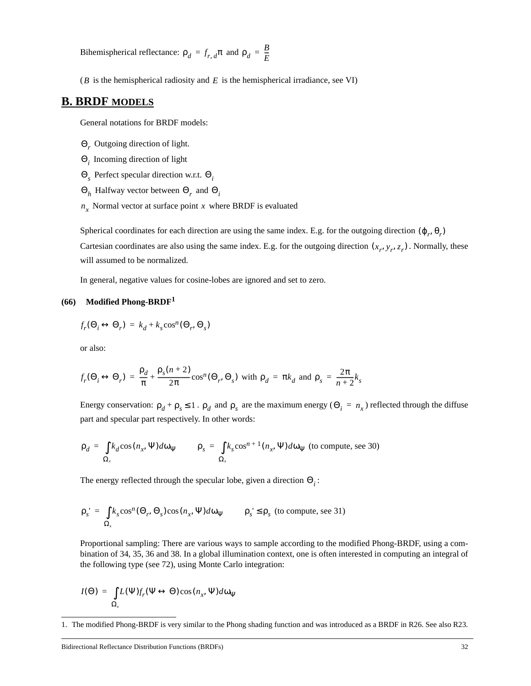Bihemispherical reflectance:  $\rho_d = f_{r, d} \pi$  and  $\rho_d = \frac{B}{E}$ 

 $(B$  is the hemispherical radiosity and  $E$  is the hemispherical irradiance, see VI)

### **B. BRDF MODELS**

General notations for BRDF models:

- Outgoing direction of light. Θ*r*
- Incoming direction of light Θ*i*
- Perfect specular direction w.r.t. Θ*<sup>s</sup>* Θ*<sup>i</sup>*
- $\Theta_h$  Halfway vector between  $\Theta_r$  and  $\Theta_i$
- $n_x$  Normal vector at surface point x where BRDF is evaluated

Spherical coordinates for each direction are using the same index. E.g. for the outgoing direction  $(\varphi_r, \theta_r)$ Cartesian coordinates are also using the same index. E.g. for the outgoing direction  $(x_r, y_r, z_r)$ . Normally, these will assumed to be normalized.

In general, negative values for cosine-lobes are ignored and set to zero.

#### **(66) Modified Phong-BRDF<sup>1</sup>**

 $f_r(\Theta_i \leftrightarrow \Theta_r) = k_d + k_s \cos^n(\Theta_r, \Theta_s)$ 

or also:

$$
f_r(\Theta_i \leftrightarrow \Theta_r) = \frac{\rho_d}{\pi} + \frac{\rho_s(n+2)}{2\pi} \cos^n(\Theta_r, \Theta_s) \text{ with } \rho_d = \pi k_d \text{ and } \rho_s = \frac{2\pi}{n+2} k_s
$$

Energy conservation:  $\rho_d + \rho_s \le 1$ .  $\rho_d$  and  $\rho_s$  are the maximum energy ( $\Theta_i = n_x$ ) reflected through the diffuse part and specular part respectively. In other words:

$$
\rho_d = \int_{\Omega_x} k_d \cos(n_x, \Psi) d\omega_{\Psi} \qquad \rho_s = \int_{\Omega_x} k_s \cos^{n+1}(n_x, \Psi) d\omega_{\Psi}
$$
 (to compute, see 30)

The energy reflected through the specular lobe, given a direction  $\Theta_i$ :

$$
\rho_s' = \int_{\Omega_x} k_s \cos^n(\Theta_r, \Theta_s) \cos(n_x, \Psi) d\omega_{\Psi} \qquad \rho_s' \le \rho_s \text{ (to compute, see 31)}
$$

Proportional sampling: There are various ways to sample according to the modified Phong-BRDF, using a combination of 34, 35, 36 and 38. In a global illumination context, one is often interested in computing an integral of the following type (see 72), using Monte Carlo integration:

$$
I(\Theta) = \int_{\Omega_x} L(\Psi) f_r(\Psi \leftrightarrow \Theta) \cos(n_x, \Psi) d\omega_{\Psi}
$$

<sup>1.</sup> The modified Phong-BRDF is very similar to the Phong shading function and was introduced as a BRDF in R26. See also R23.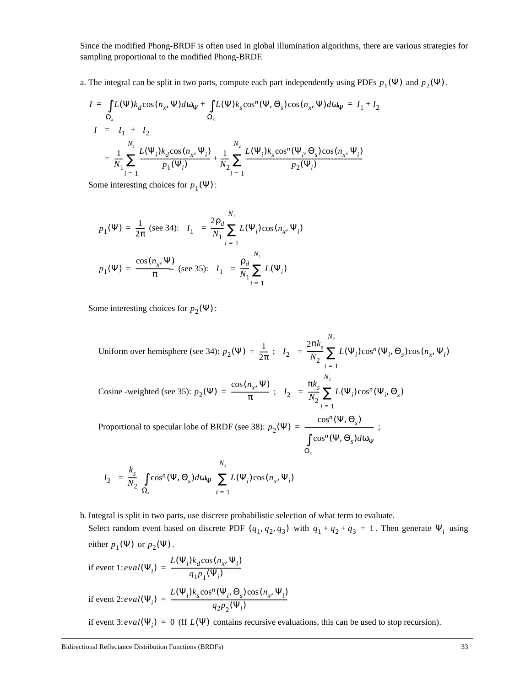Since the modified Phong-BRDF is often used in global illumination algorithms, there are various strategies for sampling proportional to the modified Phong-BRDF.

a. The integral can be split in two parts, compute each part independently using PDFs  $p_1(\Psi)$  and  $p_2(\Psi)$ .

$$
I = \int_{\Omega_x} L(\Psi) k_d \cos(n_x, \Psi) d\omega_{\Psi} + \int_{\Omega_x} L(\Psi) k_s \cos^n(\Psi, \Theta_s) \cos(n_x, \Psi) d\omega_{\Psi} = I_1 + I_2
$$
  

$$
\langle I \rangle = \langle I_1 \rangle + \langle I_2 \rangle
$$
  

$$
= \frac{1}{N_1} \sum_{i=1}^{N_1} \frac{L(\Psi_i) k_d \cos(n_x, \Psi_i)}{p_1(\Psi_i)} + \frac{1}{N_2} \sum_{i=1}^{N_2} \frac{L(\Psi_i) k_s \cos^n(\Psi_i, \Theta_s) \cos(n_x, \Psi_i)}{p_2(\Psi_i)}
$$

Some interesting choices for  $p_1(\Psi)$ :

$$
p_1(\Psi) = \frac{1}{2\pi} \text{ (see 34): } \langle I_1 \rangle = \frac{2\rho_d}{N_1} \sum_{i=1}^{N_1} L(\Psi_i) \cos(n_x, \Psi_i)
$$

$$
p_1(\Psi) = \frac{\cos(n_x, \Psi)}{\pi} \text{ (see 35): } \langle I_1 \rangle = \frac{\rho_d}{N_1} \sum_{i=1}^{N_1} L(\Psi_i)
$$

Some interesting choices for  $p_2(\Psi)$ :

Uniform over hemisphere (see 34):  $p_2(\Psi) = \frac{1}{2\pi}$ ;  $\langle I_2 \rangle$ Cosine -weighted (see 35):  $p_2(\Psi) = \frac{\cos(n_x, \Psi)}{\pi}$ ;  $\langle I_2 \rangle$ Proportional to specular lobe of BRDF (see 38):  $p_2(\Psi) =$  \_\_\_\_\_\_\_\_\_\_\_\_\_\_\_\_\_\_;  $2\pi k_{s}$  $\frac{1}{N_2} \sum_{i} L(\Psi_i) \cos^n(\Psi_i, \Theta_s) \cos(n_x, \Psi_i)$ *i* = 1 *N*2  $=$   $\frac{1}{N_2} \sum$  $\pi k_{s}$  $\frac{m_s}{N_2} \sum L(\Psi_i) \cos^n(\Psi_i, \Theta_s)$ *i* = 1 *N*2  $=\frac{S}{N_2}\sum$  $p_2(\Psi)$  $\cos^n(\Psi, \Theta_s)$  $\cos^n(\Psi, \Theta_s) d\omega_\Psi$ Ω*x* ∫  $=$   $$  $k_{s}$  $\int$  $\bigwedge^{N_2}$ 

$$
\langle I_2 \rangle = \frac{k_s}{N_2} \left( \int_{\Omega_x} \cos^n(\Psi, \Theta_s) d\omega_\Psi \right) \sum_{i=1} L(\Psi_i) \cos(n_x, \Psi_i)
$$

b. Integral is split in two parts, use discrete probabilistic selection of what term to evaluate. Select random event based on discrete PDF  $(q_1, q_2, q_3)$  with  $q_1 + q_2 + q_3 = 1$ . Then generate  $\Psi_i$  using either  $p_1(\Psi)$  or  $p_2(\Psi)$ .

if event 1: 
$$
eval(\Psi_i) = \frac{L(\Psi_i) k_d \cos(n_x, \Psi_i)}{q_1 p_1(\Psi_i)}
$$
  
if event 2:  $eval(\Psi_i) = \frac{L(\Psi_i) k_s \cos^n(\Psi_i, \Theta_s) \cos(n_x, \Psi_i)}{q_2 p_2(\Psi_i)}$ 

if event 3:  $eval(\Psi_i) = 0$  (If  $L(\Psi)$  contains recursive evaluations, this can be used to stop recursion).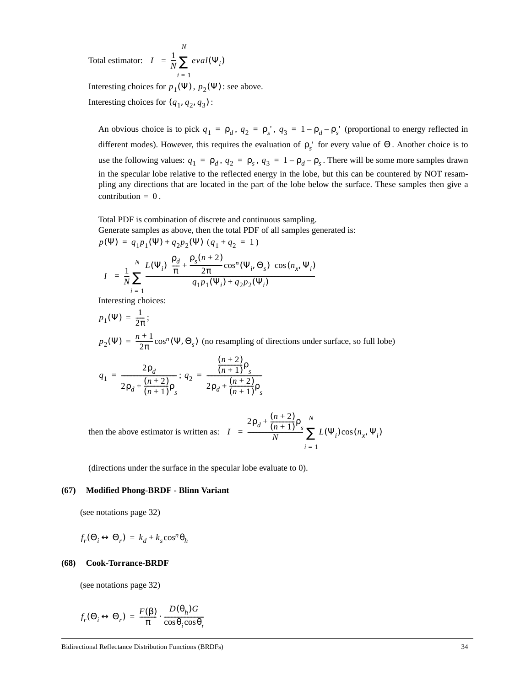Total estimator:  $\langle I \rangle = \frac{1}{N} \sum \text{eval}(\Psi_i)$ *i* = 1 *N*  $=$   $\frac{1}{N} \sum$ 

Interesting choices for  $p_1(\Psi)$ ,  $p_2(\Psi)$ : see above. Interesting choices for  $(q_1, q_2, q_3)$ :

An obvious choice is to pick  $q_1 = \rho_d$ ,  $q_2 = \rho_s$ ,  $q_3 = 1 - \rho_d - \rho_s$  (proportional to energy reflected in different modes). However, this requires the evaluation of  $\rho_s$ <sup>'</sup> for every value of  $\Theta$ . Another choice is to use the following values:  $q_1 = \rho_d$ ,  $q_2 = \rho_s$ ,  $q_3 = 1 - \rho_d - \rho_s$ . There will be some more samples drawn in the specular lobe relative to the reflected energy in the lobe, but this can be countered by NOT resampling any directions that are located in the part of the lobe below the surface. These samples then give a  $contribution = 0$ .

Total PDF is combination of discrete and continuous sampling.

Generate samples as above, then the total PDF of all samples generated is:

$$
p(\Psi) = q_1 p_1(\Psi) + q_2 p_2(\Psi) (q_1 + q_2 = 1)
$$
  

$$
\langle I \rangle = \frac{1}{N} \sum_{i=1}^{N} \frac{L(\Psi_i) \left( \frac{\rho_d}{\pi} + \frac{\rho_s(n+2)}{2\pi} \cos^n(\Psi_i, \Theta_s) \right) \cos(n_x, \Psi_i)}{q_1 p_1(\Psi_i) + q_2 p_2(\Psi_i)}
$$

Interesting choices:

$$
p_1(\Psi) = \frac{1}{2\pi};
$$
  
\n
$$
p_2(\Psi) = \frac{n+1}{2\pi} \cos^n(\Psi, \Theta_s)
$$
 (no resampling of directions under surface, so full lobe)

$$
q_1 = \frac{2\rho_d}{2\rho_d + \frac{(n+2)\rho_s}{(n+1)}\rho_s}; q_2 = \frac{\frac{(n+2)\rho_s}{(n+1)}\rho_s}{2\rho_d + \frac{(n+2)\rho_s}{(n+1)}\rho_s}
$$

then the above estimator is written as:  $\langle I \rangle$  $2\rho_d + \frac{(n+2)}{(n+1)}\rho_s$  $\frac{(n+1)^{3}}{N} \sum L(\Psi_i) \cos(n_x, \Psi_i)$ *i* = 1 *N*  $=\frac{(n+1) s}{N} \sum$ 

(directions under the surface in the specular lobe evaluate to 0).

#### **(67) Modified Phong-BRDF - Blinn Variant**

(see notations page 32)

$$
f_r(\Theta_i \leftrightarrow \Theta_r) = k_d + k_s \cos^n \theta_h
$$

#### **(68) Cook-Torrance-BRDF**

(see notations page 32)

$$
f_r(\Theta_i \leftrightarrow \Theta_r) = \frac{F(\beta)}{\pi} \cdot \frac{D(\theta_h)G}{\cos \theta_i \cos \theta_r}
$$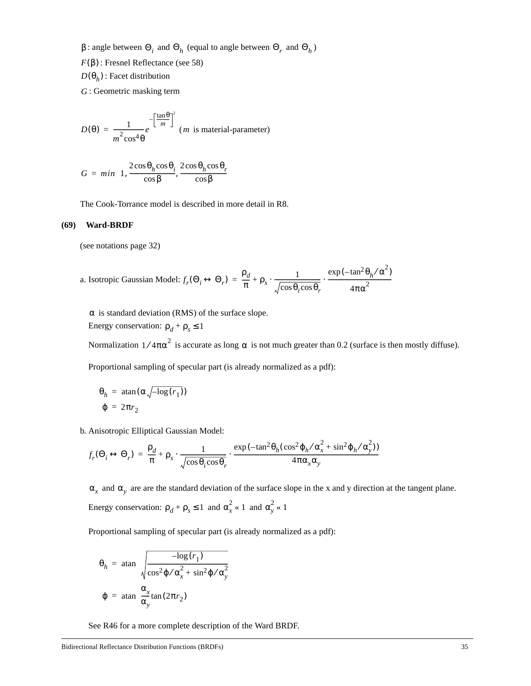β : angle between  $\Theta_i$  and  $\Theta_h$  (equal to angle between  $\Theta_r$  and  $\Theta_h$ )

- $F(\beta)$ : Fresnel Reflectance (see 58)
- *D*( $θ<sub>h</sub>$ ): Facet distribution
- : Geometric masking term *G*

$$
D(\theta) = \frac{1}{m^2 \cos^4 \theta} e^{-\left[\frac{\tan \theta}{m}\right]^2}
$$
 (*m* is material-parameter)

$$
G = min\left\{1, \frac{2\cos\theta_h \cos\theta_i}{\cos\beta}, \frac{2\cos\theta_h \cos\theta_r}{\cos\beta}\right\}
$$

The Cook-Torrance model is described in more detail in R8.

#### **(69) Ward-BRDF**

(see notations page 32)

a. Isotropic Gaussian Model: 
$$
f_r(\Theta_i \leftrightarrow \Theta_r) = \frac{\rho_d}{\pi} + \rho_s \cdot \frac{1}{\sqrt{\cos \theta_i \cos \theta_r}} \cdot \frac{\exp(-\tan^2 \theta_h / \alpha^2)}{4\pi \alpha^2}
$$

 $\alpha$  is standard deviation (RMS) of the surface slope.

Energy conservation:  $\rho_d + \rho_s \leq 1$ 

Normalization  $1/4\pi\alpha^2$  is accurate as long  $\alpha$  is not much greater than 0.2 (surface is then mostly diffuse).

Proportional sampling of specular part (is already normalized as a pdf):

$$
\theta_h = \operatorname{atan}(\alpha \sqrt{-\log(r_1)})
$$
  

$$
\varphi = 2\pi r_2
$$

b. Anisotropic Elliptical Gaussian Model:

$$
f_r(\Theta_i \leftrightarrow \Theta_r) = \frac{\rho_d}{\pi} + \rho_s \cdot \frac{1}{\sqrt{\cos \theta_i \cos \theta_r}} \cdot \frac{\exp(-\tan^2 \theta_h (\cos^2 \phi_h / \alpha_x^2 + \sin^2 \phi_h / \alpha_y^2))}{4\pi \alpha_x \alpha_y}
$$

 $\alpha_x$  and  $\alpha_y$  are are the standard deviation of the surface slope in the x and y direction at the tangent plane. Energy conservation:  $\rho_d + \rho_s \le 1$  and  $\alpha_x^2 \ll 1$  and  $\alpha_y^2 \ll 1$ 

Proportional sampling of specular part (is already normalized as a pdf):

$$
\theta_h = \operatorname{atan}\left(\sqrt{\frac{-\log(r_1)}{\cos^2 \phi / \alpha_x^2 + \sin^2 \phi / \alpha_y^2}}\right)
$$

$$
\varphi = \operatorname{atan}\left(\frac{\alpha_x}{\alpha_y} \tan(2\pi r_2)\right)
$$

See R46 for a more complete description of the Ward BRDF.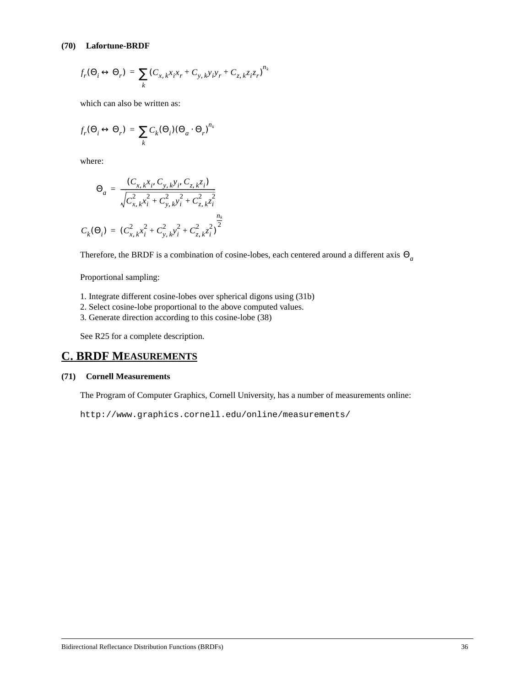$$
f_r(\Theta_i \leftrightarrow \Theta_r) = \sum_k (C_{x, k} x_i x_r + C_{y, k} y_i y_r + C_{z, k} z_i z_r)^{n_k}
$$

which can also be written as:

$$
f_r(\Theta_i \leftrightarrow \Theta_r) = \sum_k C_k(\Theta_i)(\Theta_a \cdot \Theta_r)^{n_k}
$$

where:

$$
\Theta_a = \frac{(C_{x, k}x_i, C_{y, k}y_i, C_{z, k}z_i)}{\sqrt{C_{x, k}^2 x_i^2 + C_{y, k}^2 y_i^2 + C_{z, k}^2 z_i^2}}
$$

$$
C_k(\Theta_i) = (C_{x, k}^2 x_i^2 + C_{y, k}^2 y_i^2 + C_{z, k}^2 z_i^2)^{\frac{n_k}{2}}
$$

Therefore, the BRDF is a combination of cosine-lobes, each centered around a different axis Θ*a*

Proportional sampling:

- 1. Integrate different cosine-lobes over spherical digons using (31b)
- 2. Select cosine-lobe proportional to the above computed values.
- 3. Generate direction according to this cosine-lobe (38)

See R25 for a complete description.

## **C. BRDF MEASUREMENTS**

#### **(71) Cornell Measurements**

The Program of Computer Graphics, Cornell University, has a number of measurements online:

```
http://www.graphics.cornell.edu/online/measurements/
```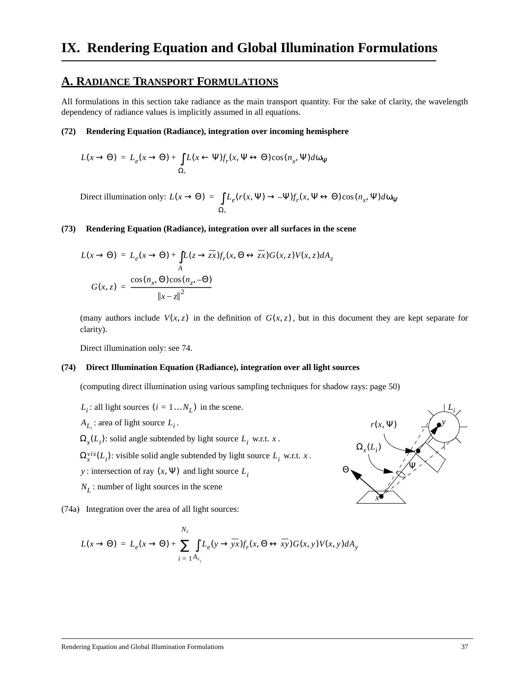## **A. RADIANCE TRANSPORT FORMULATIONS**

All formulations in this section take radiance as the main transport quantity. For the sake of clarity, the wavelength dependency of radiance values is implicitly assumed in all equations.

#### **(72) Rendering Equation (Radiance), integration over incoming hemisphere**

$$
L(x \to \Theta) = L_e(x \to \Theta) + \int_{\Omega_x} L(x \leftarrow \Psi) f_r(x, \Psi \leftrightarrow \Theta) \cos(n_x, \Psi) d\omega_{\Psi}
$$

Direct illumination only:  $L(x \to \Theta) = \int L_e(r(x, \Psi) \to -\Psi) f_r(x, \Psi \leftrightarrow \Theta) \cos(n_x, \Psi) d\omega_{\Psi}$ Ω*<sup>x</sup>*  $=$   $\int$ 

#### **(73) Rendering Equation (Radiance), integration over all surfaces in the scene**

$$
L(x \to \Theta) = L_e(x \to \Theta) + \int_{A} L(z \to \overline{zx}) f_r(x, \Theta \leftrightarrow \overline{zx}) G(x, z) V(x, z) dA_z
$$
  

$$
G(x, z) = \frac{\cos(n_x, \Theta) \cos(n_z, -\Theta)}{\|x - z\|^2}
$$

(many authors include  $V(x, z)$  in the definition of  $G(x, z)$ , but in this document they are kept separate for clarity).

Direct illumination only: see 74.

#### **(74) Direct Illumination Equation (Radiance), integration over all light sources**

(computing direct illumination using various sampling techniques for shadow rays: page 50)

- $L_i$ : all light sources  $(i = 1...N_L)$  in the scene.
- $A_{L_i}$ : area of light source  $L_i$ .
- $\Omega_x(L_i)$ : solid angle subtended by light source  $L_i$  w.r.t. x.
- $\Omega_x^{vis}(L_i)$ : visible solid angle subtended by light source  $L_i$  w.r.t. x.
- *y* : intersection of ray  $(x, \Psi)$  and light source  $L_i$
- : number of light sources in the scene *NL*

(74a) Integration over the area of all light sources:

$$
L(x \to \Theta) = L_e(x \to \Theta) + \sum_{i=1}^{N_L} \int_{L_e(y \to yx)} L_p(x, \Theta \leftrightarrow xy) G(x, y) V(x, y) dA_y
$$

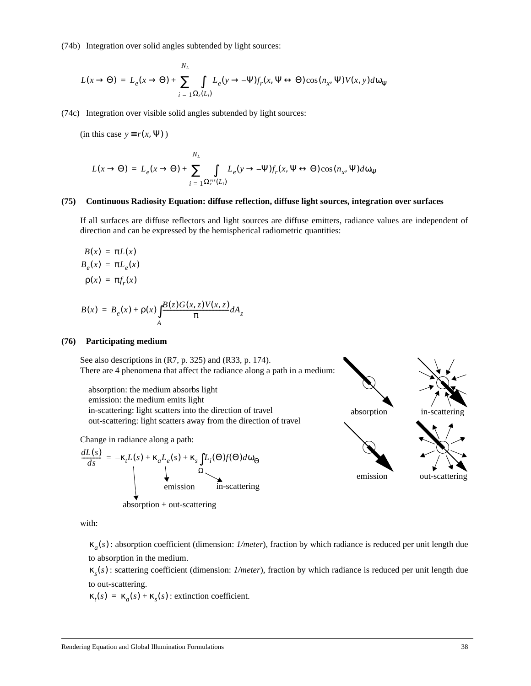(74b) Integration over solid angles subtended by light sources:

$$
L(x \to \Theta) = L_e(x \to \Theta) + \sum_{i=1}^{N_L} \int_{\Omega_x(L_i)} L_e(y \to -\Psi) f_r(x, \Psi \leftrightarrow \Theta) \cos(n_x, \Psi) V(x, y) d\omega_{\Psi}
$$

(74c) Integration over visible solid angles subtended by light sources:

 $(in this case y \equiv r(x, \Psi))$ 

$$
L(x \to \Theta) = L_e(x \to \Theta) + \sum_{i=1}^{N_L} \int_{\Omega_x^{vis}(L_i)} L_e(y \to -\Psi) f_r(x, \Psi \leftrightarrow \Theta) \cos(n_x, \Psi) d\omega_{\Psi}
$$

#### **(75) Continuous Radiosity Equation: diffuse reflection, diffuse light sources, integration over surfaces**

If all surfaces are diffuse reflectors and light sources are diffuse emitters, radiance values are independent of direction and can be expressed by the hemispherical radiometric quantities:

$$
B(x) = \pi L(x)
$$
  
\n
$$
B_e(x) = \pi L_e(x)
$$
  
\n
$$
\rho(x) = \pi f_r(x)
$$

$$
B(x) = B_e(x) + \rho(x) \int_A \frac{B(z)G(x, z)V(x, z)}{\pi} dA_z
$$

#### **(76) Participating medium**

See also descriptions in (R7, p. 325) and (R33, p. 174). There are 4 phenomena that affect the radiance along a path in a medium:

absorption: the medium absorbs light emission: the medium emits light in-scattering: light scatters into the direction of travel out-scattering: light scatters away from the direction of travel

Change in radiance along a path:

$$
\frac{dL(s)}{ds} = -\kappa_t L(s) + \kappa_a L_e(s) + \kappa_s \int L_i(\Theta) f(\Theta) d\omega_{\Theta}
$$
  
 
$$
\downarrow \Omega
$$
  
 emission  
 
$$
\omega_{\Theta}
$$
  
 emission  
 
$$
\omega_{\Theta}
$$
  
 
$$
\omega_{\Theta}
$$
  
 
$$
\omega_{\Theta}
$$
  
 
$$
\omega_{\Theta}
$$
  
 
$$
\omega_{\Theta}
$$
  
 
$$
\omega_{\Theta}
$$
  
 
$$
\omega_{\Theta}
$$
  
 
$$
\omega_{\Theta}
$$
  
 
$$
\omega_{\Theta}
$$
  
 
$$
\omega_{\Theta}
$$
  
 
$$
\omega_{\Theta}
$$
  
 
$$
\omega_{\Theta}
$$
  
 
$$
\omega_{\Theta}
$$
  
 
$$
\omega_{\Theta}
$$
  
 
$$
\omega_{\Theta}
$$
  
 
$$
\omega_{\Theta}
$$
  
 
$$
\omega_{\Theta}
$$
  
 
$$
\omega_{\Theta}
$$
  
 
$$
\omega_{\Theta}
$$
  
 
$$
\omega_{\Theta}
$$
  
 
$$
\omega_{\Theta}
$$
  
 
$$
\omega_{\Theta}
$$
  
 
$$
\omega_{\Theta}
$$
  
 
$$
\omega_{\Theta}
$$
  
 
$$
\omega_{\Theta}
$$
  
 
$$
\omega_{\Theta}
$$
  
 
$$
\omega_{\Theta}
$$
  
 
$$
\omega_{\Theta}
$$
  
 
$$
\omega_{\Theta}
$$
  
 
$$
\omega_{\Theta}
$$
  
 
$$
\omega_{\Theta}
$$
  
 
$$
\omega_{\Theta}
$$
  
 
$$
\omega_{\Theta}
$$
  
 
$$
\omega_{\Theta}
$$
  
 
$$
\omega_{\Theta}
$$
  
 
$$
\omega_{\Theta}
$$
  
 
$$
\omega_{\Theta}
$$
  
 
$$
\omega_{\Theta}
$$
  
 
$$
\omega_{\Theta}
$$
  
 
$$
\omega_{\Theta}
$$
  
 
$$
\omega_{\Theta}
$$
  
 
$$
\omega_{\Theta}
$$
  
 
$$
\omega_{\Theta}
$$
  
 
$$
\omega_{\Theta}
$$
  
 
$$
\omega_{\
$$



with:

: absorption coefficient (dimension: *1/meter*), fraction by which radiance is reduced per unit length due κ*a*( )*s* to absorption in the medium.

: scattering coefficient (dimension: *1/meter*), fraction by which radiance is reduced per unit length due κ*s*( )*s* to out-scattering.

 $\kappa_t(s) = \kappa_a(s) + \kappa_s(s)$ : extinction coefficient.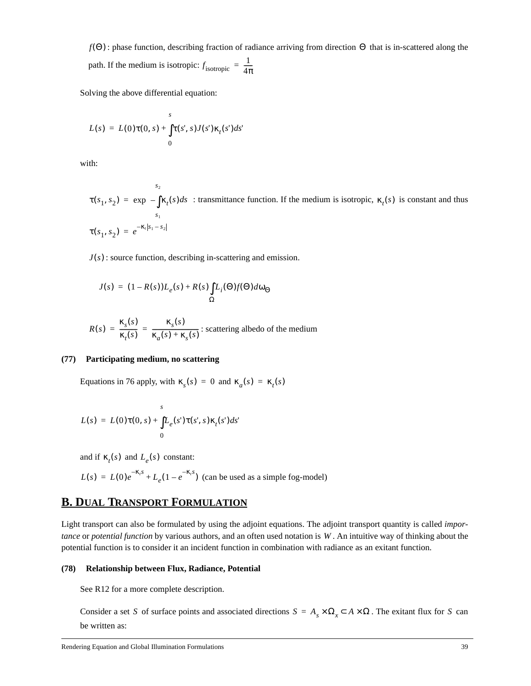*f*( $\Theta$ ): phase function, describing fraction of radiance arriving from direction  $\Theta$  that is in-scattered along the path. If the medium is isotropic:  $f_{\text{isotropic}}$  $=\frac{1}{4\pi}$ 

Solving the above differential equation:

$$
L(s) = L(0)\tau(0, s) + \int_{0}^{s} \tau(s', s)J(s')\kappa_t(s')ds'
$$

with:

$$
\tau(s_1, s_2) = \exp\left(-\int_{s_1}^{s_2} \kappa_t(s)ds\right): \text{transmittance function. If the medium is isotropic, } \kappa_t(s) \text{ is constant and thus}
$$
\n
$$
\tau(s_1, s_2) = e^{-\kappa_t|s_1 - s_2|}
$$

 $J(s)$ : source function, describing in-scattering and emission.

$$
J(s) = (1 - R(s))L_e(s) + R(s)\int_{\Omega} L_i(\Theta)f(\Theta)d\omega_{\Theta}
$$

$$
R(s) = \frac{\kappa_s(s)}{\kappa_t(s)} = \frac{\kappa_s(s)}{\kappa_a(s) + \kappa_s(s)}:
$$
 scattering albedo of the medium

#### **(77) Participating medium, no scattering**

Equations in 76 apply, with  $\kappa_s(s) = 0$  and  $\kappa_a(s) = \kappa_t(s)$ 

$$
L(s) = L(0)\tau(0, s) + \int_{0}^{s} L_e(s')\tau(s', s)\kappa_t(s')ds'
$$

and if  $\kappa_t(s)$  and  $L_e(s)$  constant:

$$
L(s) = L(0)e^{-K_t s} + L_e(1 - e^{-K_t s})
$$
 (can be used as a simple fog-model)

# **B. DUAL TRANSPORT FORMULATION**

Light transport can also be formulated by using the adjoint equations. The adjoint transport quantity is called *importance* or *potential function* by various authors, and an often used notation is W. An intuitive way of thinking about the potential function is to consider it an incident function in combination with radiance as an exitant function.

#### **(78) Relationship between Flux, Radiance, Potential**

See R12 for a more complete description.

Consider a set S of surface points and associated directions  $S = A_s \times \Omega_x \subset A \times \Omega$ . The exitant flux for S can be written as: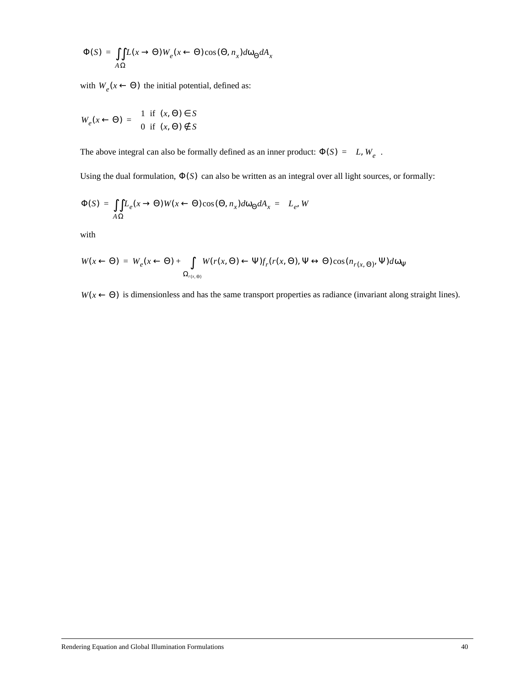$$
\Phi(S) = \iint_{A\Omega} L(x \to \Theta) W_e(x \leftarrow \Theta) \cos(\Theta, n_x) d\omega_{\Theta} dA_x
$$

with  $W_e(x \leftarrow \Theta)$  the initial potential, defined as:

$$
W_e(x \leftarrow \Theta) = \begin{cases} 1 & \text{if } (x, \Theta) \in S \\ 0 & \text{if } (x, \Theta) \notin S \end{cases}
$$

The above integral can also be formally defined as an inner product:  $\Phi(S) = \langle L, W_e \rangle$ .

Using the dual formulation,  $\Phi(S)$  can also be written as an integral over all light sources, or formally:

$$
\Phi(S) = \iint_{A\Omega} L_e(x \to \Theta) W(x \leftarrow \Theta) \cos(\Theta, n_x) d\omega_{\Theta} dA_x = \langle L_e, W \rangle
$$

with

$$
W(x \leftarrow \Theta) = W_e(x \leftarrow \Theta) + \int_{\Omega_{r(x,\Theta)}} W(r(x,\Theta) \leftarrow \Psi) f_r(r(x,\Theta), \Psi \leftrightarrow \Theta) \cos(n_{r(x,\Theta)}, \Psi) d\omega_{\Psi}
$$

 $W(x \leftarrow \Theta)$  is dimensionless and has the same transport properties as radiance (invariant along straight lines).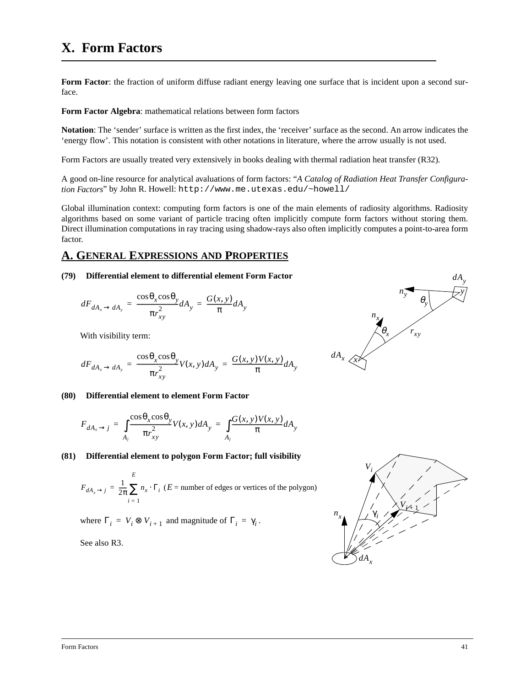**Form Factor**: the fraction of uniform diffuse radiant energy leaving one surface that is incident upon a second surface.

**Form Factor Algebra**: mathematical relations between form factors

**Notation**: The 'sender' surface is written as the first index, the 'receiver' surface as the second. An arrow indicates the 'energy flow'. This notation is consistent with other notations in literature, where the arrow usually is not used.

Form Factors are usually treated very extensively in books dealing with thermal radiation heat transfer (R32).

A good on-line resource for analytical avaluations of form factors: "*A Catalog of Radiation Heat Transfer Configuration Factors*" by John R. Howell: http://www.me.utexas.edu/~howell/

Global illumination context: computing form factors is one of the main elements of radiosity algorithms. Radiosity algorithms based on some variant of particle tracing often implicitly compute form factors without storing them. Direct illumination computations in ray tracing using shadow-rays also often implicitly computes a point-to-area form factor.

### **A. GENERAL EXPRESSIONS AND PROPERTIES**

#### **(79) Differential element to differential element Form Factor**

$$
dF_{dA_x \to dA_y} = \frac{\cos \theta_x \cos \theta_y}{\pi r_{xy}^2} dA_y = \frac{G(x, y)}{\pi} dA_y
$$

With visibility term:

$$
dF_{dA_x \to dA_y} = \frac{\cos \theta_x \cos \theta_y}{\pi r_{xy}^2} V(x, y) dA_y = \frac{G(x, y) V(x, y)}{\pi} dA_y
$$

#### **(80) Differential element to element Form Factor**

$$
F_{dA_x \to j} = \int_{A_j} \frac{\cos \theta_x \cos \theta_y}{\pi r_{xy}^2} V(x, y) dA_y = \int_{A_j} \frac{G(x, y) V(x, y)}{\pi} dA_y
$$

#### **(81) Differential element to polygon Form Factor; full visibility**

$$
F_{dA_x \to j} = \frac{1}{2\pi} \sum_{i=1}^{E} n_x \cdot \Gamma_i
$$
 (*E* = number of edges or vertices of the polygon)

where  $\Gamma_i = V_i \otimes V_{i+1}$  and magnitude of  $\Gamma_i = \gamma_i$ .

See also R3.



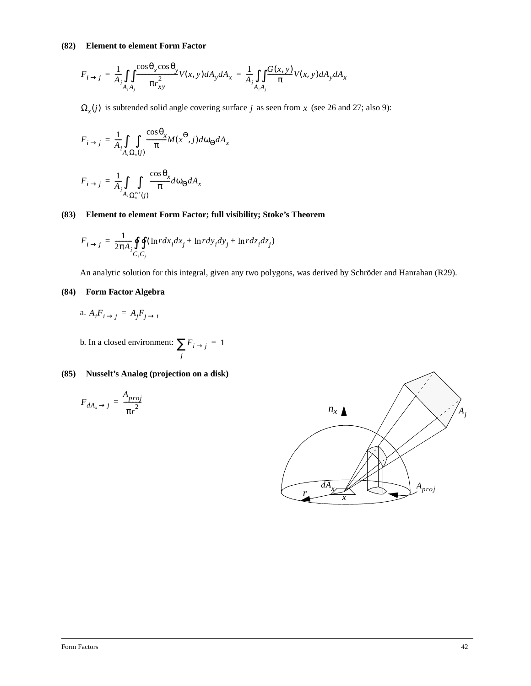#### **(82) Element to element Form Factor**

$$
F_{i \to j} = \frac{1}{A_i} \iint_{A_i A_j} \frac{\cos \theta_x \cos \theta_y}{\pi r_{xy}^2} V(x, y) dA_y dA_x = \frac{1}{A_i} \iint_{A_i A_j} \frac{G(x, y)}{\pi} V(x, y) dA_y dA_x
$$

 $\Omega_x(j)$  is subtended solid angle covering surface *j* as seen from *x* (see 26 and 27; also 9):

$$
F_{i \to j} = \frac{1}{A_i} \int_{A_i \Omega_x(j)} \frac{\cos \theta_x}{\pi} M(x^{\Theta}, j) d\omega_{\Theta} dA_x
$$

$$
F_{i \to j} = \frac{1}{A_i} \int_{A_i \Omega_x^{vis}(j)} \frac{\cos \theta_x}{\pi} d\omega_{\Theta} dA_x
$$

#### **(83) Element to element Form Factor; full visibility; Stoke's Theorem**

$$
F_{i \to j} = \frac{1}{2\pi A_i} \oint_{C_i C_j} \oint (\ln r dx_i dx_j + \ln r dy_i dy_j + \ln r dz_i dz_j)
$$

An analytic solution for this integral, given any two polygons, was derived by Schröder and Hanrahan (R29).

#### **(84) Form Factor Algebra**

a. 
$$
A_i F_{i \to j} = A_j F_{j \to i}
$$

b. In a closed environment:  $\sum F_{i \to j}$ *j*  $\sum F_{i \to j} = 1$ 

### **(85) Nusselt's Analog (projection on a disk)**

$$
F_{dA_x \to j} = \frac{A_{proj}}{\pi r^2}
$$

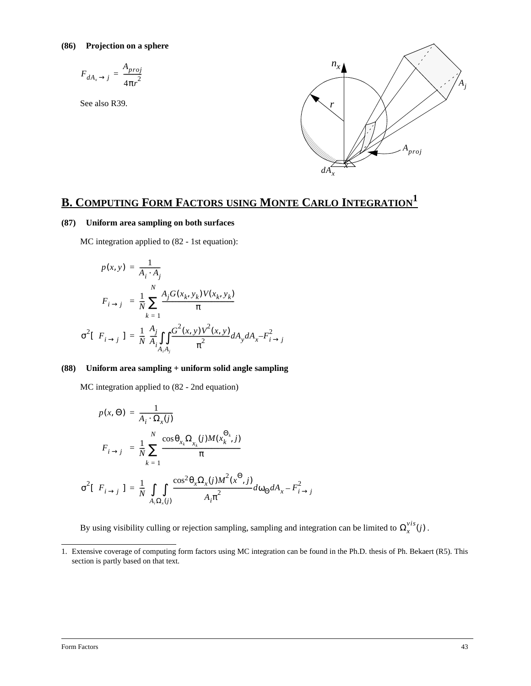$$
F_{dA_x \to j} = \frac{A_{proj}}{4\pi r^2}
$$

See also R39.



# **B. COMPUTING FORM FACTORS USING MONTE CARLO INTEGRATION1**

#### **(87) Uniform area sampling on both surfaces**

MC integration applied to (82 - 1st equation):

$$
p(x, y) = \frac{1}{A_i \cdot A_j}
$$
  
\n
$$
\langle F_{i \to j} \rangle = \frac{1}{N} \sum_{k=1}^{N} \frac{A_j G(x_k, y_k) V(x_k, y_k)}{\pi}
$$
  
\n
$$
\sigma^2 [\langle F_{i \to j} \rangle] = \frac{1}{N} \left( \frac{A_j}{A_i} \int_{A_i A_j} \frac{G^2(x, y) V^2(x, y)}{\pi^2} dA_y dA_x - F_{i \to j}^2 \right)
$$

#### **(88) Uniform area sampling + uniform solid angle sampling**

MC integration applied to (82 - 2nd equation)

$$
p(x, \Theta) = \frac{1}{A_i \cdot \Omega_x(j)}
$$
  

$$
\langle F_{i \to j} \rangle = \frac{1}{N} \sum_{k=1}^{N} \frac{\cos \theta_{x_k} \Omega_{x_k}(j) M(x_k^{\Theta_k}, j)}{\pi}
$$
  

$$
\sigma^2 [\langle F_{i \to j} \rangle] = \frac{1}{N} \left( \int_{A_i \Omega_x(j)} \frac{\cos^2 \theta_x \Omega_x(j) M^2(x^{\Theta}, j)}{A_i \pi^2} d\omega_{\Theta} dA_x - F_{i \to j}^2 \right)
$$

By using visibility culling or rejection sampling, sampling and integration can be limited to  $\Omega_x^{vis}(j)$ .

<sup>1.</sup> Extensive coverage of computing form factors using MC integration can be found in the Ph.D. thesis of Ph. Bekaert (R5). This section is partly based on that text.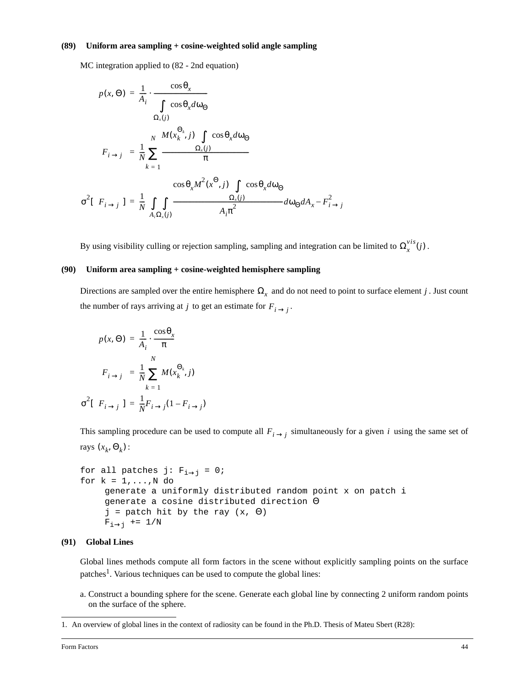#### **(89) Uniform area sampling + cosine-weighted solid angle sampling**

MC integration applied to (82 - 2nd equation)

$$
p(x, \Theta) = \frac{1}{A_i} \cdot \frac{\cos \theta_x}{\int \cos \theta_x d\omega_{\Theta}}
$$
  

$$
\langle F_{i \to j} \rangle = \frac{1}{N} \sum_{k=1}^{N} \frac{M(x_k^{\Theta_k}, j) \int \cos \theta_x d\omega_{\Theta}}{\pi}
$$
  

$$
\sigma^2 [\langle F_{i \to j} \rangle] = \frac{1}{N} \left[ \int \int \frac{\cos \theta_x M^2(x^{\Theta}, j) \int \cos \theta_x d\omega_{\Theta}}{A_i \pi^2} d\omega_{\Theta} dA_x - F_{i \to j}^2 \right]
$$

By using visibility culling or rejection sampling, sampling and integration can be limited to  $\Omega_x^{vis}(j)$ .

#### **(90) Uniform area sampling + cosine-weighted hemisphere sampling**

Directions are sampled over the entire hemisphere  $\Omega_x$  and do not need to point to surface element j. Just count the number of rays arriving at j to get an estimate for  $F_{i \rightarrow j}$ .

$$
p(x, \Theta) = \frac{1}{A_i} \cdot \frac{\cos \theta_x}{\pi}
$$

$$
\langle F_{i \to j} \rangle = \frac{1}{N} \sum_{k=1}^{N} M(x_k^{\Theta_k}, j)
$$

$$
\sigma^2 [\langle F_{i \to j} \rangle] = \frac{1}{N} F_{i \to j} (1 - F_{i \to j})
$$

This sampling procedure can be used to compute all  $F_{i \to j}$  simultaneously for a given i using the same set of rays  $(x_k, \Theta_k)$ :

```
for all patches j: F_{i\rightarrow j} = 0;
for k = 1, \ldots, N do
     generate a uniformly distributed random point x on patch i
     generate a cosine distributed direction Θ
     j = patch hit by the ray (x, \Theta)F_{i\rightarrow j} += 1/N
```
#### **(91) Global Lines**

Global lines methods compute all form factors in the scene without explicitly sampling points on the surface patches<sup>1</sup>. Various techniques can be used to compute the global lines:

a. Construct a bounding sphere for the scene. Generate each global line by connecting 2 uniform random points on the surface of the sphere.

<sup>1.</sup> An overview of global lines in the context of radiosity can be found in the Ph.D. Thesis of Mateu Sbert (R28):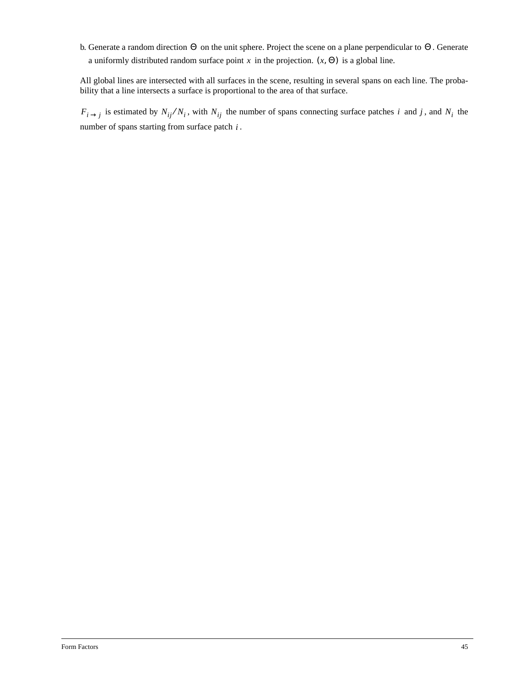b. Generate a random direction  $\Theta$  on the unit sphere. Project the scene on a plane perpendicular to  $\Theta$ . Generate a uniformly distributed random surface point x in the projection.  $(x, \Theta)$  is a global line.

All global lines are intersected with all surfaces in the scene, resulting in several spans on each line. The probability that a line intersects a surface is proportional to the area of that surface.

 $F_{i\rightarrow j}$  is estimated by  $N_{ij}/N_i$ , with  $N_{ij}$  the number of spans connecting surface patches i and j, and  $N_i$  the number of spans starting from surface patch  $i$ .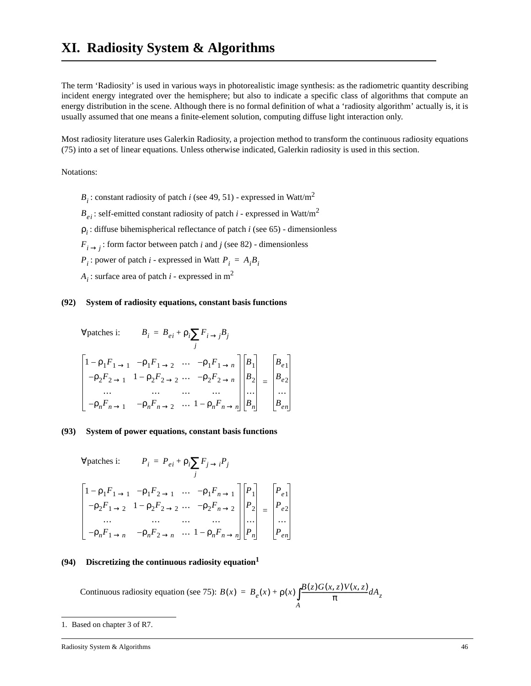The term 'Radiosity' is used in various ways in photorealistic image synthesis: as the radiometric quantity describing incident energy integrated over the hemisphere; but also to indicate a specific class of algorithms that compute an energy distribution in the scene. Although there is no formal definition of what a 'radiosity algorithm' actually is, it is usually assumed that one means a finite-element solution, computing diffuse light interaction only.

Most radiosity literature uses Galerkin Radiosity, a projection method to transform the continuous radiosity equations (75) into a set of linear equations. Unless otherwise indicated, Galerkin radiosity is used in this section.

Notations:

: constant radiosity of patch *i* (see 49, 51) - expressed in Watt/m<sup>2</sup> *Bi*

: self-emitted constant radiosity of patch *i* - expressed in Watt/m<sup>2</sup> *Bei*

: diffuse bihemispherical reflectance of patch *i* (see 65) - dimensionless ρ*i*

 $F_{i \rightarrow j}$ : form factor between patch *i* and *j* (see 82) - dimensionless

 $P_i$ : power of patch *i* - expressed in Watt  $P_i = A_i B_i$ 

: surface area of patch *i* - expressed in m<sup>2</sup> *Ai*

#### **(92) System of radiosity equations, constant basis functions**

$$
\forall \text{ patches i:} \qquad B_i = B_{ei} + \rho_i \sum_j F_{i \to j} B_j
$$
\n
$$
\begin{bmatrix}\n1 - \rho_1 F_{1 \to 1} & -\rho_1 F_{1 \to 2} & \cdots & -\rho_1 F_{1 \to n} \\
-\rho_2 F_{2 \to 1} & 1 - \rho_2 F_{2 \to 2} & \cdots & -\rho_2 F_{2 \to n} \\
\cdots & \cdots & \cdots & \cdots \\
-\rho_n F_{n \to 1} & -\rho_n F_{n \to 2} & \cdots & 1 - \rho_n F_{n \to n}\n\end{bmatrix}\n\begin{bmatrix}\nB_i \\
B_2 \\
\cdots \\
B_n\n\end{bmatrix} =\n\begin{bmatrix}\nB_e \\
B_e \\
\cdots \\
B_n\n\end{bmatrix}
$$

#### **(93) System of power equations, constant basis functions**

$$
\forall \text{ patches i:} \qquad P_i = P_{ei} + \rho_i \sum_j F_{j \to i} P_j
$$
\n
$$
\begin{bmatrix}\n1 - \rho_1 F_{1 \to 1} & -\rho_1 F_{2 \to 1} & \cdots & -\rho_1 F_{n \to 1} \\
-\rho_2 F_{1 \to 2} & 1 - \rho_2 F_{2 \to 2} & \cdots & -\rho_2 F_{n \to 2} \\
\cdots & \cdots & \cdots & \cdots \\
-\rho_n F_{1 \to n} & -\rho_n F_{2 \to n} & \cdots & 1 - \rho_n F_{n \to n}\n\end{bmatrix}\n\begin{bmatrix}\nP_i \\
P_2 \\
\cdots \\
P_n\n\end{bmatrix} =\n\begin{bmatrix}\nP_{e1} \\
P_{e2} \\
\cdots \\
P_{en}\n\end{bmatrix}
$$

#### **(94) Discretizing the continuous radiosity equation1**

Continuous radiosity equation (see 75):  $B(x) = B_e(x) + \rho(x) \int_A \frac{B(z)G(x, z)V(x, z)}{\pi} dA_z$  $= B_e(x) + \rho(x)$ 

Radiosity System & Algorithms 46

<sup>1.</sup> Based on chapter 3 of R7.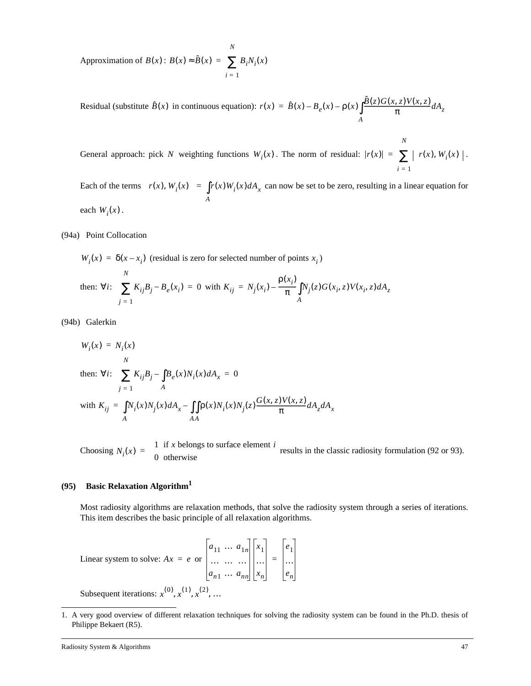Approximation of  $B(x)$ :  $B(x) \approx \hat{B}(x) = \sum B_i N_i(x)$ *i* = 1 *N* <sup>=</sup> ∑

Residual (substitute  $\hat{B}(x)$  in continuous equation):  $r(x) = \hat{B}(x) - B_e(x) - \rho(x) \int_A \frac{\hat{B}(z)G(x, z)V(x, z)}{\pi} dA_z$  $= \hat{B}(x) - B_e(x) - \rho(x)$ 

General approach: pick N weighting functions  $W_i(x)$ . The norm of residual:  $|r(x)| = \sum_{x} |\langle r(x), W_i(x) \rangle|$ . *i* = 1

*N*

Each of the terms  $\langle r(x), W_i(x) \rangle = \int r(x) W_i(x) dA_x$  can now be set to be zero, resulting in a linear equation for each  $W_i(x)$ . *A*  $=$   $\int$ 

(94a) Point Collocation

 $W_i(x) = \delta(x - x_i)$  (residual is zero for selected number of points  $x_i$ ) *N*

then: 
$$
\forall i
$$
:  $\sum_{j=1}^{N} K_{ij} B_j - B_e(x_i) = 0$  with  $K_{ij} = N_j(x_i) - \frac{\rho(x_i)}{\pi} \int_{A} N_j(z) G(x_i, z) V(x_i, z) dA_z$ 

(94b) Galerkin

$$
W_i(x) = N_i(x)
$$
  
then:  $\forall i$ :  $\sum_{j=1}^{N} K_{ij}B_j - \int_{A}^{B} B_e(x)N_i(x) dA_x = 0$   
with  $K_{ij} = \int_{A}^{J} N_i(x)N_j(x) dA_x - \int_{A}^{J} \rho(x)N_i(x)N_j(z) \frac{G(x, z)V(x, z)}{\pi} dA_z dA_x$ 

Choosing  $N_i(x) =\begin{cases} 1 & \text{if } x \text{ belongs to surface element } i \\ 0 & \text{otherwise} \end{cases}$  results in the classic radiosity formulation (92 or 93).  $=\begin{cases} 1 & \text{if } x \text{ below} \\ 0 & \text{otherwise} \end{cases}$ 

#### **(95) Basic Relaxation Algorithm1**

Most radiosity algorithms are relaxation methods, that solve the radiosity system through a series of iterations. This item describes the basic principle of all relaxation algorithms.

Linear system to solve:  $Ax = e$  or  $a_{11} \ldots a_{1n}$ ………… *an*<sup>1</sup> … *ann x*1 … *xn e*1 … *en* =

Subsequent iterations:  $x^{(0)}$ ,  $x^{(1)}$ ,  $x^{(2)}$ , ...

<sup>1.</sup> A very good overview of different relaxation techniques for solving the radiosity system can be found in the Ph.D. thesis of Philippe Bekaert (R5).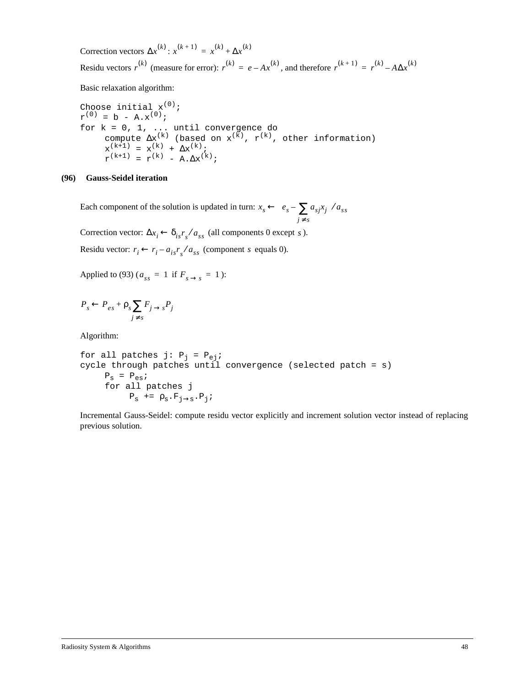Correction vectors  $\Delta x^{(k)}$ :  $x^{(k+1)} = x^{(k)} + \Delta x^{(k)}$ Residu vectors  $r^{(k)}$  (measure for error):  $r^{(k)} = e - Ax^{(k)}$ , and therefore  $r^{(k+1)} = r^{(k)} - A\Delta x^{(k)}$ 

Basic relaxation algorithm:

Choose initial  $x^{(0)}$ ;  $r^{(0)} = b - A.x^{(0)}$ ; for k = 0, 1, ... until convergence do compute  $\Delta x^{(k)}$  (based on  $x^{(k)}$ ,  $r^{(k)}$ , other information)  $x^{(k+1)} = x^{(k)} + \Delta x^{(k)};$  $r^{(k+1)} = r^{(k)} - A \cdot \Delta x^{(k)};$ 

#### **(96) Gauss-Seidel iteration**

Each component of the solution is updated in turn:  $x_s \leftarrow e_s - \sum a_{sj} x_j$  $\left\langle e_s - \sum_{j \neq s} a_{sj} x_j \right\rangle / a_{ss}$ 

Correction vector:  $\Delta x_i \leftarrow \delta_{is} r_s / a_{ss}$  (all components 0 except *s*).

Residu vector:  $r_i \leftarrow r_i - a_{is} r_s / a_{ss}$  (component s equals 0).

Applied to (93) ( $a_{ss} = 1$  if  $F_{s \to s} = 1$ ):

$$
P_s \leftarrow P_{es} + \rho_s \sum_{j \neq s} F_{j \rightarrow s} P_j
$$

Algorithm:

for all patches j: Pj = Pej; cycle through patches until convergence (selected patch = s) Ps = Pes; for all patches j Ps += ρs.Fj→s.Pj;

Incremental Gauss-Seidel: compute residu vector explicitly and increment solution vector instead of replacing previous solution.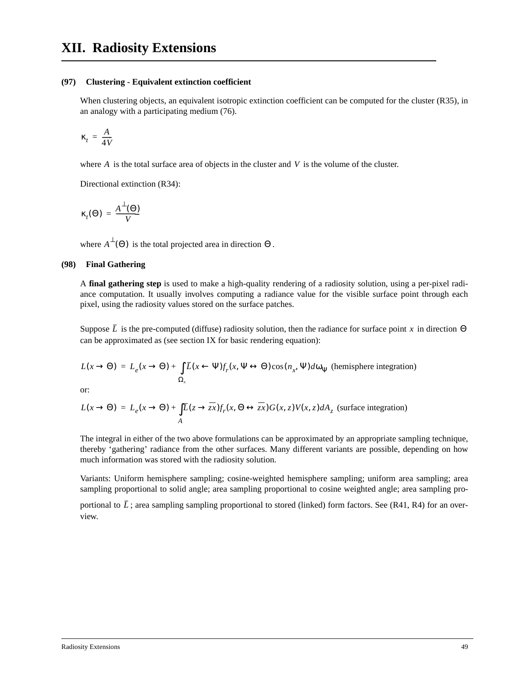#### **(97) Clustering - Equivalent extinction coefficient**

When clustering objects, an equivalent isotropic extinction coefficient can be computed for the cluster (R35), in an analogy with a participating medium (76).

$$
\kappa_t = \frac{A}{4V}
$$

where  $A$  is the total surface area of objects in the cluster and  $V$  is the volume of the cluster.

Directional extinction (R34):

$$
\kappa_t(\Theta) = \frac{A^{\perp}(\Theta)}{V}
$$

where  $A^{\perp}(\Theta)$  is the total projected area in direction  $\Theta$ .

#### **(98) Final Gathering**

A **final gathering step** is used to make a high-quality rendering of a radiosity solution, using a per-pixel radiance computation. It usually involves computing a radiance value for the visible surface point through each pixel, using the radiosity values stored on the surface patches.

Suppose  $\bar{L}$  is the pre-computed (diffuse) radiosity solution, then the radiance for surface point x in direction  $\Theta$ can be approximated as (see section IX for basic rendering equation):

$$
L(x \to \Theta) = L_e(x \to \Theta) + \int_{\Omega_x} \overline{L}(x \leftarrow \Psi) f_r(x, \Psi \leftrightarrow \Theta) \cos(n_x, \Psi) d\omega_{\Psi}
$$
 (hemisphere integration)

or:

$$
L(x \to \Theta) = L_e(x \to \Theta) + \int_A \overline{L}(z \to \overline{zx}) f_r(x, \Theta \leftrightarrow \overline{zx}) G(x, z) V(x, z) dA_z
$$
 (surface integration)

The integral in either of the two above formulations can be approximated by an appropriate sampling technique, thereby 'gathering' radiance from the other surfaces. Many different variants are possible, depending on how much information was stored with the radiosity solution.

Variants: Uniform hemisphere sampling; cosine-weighted hemisphere sampling; uniform area sampling; area sampling proportional to solid angle; area sampling proportional to cosine weighted angle; area sampling pro-

portional to  $\bar{L}$ ; area sampling sampling proportional to stored (linked) form factors. See (R41, R4) for an overview.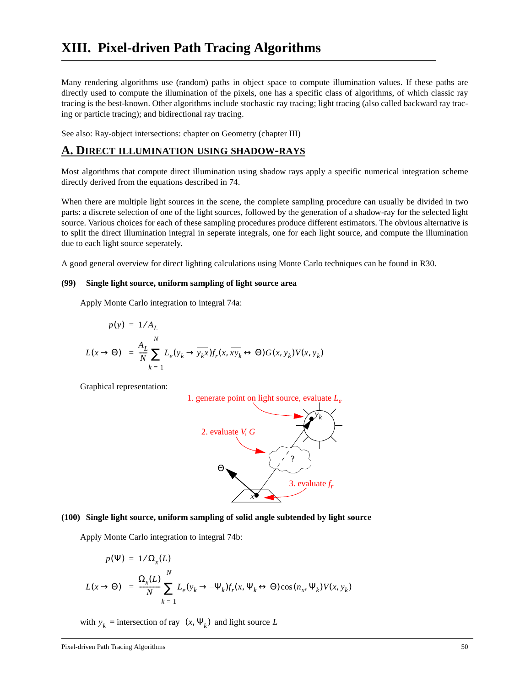Many rendering algorithms use (random) paths in object space to compute illumination values. If these paths are directly used to compute the illumination of the pixels, one has a specific class of algorithms, of which classic ray tracing is the best-known. Other algorithms include stochastic ray tracing; light tracing (also called backward ray tracing or particle tracing); and bidirectional ray tracing.

See also: Ray-object intersections: chapter on Geometry (chapter III)

### **A. DIRECT ILLUMINATION USING SHADOW-RAYS**

Most algorithms that compute direct illumination using shadow rays apply a specific numerical integration scheme directly derived from the equations described in 74.

When there are multiple light sources in the scene, the complete sampling procedure can usually be divided in two parts: a discrete selection of one of the light sources, followed by the generation of a shadow-ray for the selected light source. Various choices for each of these sampling procedures produce different estimators. The obvious alternative is to split the direct illumination integral in seperate integrals, one for each light source, and compute the illumination due to each light source seperately.

A good general overview for direct lighting calculations using Monte Carlo techniques can be found in R30.

#### **(99) Single light source, uniform sampling of light source area**

Apply Monte Carlo integration to integral 74a:

$$
p(y) = 1/A_L
$$
  

$$
\langle L(x \rightarrow \Theta) \rangle = \frac{A_L}{N} \sum_{k=1}^{N} L_e(y_k \rightarrow \overline{y_k x}) f_r(x, \overline{xy_k} \leftrightarrow \Theta) G(x, y_k) V(x, y_k)
$$

Graphical representation:



#### **(100) Single light source, uniform sampling of solid angle subtended by light source**

Apply Monte Carlo integration to integral 74b:

$$
p(\Psi) = 1/\Omega_x(L)
$$
  

$$
\langle L(x \rightarrow \Theta) \rangle = \frac{\Omega_x(L)}{N} \sum_{k=1}^N L_e(y_k \rightarrow -\Psi_k) f_r(x, \Psi_k \leftrightarrow \Theta) \cos(n_x, \Psi_k) V(x, y_k)
$$

with  $y_k$  = intersection of ray  $(x, \Psi_k)$  and light source L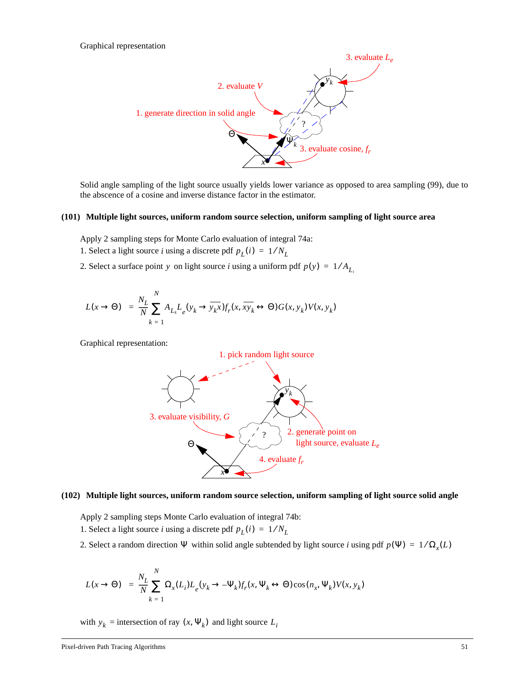

Solid angle sampling of the light source usually yields lower variance as opposed to area sampling (99), due to the abscence of a cosine and inverse distance factor in the estimator.

#### **(101) Multiple light sources, uniform random source selection, uniform sampling of light source area**

Apply 2 sampling steps for Monte Carlo evaluation of integral 74a:

- 1. Select a light source *i* using a discrete pdf  $p_L(i) = 1/N_L$
- 2. Select a surface point y on light source *i* using a uniform pdf  $p(y) = 1/A_{L_i}$

$$
\langle L(x \to \Theta) \rangle = \frac{N_L}{N} \sum_{k=1}^{N} A_{L_k} L_e(y_k \to \overline{y_k x}) f_r(x, \overline{xy_k} \leftrightarrow \Theta) G(x, y_k) V(x, y_k)
$$

Graphical representation:



#### **(102) Multiple light sources, uniform random source selection, uniform sampling of light source solid angle**

Apply 2 sampling steps Monte Carlo evaluation of integral 74b: 1. Select a light source *i* using a discrete pdf  $p_L(i) = 1/N_L$ 

2. Select a random direction  $\Psi$  within solid angle subtended by light source *i* using pdf  $p(\Psi) = 1/\Omega_x(L)$ 

$$
\langle L(x \to \Theta) \rangle = \frac{N_L}{N} \sum_{k=1}^{N} \Omega_x(L_i) L_e(y_k \to -\Psi_k) f_r(x, \Psi_k \leftrightarrow \Theta) \cos(n_x, \Psi_k) V(x, y_k)
$$

with  $y_k$  = intersection of ray  $(x, \Psi_k)$  and light source  $L_i$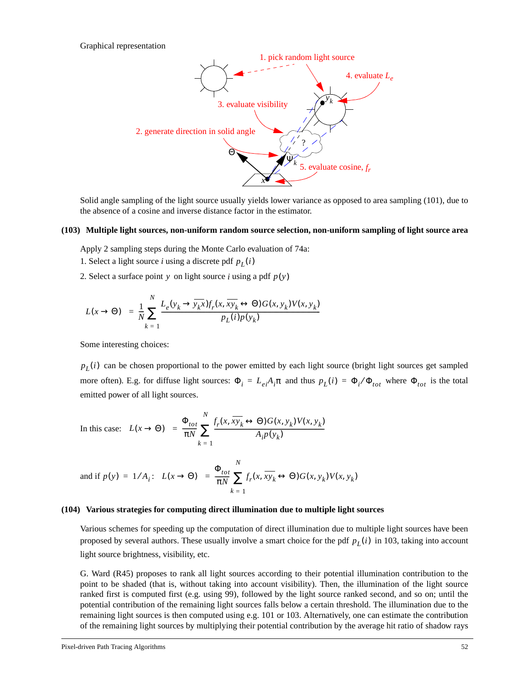Graphical representation



Solid angle sampling of the light source usually yields lower variance as opposed to area sampling (101), due to the absence of a cosine and inverse distance factor in the estimator.

#### **(103) Multiple light sources, non-uniform random source selection, non-uniform sampling of light source area**

Apply 2 sampling steps during the Monte Carlo evaluation of 74a:

- 1. Select a light source *i* using a discrete pdf  $p_L(i)$
- 2. Select a surface point  $y$  on light source  $i$  using a pdf  $p(y)$

$$
\langle L(x \to \Theta) \rangle = \frac{1}{N} \sum_{k=1}^{N} \frac{L_e(y_k \to \overline{y_k x}) f_r(x, \overline{xy_k} \leftrightarrow \Theta) G(x, y_k) V(x, y_k)}{P_L(i) P(y_k)}
$$

Some interesting choices:

 $p_L(i)$  can be chosen proportional to the power emitted by each light source (bright light sources get sampled more often). E.g. for diffuse light sources:  $\Phi_i = L_{ei}A_i\pi$  and thus  $p_L(i) = \Phi_i/\Phi_{tot}$  where  $\Phi_{tot}$  is the total emitted power of all light sources.

In this case: 
$$
\langle L(x \rightarrow \Theta) \rangle = \frac{\Phi_{tot}}{\pi N} \sum_{k=1}^{N} \frac{f_r(x, xy_k \leftrightarrow \Theta) G(x, y_k) V(x, y_k)}{A_i p(y_k)}
$$

and if 
$$
p(y) = 1/A_i
$$
:  $\langle L(x \rightarrow \Theta) \rangle = \frac{\Phi_{tot}}{\pi N} \sum_{k=1}^{N} f_r(x, \overline{xy_k} \leftrightarrow \Theta) G(x, y_k) V(x, y_k)$ 

#### **(104) Various strategies for computing direct illumination due to multiple light sources**

Various schemes for speeding up the computation of direct illumination due to multiple light sources have been proposed by several authors. These usually involve a smart choice for the pdf  $p_L(i)$  in 103, taking into account light source brightness, visibility, etc.

G. Ward (R45) proposes to rank all light sources according to their potential illumination contribution to the point to be shaded (that is, without taking into account visibility). Then, the illumination of the light source ranked first is computed first (e.g. using 99), followed by the light source ranked second, and so on; until the potential contribution of the remaining light sources falls below a certain threshold. The illumination due to the remaining light sources is then computed using e.g. 101 or 103. Alternatively, one can estimate the contribution of the remaining light sources by multiplying their potential contribution by the average hit ratio of shadow rays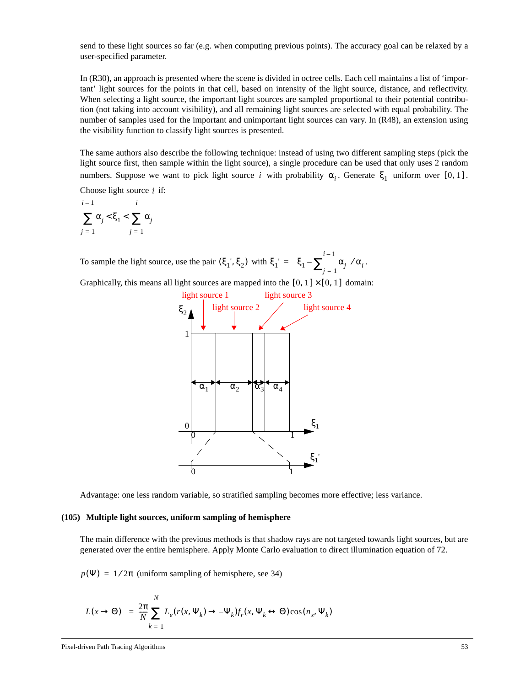send to these light sources so far (e.g. when computing previous points). The accuracy goal can be relaxed by a user-specified parameter.

In (R30), an approach is presented where the scene is divided in octree cells. Each cell maintains a list of 'important' light sources for the points in that cell, based on intensity of the light source, distance, and reflectivity. When selecting a light source, the important light sources are sampled proportional to their potential contribution (not taking into account visibility), and all remaining light sources are selected with equal probability. The number of samples used for the important and unimportant light sources can vary. In (R48), an extension using the visibility function to classify light sources is presented.

The same authors also describe the following technique: instead of using two different sampling steps (pick the light source first, then sample within the light source), a single procedure can be used that only uses 2 random numbers. Suppose we want to pick light source *i* with probability  $\alpha_i$ . Generate  $\xi_1$  uniform over [0, 1].

Choose light source  $i$  if:

 $\sum \alpha_j <$ ξ<sub>1</sub> <  $\sum \alpha_j$  $j = 1$ *i* – 1  $j = 1$ *i*

To sample the light source, use the pair  $(\xi_1, \xi_2)$  with  $\xi_1' = (\xi_1 - \sum_{j=1}^{\infty} \alpha_j)/\alpha_i$ .  $=\left(\xi_1-\sum_{i=1}^{i-1}\alpha_j\right)/\alpha_i$ 

Graphically, this means all light sources are mapped into the  $[0, 1] \times [0, 1]$  domain:



Advantage: one less random variable, so stratified sampling becomes more effective; less variance.

#### **(105) Multiple light sources, uniform sampling of hemisphere**

The main difference with the previous methods is that shadow rays are not targeted towards light sources, but are generated over the entire hemisphere. Apply Monte Carlo evaluation to direct illumination equation of 72.

 $p(\Psi) = 1/2\pi$  (uniform sampling of hemisphere, see 34)

$$
\langle L(x \to \Theta) \rangle = \frac{2\pi}{N} \sum_{k=1}^{N} L_e(r(x, \Psi_k) \to -\Psi_k) f_r(x, \Psi_k \leftrightarrow \Theta) \cos(n_x, \Psi_k)
$$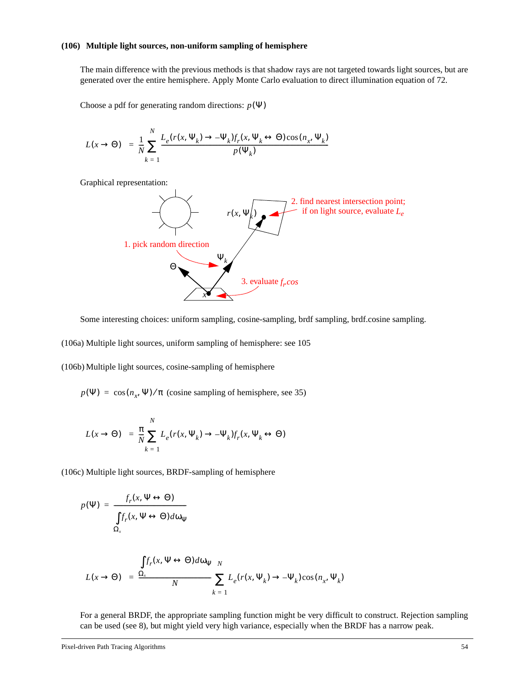#### **(106) Multiple light sources, non-uniform sampling of hemisphere**

The main difference with the previous methods is that shadow rays are not targeted towards light sources, but are generated over the entire hemisphere. Apply Monte Carlo evaluation to direct illumination equation of 72.

Choose a pdf for generating random directions:  $p(\Psi)$ 

*N*

$$
\langle L(x \to \Theta) \rangle = \frac{1}{N} \sum_{k=1}^{N} \frac{L_e(r(x, \Psi_k) \to -\Psi_k) f_r(x, \Psi_k \leftrightarrow \Theta) \cos(n_x, \Psi_k)}{p(\Psi_k)}
$$

Graphical representation:



Some interesting choices: uniform sampling, cosine-sampling, brdf sampling, brdf.cosine sampling.

(106a) Multiple light sources, uniform sampling of hemisphere: see 105

(106b) Multiple light sources, cosine-sampling of hemisphere

 $p(\Psi) = \cos(n_x, \Psi) / \pi$  (cosine sampling of hemisphere, see 35)

$$
\langle L(x \to \Theta) \rangle = \frac{\pi}{N} \sum_{k=1}^{N} L_e(r(x, \Psi_k) \to -\Psi_k) f_r(x, \Psi_k \leftrightarrow \Theta)
$$

(106c) Multiple light sources, BRDF-sampling of hemisphere

$$
p(\Psi) = \frac{f_r(x, \Psi \leftrightarrow \Theta)}{\int f_r(x, \Psi \leftrightarrow \Theta) d\omega_{\Psi}}
$$

$$
\Omega_x
$$

$$
\langle L(x \to \Theta) \rangle = \frac{\int f_r(x, \Psi \leftrightarrow \Theta) d\omega_{\Psi} N}{N} \sum_{k=1}^N L_e(r(x, \Psi_k) \to -\Psi_k) \cos(n_x, \Psi_k)
$$

For a general BRDF, the appropriate sampling function might be very difficult to construct. Rejection sampling can be used (see 8), but might yield very high variance, especially when the BRDF has a narrow peak.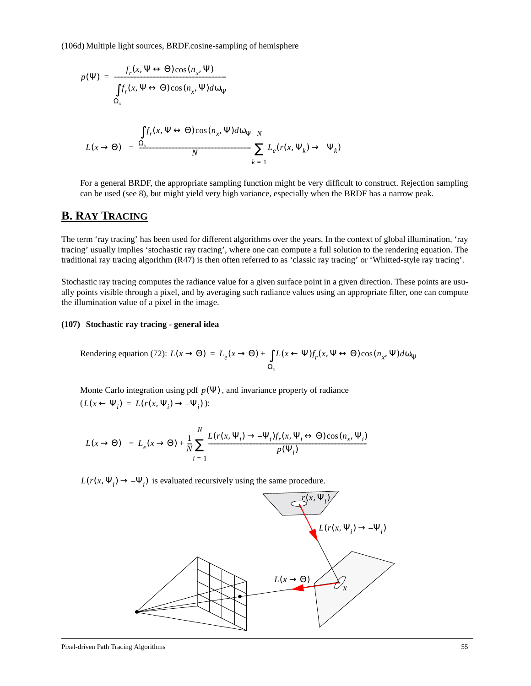(106d) Multiple light sources, BRDF.cosine-sampling of hemisphere

$$
p(\Psi) = \frac{f_r(x, \Psi \leftrightarrow \Theta)\cos(n_x, \Psi)}{\int f_r(x, \Psi \leftrightarrow \Theta)\cos(n_x, \Psi)d\omega_{\Psi}}
$$
  

$$
\langle L(x \rightarrow \Theta) \rangle = \frac{\int f_r(x, \Psi \leftrightarrow \Theta)\cos(n_x, \Psi)d\omega_{\Psi} N}{N} \sum_{k=1}^{N} L_e(r(x, \Psi_k) \rightarrow -\Psi_k)
$$

For a general BRDF, the appropriate sampling function might be very difficult to construct. Rejection sampling can be used (see 8), but might yield very high variance, especially when the BRDF has a narrow peak.

### **B. RAY TRACING**

The term 'ray tracing' has been used for different algorithms over the years. In the context of global illumination, 'ray tracing' usually implies 'stochastic ray tracing', where one can compute a full solution to the rendering equation. The traditional ray tracing algorithm (R47) is then often referred to as 'classic ray tracing' or 'Whitted-style ray tracing'.

Stochastic ray tracing computes the radiance value for a given surface point in a given direction. These points are usually points visible through a pixel, and by averaging such radiance values using an appropriate filter, one can compute the illumination value of a pixel in the image.

#### **(107) Stochastic ray tracing - general idea**

Rendering equation (72): 
$$
L(x \to \Theta) = L_e(x \to \Theta) + \int_{\Omega_x} L(x \leftarrow \Psi) f_r(x, \Psi \leftrightarrow \Theta) \cos(n_x, \Psi) d\omega_\Psi
$$

Monte Carlo integration using pdf  $p(\Psi)$ , and invariance property of radiance  $(L(x \leftarrow \Psi_i) = L(r(x, \Psi_i) \rightarrow -\Psi_i))$ :

$$
\langle L(x \to \Theta) \rangle = L_e(x \to \Theta) + \frac{1}{N} \sum_{i=1}^{N} \frac{L(r(x, \Psi_i) \to -\Psi_i) f_r(x, \Psi_i \leftrightarrow \Theta) \cos(n_x, \Psi_i)}{p(\Psi_i)}
$$

 $L(r(x, \Psi_i) \rightarrow -\Psi_i)$  is evaluated recursively using the same procedure.

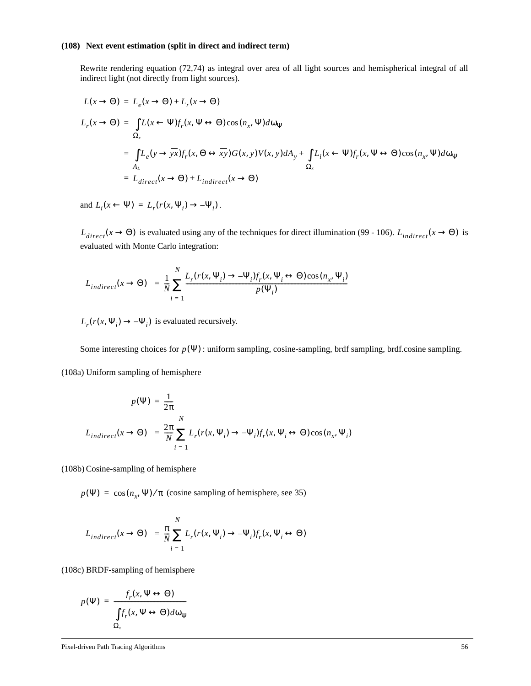#### **(108) Next event estimation (split in direct and indirect term)**

Rewrite rendering equation (72,74) as integral over area of all light sources and hemispherical integral of all indirect light (not directly from light sources).

$$
L(x \to \Theta) = L_e(x \to \Theta) + L_r(x \to \Theta)
$$
  
\n
$$
L_r(x \to \Theta) = \int L(x \leftarrow \Psi) f_r(x, \Psi \leftrightarrow \Theta) \cos(n_x, \Psi) d\omega_{\Psi}
$$
  
\n
$$
= \int L_e(y \to yx) f_r(x, \Theta \leftrightarrow xy) G(x, y) V(x, y) dA_y + \int L_i(x \leftarrow \Psi) f_r(x, \Psi \leftrightarrow \Theta) \cos(n_x, \Psi) d\omega_{\Psi}
$$
  
\n
$$
= L_{direct}(x \to \Theta) + L_{indirect}(x \to \Theta)
$$

and  $L_i(x \leftarrow \Psi) = L_r(r(x, \Psi_i) \rightarrow -\Psi_i)$ .

 $L_{direct}(x \to \Theta)$  is evaluated using any of the techniques for direct illumination (99 - 106).  $L_{indirect}(x \to \Theta)$  is evaluated with Monte Carlo integration:

$$
\langle L_{indirect}(x \to \Theta) \rangle = \frac{1}{N} \sum_{i=1}^{N} \frac{L_r(r(x, \Psi_i) \to -\Psi_i) f_r(x, \Psi_i \leftrightarrow \Theta) \cos(n_x, \Psi_i)}{p(\Psi_i)}
$$

 $L_r(r(x, \Psi_i) \rightarrow -\Psi_i)$  is evaluated recursively.

Some interesting choices for  $p(\Psi)$ : uniform sampling, cosine-sampling, brdf sampling, brdf.cosine sampling. (108a) Uniform sampling of hemisphere

$$
p(\Psi) = \frac{1}{2\pi}
$$
  

$$
\langle L_{indirect}(x \to \Theta) \rangle = \frac{2\pi}{N} \sum_{i=1}^{N} L_r(r(x, \Psi_i) \to -\Psi_i) f_r(x, \Psi_i \leftrightarrow \Theta) \cos(n_x, \Psi_i)
$$

(108b) Cosine-sampling of hemisphere

 $p(\Psi) = \cos(n_x, \Psi) / \pi$  (cosine sampling of hemisphere, see 35)

$$
\langle L_{indirect}(x \to \Theta) \rangle = \frac{\pi}{N} \sum_{i=1}^{N} L_r(r(x, \Psi_i) \to -\Psi_i) f_r(x, \Psi_i \leftrightarrow \Theta)
$$

(108c) BRDF-sampling of hemisphere

$$
p(\Psi) = \frac{f_r(x, \Psi \leftrightarrow \Theta)}{\int f_r(x, \Psi \leftrightarrow \Theta) d\omega_{\Psi}}
$$

$$
\Omega_x
$$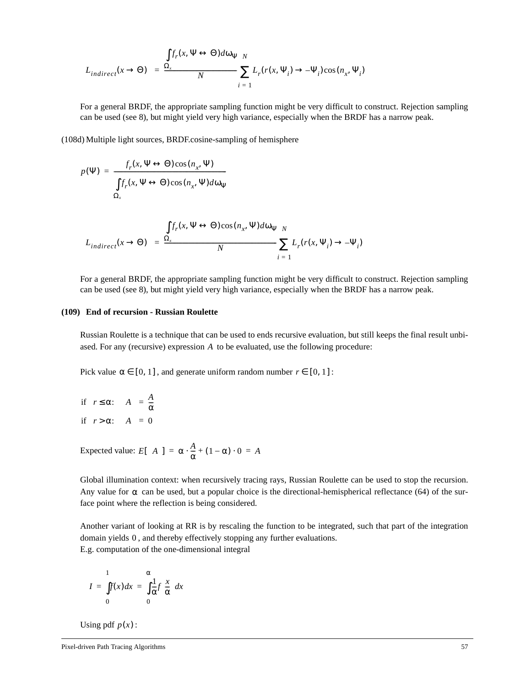$$
\langle L_{indirect}(x \to \Theta) \rangle = \frac{\int f_r(x, \Psi \leftrightarrow \Theta) d\omega_{\Psi} N}{N} \sum_{i=1}^{N} L_r(r(x, \Psi_i) \to -\Psi_i) \cos(n_x, \Psi_i)
$$

For a general BRDF, the appropriate sampling function might be very difficult to construct. Rejection sampling can be used (see 8), but might yield very high variance, especially when the BRDF has a narrow peak.

(108d) Multiple light sources, BRDF.cosine-sampling of hemisphere

$$
p(\Psi) = \frac{f_r(x, \Psi \leftrightarrow \Theta)\cos(n_x, \Psi)}{\int f_r(x, \Psi \leftrightarrow \Theta)\cos(n_x, \Psi)d\omega_{\Psi}}
$$
  

$$
\Omega_x
$$

$$
\langle L_{indirect}(x \to \Theta) \rangle = \frac{\int f_r(x, \Psi \leftrightarrow \Theta) \cos(n_x, \Psi) d\omega_{\Psi N}}{N} \sum_{i=1}^{N} L_r(r(x, \Psi_i) \to -\Psi_i)
$$

For a general BRDF, the appropriate sampling function might be very difficult to construct. Rejection sampling can be used (see 8), but might yield very high variance, especially when the BRDF has a narrow peak.

#### **(109) End of recursion - Russian Roulette**

Russian Roulette is a technique that can be used to ends recursive evaluation, but still keeps the final result unbiased. For any (recursive) expression A to be evaluated, use the following procedure:

Pick value  $\alpha \in [0, 1]$ , and generate uniform random number  $r \in [0, 1]$ :

if  $r \le \alpha$ :  $\langle A \rangle = \frac{A}{\alpha}$ if  $r > \alpha$ :  $\langle A \rangle = 0$ 

Expected value:  $E[\langle A \rangle] = \alpha \cdot \frac{A}{\alpha} + (1 - \alpha) \cdot 0 = A$ 

Global illumination context: when recursively tracing rays, Russian Roulette can be used to stop the recursion. Any value for  $\alpha$  can be used, but a popular choice is the directional-hemispherical reflectance (64) of the surface point where the reflection is being considered.

Another variant of looking at RR is by rescaling the function to be integrated, such that part of the integration domain yields 0, and thereby effectively stopping any further evaluations. E.g. computation of the one-dimensional integral

$$
I = \int_{0}^{1} f(x)dx = \int_{0}^{\alpha} \frac{1}{\alpha} f\left(\frac{x}{\alpha}\right)dx
$$

Using pdf  $p(x)$ :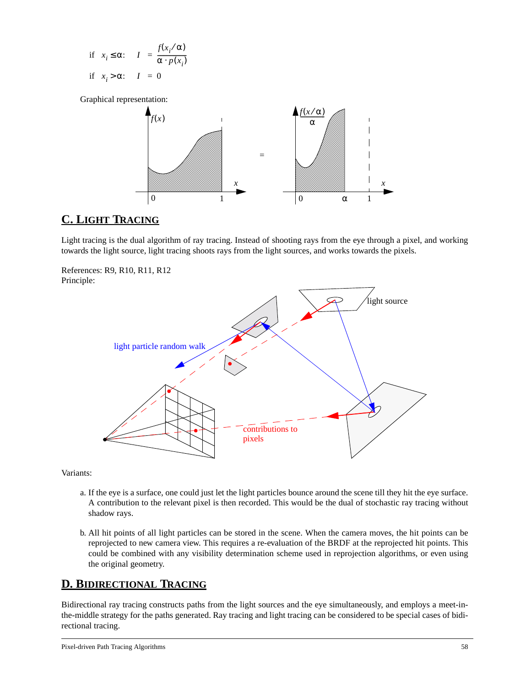if 
$$
x_i \le \alpha
$$
:  $\langle I \rangle = \frac{f(x_i/\alpha)}{\alpha \cdot p(x_i)}$   
if  $x_i > \alpha$ :  $\langle I \rangle = 0$ 

Graphical representation:



## **C. LIGHT TRACING**

Light tracing is the dual algorithm of ray tracing. Instead of shooting rays from the eye through a pixel, and working towards the light source, light tracing shoots rays from the light sources, and works towards the pixels.





Variants:

- a. If the eye is a surface, one could just let the light particles bounce around the scene till they hit the eye surface. A contribution to the relevant pixel is then recorded. This would be the dual of stochastic ray tracing without shadow rays.
- b. All hit points of all light particles can be stored in the scene. When the camera moves, the hit points can be reprojected to new camera view. This requires a re-evaluation of the BRDF at the reprojected hit points. This could be combined with any visibility determination scheme used in reprojection algorithms, or even using the original geometry.

# **D. BIDIRECTIONAL TRACING**

Bidirectional ray tracing constructs paths from the light sources and the eye simultaneously, and employs a meet-inthe-middle strategy for the paths generated. Ray tracing and light tracing can be considered to be special cases of bidirectional tracing.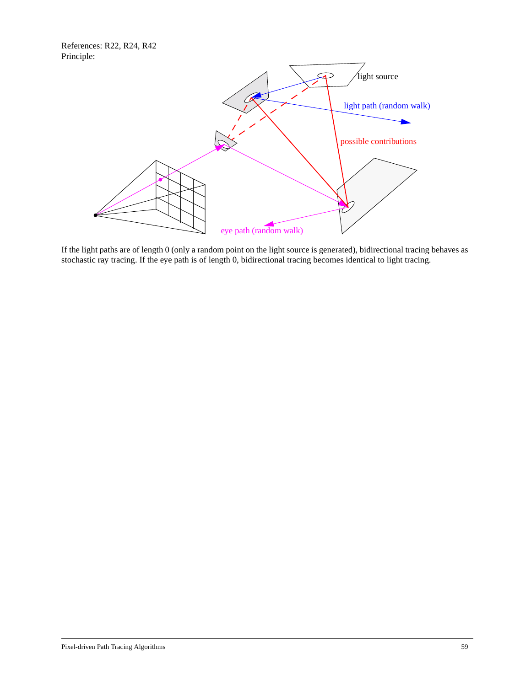References: R22, R24, R42 Principle:



If the light paths are of length 0 (only a random point on the light source is generated), bidirectional tracing behaves as stochastic ray tracing. If the eye path is of length 0, bidirectional tracing becomes identical to light tracing.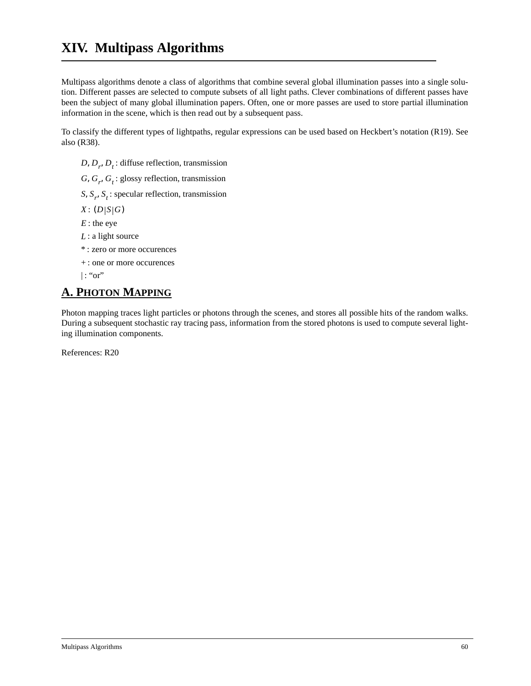Multipass algorithms denote a class of algorithms that combine several global illumination passes into a single solution. Different passes are selected to compute subsets of all light paths. Clever combinations of different passes have been the subject of many global illumination papers. Often, one or more passes are used to store partial illumination information in the scene, which is then read out by a subsequent pass.

To classify the different types of lightpaths, regular expressions can be used based on Heckbert's notation (R19). See also (R38).

- *D*, *D*<sub>r</sub>, *D*<sub>t</sub>: diffuse reflection, transmission
- G,  $G_r$ ,  $G_t$ : glossy reflection, transmission

S,  $S_r$ ,  $S_t$ : specular reflection, transmission

- $X: (D|S|G)$
- : the eye *E*
- : a light source *L*
- : zero or more occurences \*
- : one or more occurences +

 $|$ : "or" |

# **A. PHOTON MAPPING**

Photon mapping traces light particles or photons through the scenes, and stores all possible hits of the random walks. During a subsequent stochastic ray tracing pass, information from the stored photons is used to compute several lighting illumination components.

References: R20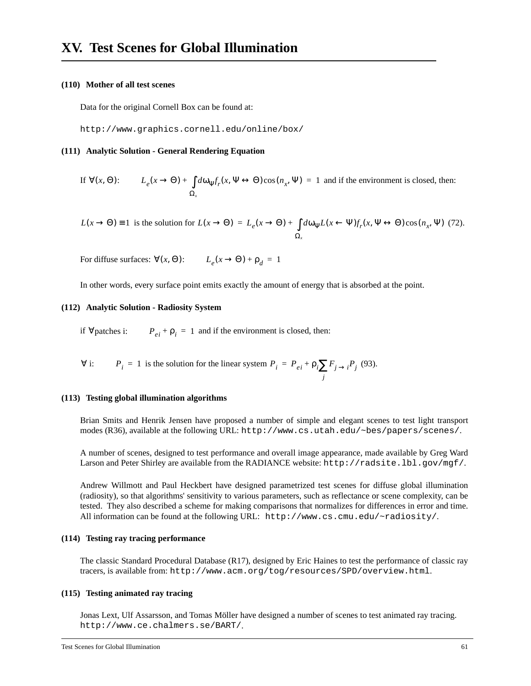#### **(110) Mother of all test scenes**

Data for the original Cornell Box can be found at:

http://www.graphics.cornell.edu/online/box/

#### **(111) Analytic Solution - General Rendering Equation**

If 
$$
\forall (x, \Theta):
$$
  $L_e(x \to \Theta) + \int d\omega_{\Psi} f_r(x, \Psi \leftrightarrow \Theta) \cos(n_x, \Psi) = 1$  and if the environment is closed, then:

 $L(x \to \Theta) \equiv 1$  is the solution for  $L(x \to \Theta) = L_e(x \to \Theta) + \int d\omega_\Psi L(x \leftarrow \Psi) f_r(x, \Psi \leftrightarrow \Theta) \cos(n_x, \Psi)$  (72). Ω*x*  $= L_e(x \rightarrow \Theta) + \int$ 

For diffuse surfaces:  $\forall (x, \Theta)$ :  $L_e(x \to \Theta) + \rho_d = 1$ 

In other words, every surface point emits exactly the amount of energy that is absorbed at the point.

#### **(112) Analytic Solution - Radiosity System**

if  $\forall$  patches i:  $P_{ei} + \rho_i = 1$  and if the environment is closed, then:

$$
\forall
$$
 i:  $P_i = 1$  is the solution for the linear system  $P_i = P_{ei} + \rho_i \sum_j F_{j \to i} P_j$  (93).

#### **(113) Testing global illumination algorithms**

Brian Smits and Henrik Jensen have proposed a number of simple and elegant scenes to test light transport modes (R36), available at the following URL: http://www.cs.utah.edu/~bes/papers/scenes/.

A number of scenes, designed to test performance and overall image appearance, made available by Greg Ward Larson and Peter Shirley are available from the RADIANCE website: http://radsite.lbl.gov/mgf/.

Andrew Willmott and Paul Heckbert have designed parametrized test scenes for diffuse global illumination (radiosity), so that algorithms' sensitivity to various parameters, such as reflectance or scene complexity, can be tested. They also described a scheme for making comparisons that normalizes for differences in error and time. All information can be found at the following URL: http://www.cs.cmu.edu/~radiosity/.

#### **(114) Testing ray tracing performance**

The classic Standard Procedural Database (R17), designed by Eric Haines to test the performance of classic ray tracers, is available from: http://www.acm.org/tog/resources/SPD/overview.html.

#### **(115) Testing animated ray tracing**

Jonas Lext, Ulf Assarsson, and Tomas Möller have designed a number of scenes to test animated ray tracing. http://www.ce.chalmers.se/BART/.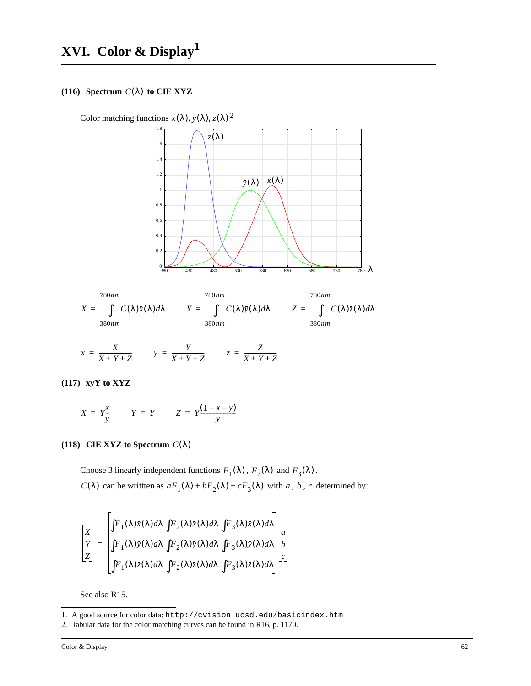#### **(116)** Spectrum  $C(\lambda)$  to CIE XYZ

Color matching functions  $\bar{x}(\lambda)$ ,  $\bar{y}(\lambda)$ ,  $\bar{z}(\lambda)$ <sup>2</sup>





$$
x = \frac{X}{X+Y+Z} \qquad y = \frac{Y}{X+Y+Z} \qquad z = \frac{Z}{X+Y+Z}
$$

**(117) xyY to XYZ**

$$
X = Y\frac{x}{y} \qquad Y = Y \qquad Z = Y\frac{(1-x-y)}{y}
$$

#### **(118)** CIE XYZ to Spectrum  $C(\lambda)$

Choose 3 linearly independent functions  $F_1(\lambda)$ ,  $F_2(\lambda)$  and  $F_3(\lambda)$ .  $C(\lambda)$  can be writtten as  $aF_1(\lambda) + bF_2(\lambda) + cF_3(\lambda)$  with a, b, c determined by:

$$
\begin{bmatrix} X \\ Y \\ Z \end{bmatrix} = \begin{bmatrix} \int F_1(\lambda) \bar{x}(\lambda) d\lambda & \int F_2(\lambda) \bar{x}(\lambda) d\lambda & \int F_3(\lambda) \bar{x}(\lambda) d\lambda \\ \int F_1(\lambda) \bar{y}(\lambda) d\lambda & \int F_2(\lambda) \bar{y}(\lambda) d\lambda & \int F_3(\lambda) \bar{y}(\lambda) d\lambda \\ \int F_1(\lambda) \bar{z}(\lambda) d\lambda & \int F_2(\lambda) \bar{z}(\lambda) d\lambda & \int F_3(\lambda) \bar{z}(\lambda) d\lambda \end{bmatrix} \begin{bmatrix} a \\ b \\ c \end{bmatrix}
$$

See also R15.

<sup>1.</sup> A good source for color data: http://cvision.ucsd.edu/basicindex.htm

<sup>2.</sup> Tabular data for the color matching curves can be found in R16, p. 1170.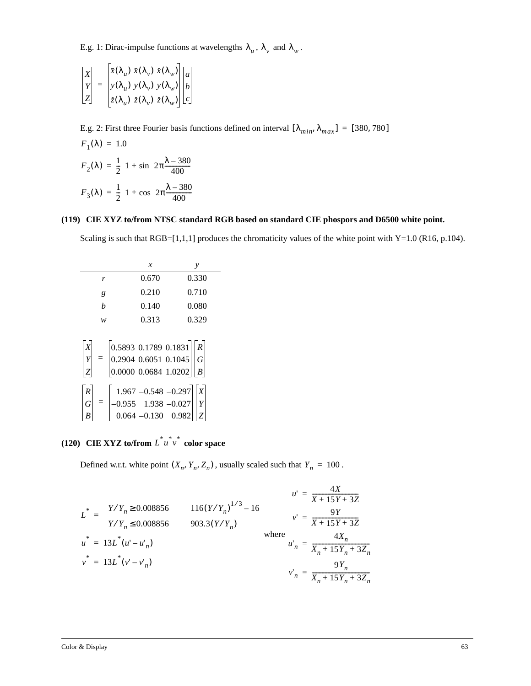E.g. 1: Dirac-impulse functions at wavelengths  $\lambda_u$ ,  $\lambda_v$  and  $\lambda_w$ .

$$
\begin{bmatrix} X \\ Y \\ Z \end{bmatrix} = \begin{bmatrix} \bar{x}(\lambda_u) & \bar{x}(\lambda_v) & \bar{x}(\lambda_w) \\ \bar{y}(\lambda_u) & \bar{y}(\lambda_v) & \bar{y}(\lambda_w) \\ \bar{z}(\lambda_u) & \bar{z}(\lambda_v) & \bar{z}(\lambda_w) \end{bmatrix} \begin{bmatrix} a \\ b \\ c \end{bmatrix}
$$

E.g. 2: First three Fourier basis functions defined on interval  $[\lambda_{min}, \lambda_{max}] = [380, 780]$ 

$$
F_1(\lambda) = 1.0
$$
  
\n
$$
F_2(\lambda) = \frac{1}{2} \Big( 1 + \sin \Big( 2\pi \frac{\lambda - 380}{400} \Big) \Big)
$$
  
\n
$$
F_3(\lambda) = \frac{1}{2} \Big( 1 + \cos \Big( 2\pi \frac{\lambda - 380}{400} \Big) \Big)
$$

#### **(119) CIE XYZ to/from NTSC standard RGB based on standard CIE phospors and D6500 white point.**

Scaling is such that RGB=[1,1,1] produces the chromaticity values of the white point with Y=1.0 (R16, p.104).

|                                       | $\mathcal{X}$                                                                                                                                                | у     |
|---------------------------------------|--------------------------------------------------------------------------------------------------------------------------------------------------------------|-------|
| r                                     | 0.670                                                                                                                                                        | 0.330 |
| g                                     | 0.210                                                                                                                                                        | 0.710 |
| h                                     | 0.140                                                                                                                                                        | 0.080 |
| w                                     | 0.313                                                                                                                                                        | 0.329 |
| $\begin{array}{c} X \\ Y \end{array}$ | $= \begin{bmatrix} 0.5893 & 0.1789 & 0.1831 \\ 0.2904 & 0.6051 & 0.1045 \\ 0.0000 & 0.0684 & 1.0202 \end{bmatrix} \begin{bmatrix} R \\ G \\ B \end{bmatrix}$ |       |
| R<br>G                                | $\begin{bmatrix} 1.967 & -0.548 & -0.297 \\ -0.955 & 1.938 & -0.027 \\ 0.064 & -0.130 & 0.982 \end{bmatrix}$                                                 |       |

(120) CIE XYZ to/from  $L^* u^* v^*$  color space

Defined w.r.t. white point  $(X_n, Y_n, Z_n)$ , usually scaled such that  $Y_n = 100$ .

$$
L^* = \begin{cases} Y/Y_n \ge 0.008856 & 116(Y/Y_n)^{1/3} - 16 \\ Y/Y_n \le 0.008856 & 903.3(Y/Y_n) \end{cases} \qquad v' = \frac{9Y}{X + 15Y + 3Z}
$$
  

$$
u^* = 13L^*(u' - u'_n)
$$
  

$$
v^* = 13L^*(v' - v'_n)
$$
  

$$
v' = \frac{4X_n}{X_n + 15Y_n + 3Z_n}
$$
  

$$
v' = \frac{4X_n}{X_n + 15Y_n + 3Z_n}
$$
  

$$
v' = \frac{9Y_n}{X_n + 15Y_n + 3Z_n}
$$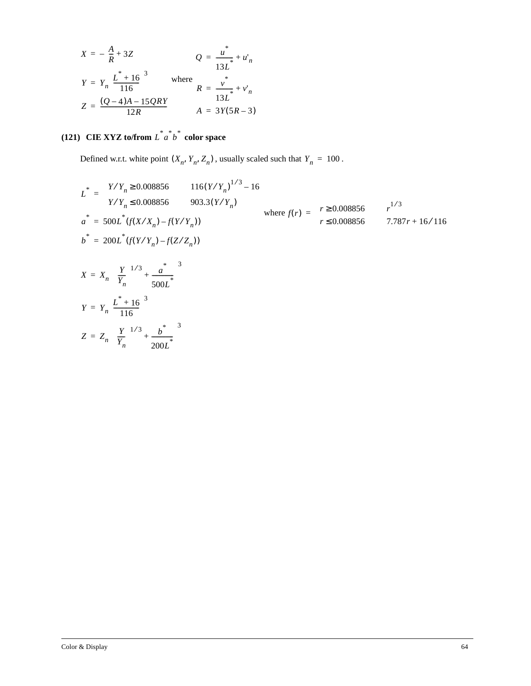$$
X = -\left(\frac{A}{R} + 3Z\right)
$$
  
\n
$$
Q = \frac{u^*}{13L^*} + u'_n
$$
  
\n
$$
Y = Y_n \left(\frac{L^* + 16}{116}\right)^3
$$
 where  
\n
$$
R = \frac{v^*}{13L^*} + v'_n
$$
  
\n
$$
Z = \frac{(Q - 4)A - 15QRY}{12R}
$$
  
\n
$$
A = 3Y(5R - 3)
$$

## (121) CIE XYZ to/from  $L^*a^b^b$  color space

Defined w.r.t. white point  $(X_n, Y_n, Z_n)$ , usually scaled such that  $Y_n = 100$ .

$$
L^* = \begin{cases} Y/Y_n \ge 0.008856 & 116(Y/Y_n)^{1/3} - 16 \\ Y/Y_n \le 0.008856 & 903.3(Y/Y_n) \\ a^* = 500L^*(f(X/X_n) - f(Y/Y_n)) & \text{where } f(r) = \begin{cases} r \ge 0.008856 & r^{1/3} \\ r \le 0.008856 & 7.787r + 16/116 \end{cases} \\ b^* = 200L^*(f(Y/Y_n) - f(Z/Z_n))
$$
  

$$
X = X_n \left( \left( \frac{Y}{Y_n} \right)^{1/3} + \frac{a^*}{500L^*} \right)^3
$$
  

$$
Y = Y_n \left( \frac{L^* + 16}{116} \right)^3
$$
  

$$
Z = Z_n \left( \left( \frac{Y}{Y_n} \right)^{1/3} + \frac{b^*}{200L^*} \right)^3
$$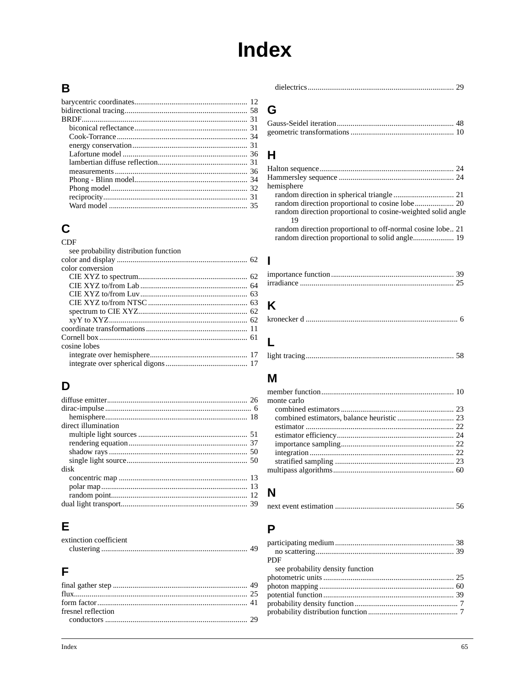# **Index**

## B

# $\mathbf C$

#### **CDF** see probability distribution function color conversion cosine lobes

# D

# Е

| extinction coefficient |  |
|------------------------|--|
|                        |  |

# F

|--|--|

### G

# $H$

| hemisphere                                                   |  |
|--------------------------------------------------------------|--|
|                                                              |  |
|                                                              |  |
| random direction proportional to cosine-weighted solid angle |  |
| 19                                                           |  |
| random direction proportional to off-normal cosine lobe21    |  |
|                                                              |  |

# K

 $\mathsf{L}$ 

# M

| monte carlo |  |
|-------------|--|
|             |  |
|             |  |
|             |  |
|             |  |
|             |  |
|             |  |
|             |  |
|             |  |

# N

|--|--|--|

# P

| <b>PDF</b>                       |  |
|----------------------------------|--|
| see probability density function |  |
|                                  |  |
|                                  |  |
|                                  |  |
|                                  |  |
|                                  |  |
|                                  |  |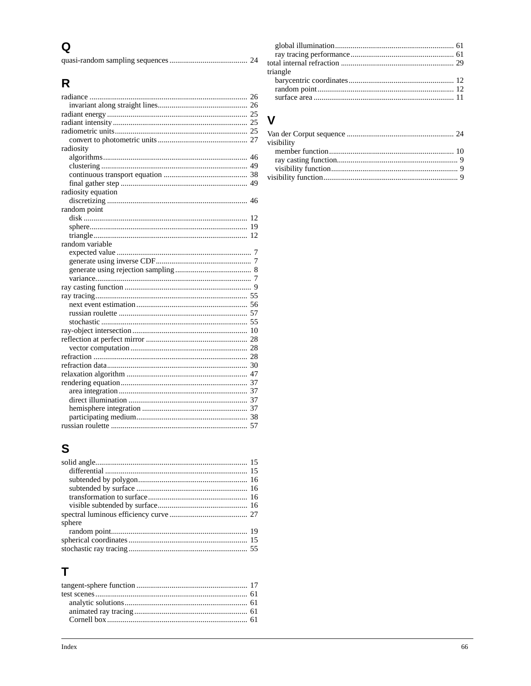# $\mathbf Q$

|--|--|--|

# $\overline{\mathsf{R}}$

# S

| sphere |  |
|--------|--|
|        |  |
|        |  |
|        |  |

# $\mathbf T$

| $\overline{24}$ |          |  |
|-----------------|----------|--|
|                 |          |  |
|                 | triangle |  |
|                 |          |  |
|                 |          |  |
| 26              |          |  |
|                 |          |  |

# $\mathbf V$

| visibility |  |
|------------|--|
|            |  |
|            |  |
|            |  |
|            |  |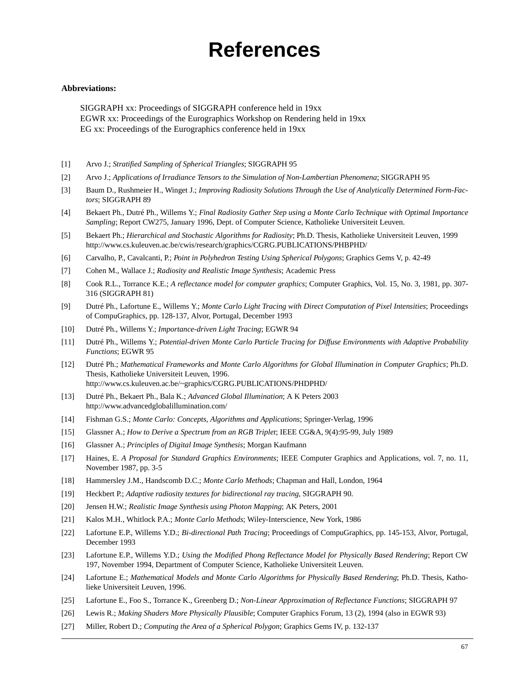# **References**

#### **Abbreviations:**

SIGGRAPH xx: Proceedings of SIGGRAPH conference held in 19xx EGWR xx: Proceedings of the Eurographics Workshop on Rendering held in 19xx EG xx: Proceedings of the Eurographics conference held in 19xx

- [1] Arvo J.; *Stratified Sampling of Spherical Triangles*; SIGGRAPH 95
- [2] Arvo J.; *Applications of Irradiance Tensors to the Simulation of Non-Lambertian Phenomena*; SIGGRAPH 95
- [3] Baum D., Rushmeier H., Winget J.; *Improving Radiosity Solutions Through the Use of Analytically Determined Form-Factors*; SIGGRAPH 89
- [4] Bekaert Ph., Dutré Ph., Willems Y.; *Final Radiosity Gather Step using a Monte Carlo Technique with Optimal Importance Sampling*; Report CW275, January 1996, Dept. of Computer Science, Katholieke Universiteit Leuven.
- [5] Bekaert Ph.; *Hierarchical and Stochastic Algorithms for Radiosity*; Ph.D. Thesis, Katholieke Universiteit Leuven, 1999 http://www.cs.kuleuven.ac.be/cwis/research/graphics/CGRG.PUBLICATIONS/PHBPHD/
- [6] Carvalho, P., Cavalcanti, P.; *Point in Polyhedron Testing Using Spherical Polygons*; Graphics Gems V, p. 42-49
- [7] Cohen M., Wallace J.; *Radiosity and Realistic Image Synthesis*; Academic Press
- [8] Cook R.L., Torrance K.E.; *A reflectance model for computer graphics*; Computer Graphics, Vol. 15, No. 3, 1981, pp. 307- 316 (SIGGRAPH 81)
- [9] Dutré Ph., Lafortune E., Willems Y.; *Monte Carlo Light Tracing with Direct Computation of Pixel Intensities*; Proceedings of CompuGraphics, pp. 128-137, Alvor, Portugal, December 1993
- [10] Dutré Ph., Willems Y.; *Importance-driven Light Tracing*; EGWR 94
- [11] Dutré Ph., Willems Y.; *Potential-driven Monte Carlo Particle Tracing for Diffuse Environments with Adaptive Probability Functions*; EGWR 95
- [12] Dutré Ph.; *Mathematical Frameworks and Monte Carlo Algorithms for Global Illumination in Computer Graphics*; Ph.D. Thesis, Katholieke Universiteit Leuven, 1996. http://www.cs.kuleuven.ac.be/~graphics/CGRG.PUBLICATIONS/PHDPHD/
- [13] Dutré Ph., Bekaert Ph., Bala K.; *Advanced Global Illumination*; A K Peters 2003 http://www.advancedglobalillumination.com/
- [14] Fishman G.S.; *Monte Carlo: Concepts, Algorithms and Applications*; Springer-Verlag, 1996
- [15] Glassner A.; *How to Derive a Spectrum from an RGB Triplet*; IEEE CG&A, 9(4):95-99, July 1989
- [16] Glassner A.; *Principles of Digital Image Synthesis*; Morgan Kaufmann
- [17] Haines, E. *A Proposal for Standard Graphics Environments*; IEEE Computer Graphics and Applications, vol. 7, no. 11, November 1987, pp. 3-5
- [18] Hammersley J.M., Handscomb D.C.; *Monte Carlo Methods*; Chapman and Hall, London, 1964
- [19] Heckbert P.; *Adaptive radiosity textures for bidirectional ray tracing*, SIGGRAPH 90.
- [20] Jensen H.W.; *Realistic Image Synthesis using Photon Mapping*; AK Peters, 2001
- [21] Kalos M.H., Whitlock P.A.; *Monte Carlo Methods*; Wiley-Interscience, New York, 1986
- [22] Lafortune E.P., Willems Y.D.; *Bi-directional Path Tracing*; Proceedings of CompuGraphics, pp. 145-153, Alvor, Portugal, December 1993
- [23] Lafortune E.P., Willems Y.D.; *Using the Modified Phong Reflectance Model for Physically Based Rendering*; Report CW 197, November 1994, Department of Computer Science, Katholieke Universiteit Leuven.
- [24] Lafortune E.; *Mathematical Models and Monte Carlo Algorithms for Physically Based Rendering*; Ph.D. Thesis, Katholieke Universiteit Leuven, 1996.
- [25] Lafortune E., Foo S., Torrance K., Greenberg D.; *Non-Linear Approximation of Reflectance Functions*; SIGGRAPH 97
- [26] Lewis R.; *Making Shaders More Physically Plausible*; Computer Graphics Forum, 13 (2), 1994 (also in EGWR 93)
- [27] Miller, Robert D.; *Computing the Area of a Spherical Polygon*; Graphics Gems IV, p. 132-137